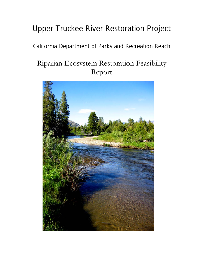# Upper Truckee River Restoration Project

# California Department of Parks and Recreation Reach

# Riparian Ecosystem Restoration Feasibility Report

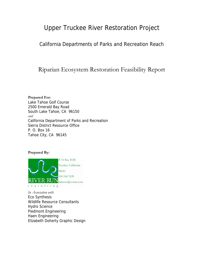# Upper Truckee River Restoration Project

California Departments of Parks and Recreation Reach

Riparian Ecosystem Restoration Feasibility Report

**Prepared For:**  Lake Tahoe Golf Course 2500 Emerald Bay Road South Lake Tahoe, CA 96150 *and*  California Department of Parks and Recreation Sierra District Resource Office P. O. Box 16 Tahoe City, CA 96145

**Prepared By:** 



*In Association with*  Eco Synthesis Wildlife Resource Consultants Hydro Science Piedmont Engineering Haen Engineering Elizabeth Doherty Graphic Design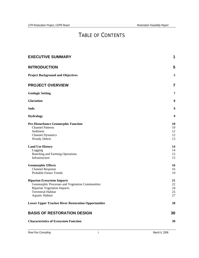# TABLE OF CONTENTS

| <b>EXECUTIVE SUMMARY</b>                                                                                                                                                    | 1                          |
|-----------------------------------------------------------------------------------------------------------------------------------------------------------------------------|----------------------------|
| <b>INTRODUCTION</b>                                                                                                                                                         | 5                          |
| <b>Project Background and Objectives</b>                                                                                                                                    | 5                          |
| <b>PROJECT OVERVIEW</b>                                                                                                                                                     | 7                          |
| <b>Geologic Setting</b>                                                                                                                                                     | 7                          |
| <b>Glaciation</b>                                                                                                                                                           | 8                          |
| Soils                                                                                                                                                                       | 9                          |
| <b>Hydrology</b>                                                                                                                                                            | 9                          |
| <b>Pre-Disturbance Geomorphic Function</b><br><b>Channel Patterns</b><br>Sediment<br><b>Channel Dynamics</b><br>Woody Debris                                                | 10<br>10<br>12<br>12<br>13 |
| <b>Land Use History</b><br>Logging<br>Ranching and Farming Operations<br>Infrastructure                                                                                     | 14<br>14<br>15<br>15       |
| <b>Geomorphic Effects</b><br><b>Channel Response</b><br>Probable Future Trends                                                                                              | 16<br>16<br>19             |
| <b>Riparian Ecosystem Impacts</b><br>Geomorphic Processes and Vegetation Communities<br><b>Riparian Vegetation Impacts</b><br><b>Terrestrial Habitat</b><br>Aquatic Habitat | 21<br>22<br>24<br>25<br>27 |
| <b>Lower Upper Truckee River Restoration Opportunities</b>                                                                                                                  | 28                         |
| <b>BASIS OF RESTORATION DESIGN</b>                                                                                                                                          | 30                         |
| <b>Characteristics of Ecosystem Function</b>                                                                                                                                | 30                         |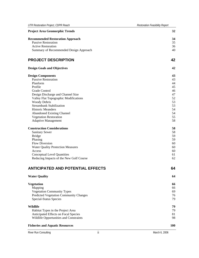| <b>Recommended Restoration Approach</b>       | 34 |
|-----------------------------------------------|----|
| Passive Restoration                           | 35 |
| <b>Active Restoration</b>                     | 36 |
| Summary of Recommended Design Approach        | 40 |
| <b>PROJECT DESCRIPTION</b>                    | 42 |
| <b>Design Goals and Objectives</b>            | 42 |
| <b>Design Components</b>                      | 43 |
| <b>Passive Restoration</b>                    | 43 |
| Planform                                      | 44 |
| Profile                                       | 45 |
| Grade Control                                 | 46 |
| Design Discharge and Channel Size             | 47 |
| Valley Flat Topographic Modifications         | 52 |
| Woody Debris                                  | 53 |
| <b>Streambank Stabilization</b>               | 53 |
| <b>Historic Meanders</b>                      | 54 |
| <b>Abandoned Existing Channel</b>             | 54 |
| <b>Vegetation Restoration</b>                 | 55 |
| <b>Adaptive Management</b>                    | 58 |
| <b>Construction Considerations</b>            | 58 |
| <b>Sanitary Sewer</b>                         | 58 |
| <b>Bridge</b>                                 | 59 |
| Phasing                                       | 59 |
| <b>Flow Diversion</b>                         | 60 |
| <b>Water Quality Protection Measures</b>      | 60 |
| Access                                        | 60 |
| <b>Conceptual Level Quantities</b>            | 61 |
| Reducing Impacts of the New Golf Course       | 62 |
| <b>ANTICIPATED AND POTENTIAL EFFECTS</b>      | 64 |
| <b>Water Quality</b>                          | 64 |
| Vegetation                                    | 66 |
| Mapping                                       | 66 |
| <b>Vegetation Community Types</b>             | 69 |
| <b>Predicted Vegetation Community Changes</b> | 76 |
| Special-Status Species                        | 79 |
| Wildlife                                      | 79 |
| Habitat Types in the Project Area             | 79 |
| Anticipated Effects on Focal Species          | 81 |

*UTR Restoration Project, CDPR Reach Restoration Feasibility Report*

**Project Area Geomorphic Trends** 32

#### **[Fisheries and Aquatic Resources 100](#page-104-0)**

River Run Consulting and the consulting in the consulting in the matrix of the March 6, 2006

[Wildlife Opportunities and Constraints 98](#page-102-0)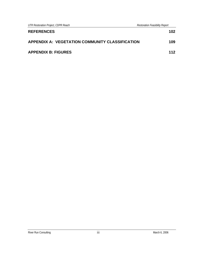*UTR Restoration Project, CDPR Reach Restoration Feasibility Report*

| <b>REFERENCES</b>                                      | 102 |
|--------------------------------------------------------|-----|
| <b>APPENDIX A: VEGETATION COMMUNITY CLASSIFICATION</b> | 109 |
| <b>APPENDIX B: FIGURES</b>                             | 112 |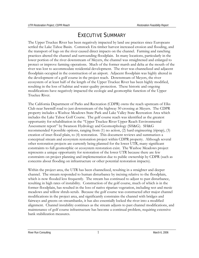# EXECUTIVE SUMMARY

<span id="page-5-0"></span>The Upper Truckee River has been negatively impacted by land use practices since Europeans settled the Lake Tahoe Basin. Comstock Era timber harvest increased erosion and flooding, and the transport of logs on the river caused direct impacts on the channel. Farming and ranching practices altered the channel and surrounding floodplain. In many locations, particularly in the lower portion of the river downstream of Meyers, the channel was straightened and enlarged to protect or improve farming operations. Much of the former marsh and delta at the mouth of the river was lost to accommodate residential development. The river was channelized and adjacent floodplain occupied in the construction of an airport. Adjacent floodplain was highly altered in the development of a golf course in the project reach. Downstream of Meyers, the river ecosystem of at least half of the length of the Upper Truckee River has been highly modified, resulting in the loss of habitat and water quality protection. These historic and ongoing modifications have negatively impacted the ecologic and geomorphic function of the Upper Truckee River.

The California Department of Parks and Recreation (CDPR) owns the reach upstream of Elks Club near Sawmill road to just downstream of the highway 50 crossing at Meyers. The CDPR property includes a Washoe Meadows State Park and Lake Valley State Recreation Area which includes the Lake Tahoe Golf Course. The golf course reach was identified as the greatest opportunity for rehabilitation in the "Upper Truckee River Upper Reach Environmental Assessment report" by Swanson Hydrology and Geomorphology (SH&G). SH&G recommended 4 possible options, ranging from (1) no action, (2) hard engineering (riprap), (3) creation of inset flood plain, to (4) restoration. This document reviews and summarizes a conceptual stream and ecosystem restoration project within CDPR property. Although several other restoration projects are currently being planned for the lower UTR, many significant constraints to full geomorphic or ecosystem restoration exist. The Washoe Meadows project represents a unique opportunity for restoration of the lower UTR because there are few constraints on project planning and implementation due to public ownership by CDPR (such as concerns about flooding on infrastructure or other potential restoration impacts).

Within the project area, the UTR has been channelized, resulting in a straighter and deeper channel. The stream responded to human disturbance by incising relative to the floodplain, which is now flooded less frequently. The stream has continued to adjust to past disturbance, resulting in high rates of instability. Construction of the golf course, much of which is in the former floodplain, has resulted in the loss of native riparian vegetation, including wet and mesic meadows and willow shrub-scrub. Because the golf course was constructed after major channel modifications in the project area, and significantly constrains the channel with bridges and fairways and greens on streambanks, it has also essentially locked the river into a modified alignment. Channel instability continues as the stream adjusts to past channel modifications, and maintenance of golf course infrastructure has become a continual problem, requiring extensive bank stabilization measures.

River Run Consulting 1 March 6, 2006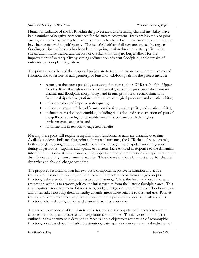Human disturbance of the UTR within the project area, and resulting channel instability, have had a number of negative consequences for the stream ecosystem. Instream habitat is of poor quality, and former spawning habitat for salmonids has been lost. Riparian shrubs and meadows have been converted to golf course. The beneficial effect of disturbance caused by regular flooding on riparian habitats has been lost. Ongoing erosion threatens water quality in the stream and in Lake Tahoe, and the loss of overbank flooding no longer allows for the improvement of water quality by settling sediment on adjacent floodplain, or the uptake of nutrients by floodplain vegetation.

The primary objectives of the proposed project are to restore riparian ecosystem processes and function, and to restore stream geomorphic function. CDPR's goals for the project include:

- restore, to the extent possible, ecosystem function to the CDPR reach of the Upper Truckee River through restoration of natural geomorphic processes which sustain channel and floodplain morphology, and in turn promote the establishment of functional riparian vegetation communities, ecological processes and aquatic habitat;
- reduce erosion and improve water quality;
- reduce the impact of the golf course on the river, water quality, and riparian habitat;
- maintain recreation opportunities, including relocation and reconstruction of part of the golf course on higher capability lands in accordance with the highest environmental standards; and
- minimize risk in relation to expected benefits

Meeting these goals will require recognition that functional streams are dynamic over time. Available evidence indicates that, prior to human disturbance, the UTR channel was dynamic, both through slow migration of meander bends and through more rapid channel migration during larger floods. Riparian and aquatic ecosystems have evolved in response to the dynamism inherent in functional stream channels; many aspects of ecosystem function are dependent on the disturbance resulting from channel dynamics. Thus the restoration plan must allow for channel dynamics and channel change over time.

The proposed restoration plan has two basic components; passive restoration and active restoration. Passive restoration, or the removal of impacts to ecosystem and geomorphic function, is the essential first step in restoration planning. Thus, the first and most important restoration action is to remove golf course infrastructure from the historic floodplain area. This step requires removing greens, fairways, tees, bridges, irrigation system in former floodplain areas and potentially relocating them in nearby uplands, areas more suitable to this land use. Passive restoration is important to ecosystem restoration in the project area because it will allow for functional channel configuration and channel dynamics over time.

The second component of this plan is active restoration, the objective of which is to restore channel and floodplain processes and vegetation communities. The active restoration plan outlined in this document is designed to meet multiple objectives: restoration of geomorphic function; aquatic and riparian habitat restoration; water quality improvements; and reduction of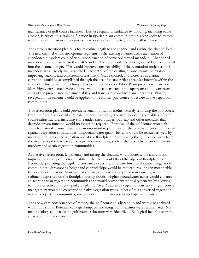maintenance of golf course facilities. Because regular disturbance by flooding, including some erosion, is critical to sustaining function in riparian plant communities, this plan seeks to restore natural rates of erosion and deposition rather than to completely stabilize all streambanks.

The active restoration plan calls for restoring length to the channel, and raising the channel bed. The new channel would incorporate segments of the existing channel with reactivation of abandoned meanders coupled with reconstruction of some obliterated meanders. Abandoned meanders that were active in the 1940's and 1950's, features that still exist, would be incorporated into the channel design. This would improve constructability of the restoration project as these meanders are currently well-vegetated. Over 50% of the existing channel would be retained, improving stability and construction feasibility. Grade control, and increases in channel elevation, would be accomplished through the use of coarse riffles at regular intervals within the channel. This restoration technique has been used in other Tahoe Basin projects with success. More highly engineered grade controls would be constructed at the upstream and downstream ends of the project area to assure stability and transition to downstream elevations. Finally, revegetation treatments would be applied to the former golf course to restore native vegetation communities.

This restoration plan would provide several important benefits. Merely removing the golf course from the floodplain would eliminate the need to manage the river to assure the stability of golf course infrastructure, including some under-sized bridges. Rip-rap and other measures that degrade stream function would no longer be required. Removal of the golf course would also allow for natural channel dynamics, an important requirement for the establishment of functional riparian vegetation communities. Important water quality benefits would be realized as well, by moving fertilization and irrigation out of the floodplain. And moving the golf course away from the river paves the way for active restoration measures, such as the reestablishment of riparian meadow and shrub vegetation communities.

Active river restoration, lengthening and raising the channel, would increase the amount and improve the quality of instream habitat. The river would flood the adjacent floodplain more frequently, providing the regular disturbance necessary to restore functional riparian vegetation communities. Streambank height and channel slope would be reduced, resulting in more stable banks and less erosion. More regular overbank flow would improve water quality, with fine sediment deposited on the floodplain during floods. Higher groundwater tables would enhance adjacent riparian vegetation communities and would provide water quality benefits by allowing for more effective nutrient uptake by plants. Over 45 acres of vegetation currently in golf course management would be converted to native vegetation types. Most of this converted vegetation would be riparian communities, such as wet and mesic meadows and riparian shrub.

The ecosystem consequences of moving the golf course to adjacent upland were also analyzed within this study. Potential ecological impacts and mitigation measures were summarized. No major ecological obstacles to golf course relocation were identified. Ecological benefits over the current configuration include:

River Run Consulting and the set of the set of the set of the set of the set of the set of the set of the set of the set of the set of the set of the set of the set of the set of the set of the set of the set of the set of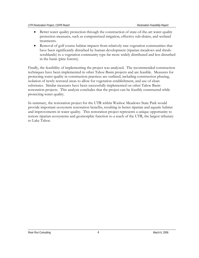- Better water quality protection through the construction of state-of-the-art water quality protection measures, such as computerized irrigation, effective sub-drains, and wetland treatments.
- Removal of golf course habitat impacts from relatively rare vegetation communities that have been significantly disturbed by human development (riparian meadows and shrubscrublands) to a vegetation community type far more widely distributed and less disturbed in the basin (pine forests).

Finally, the feasibility of implementing the project was analyzed. The recommended construction techniques have been implemented in other Tahoe Basin projects and are feasible. Measures for protecting water quality in construction practices are outlined, including construction phasing, isolation of newly restored areas to allow for vegetation establishment, and use of clean substrates. Similar measures have been successfully implemented on other Tahoe Basin restoration projects. This analysis concludes that the project can be feasibly constructed while protecting water quality.

In summary, the restoration project for the UTR within Washoe Meadows State Park would provide important ecosystem restoration benefits, resulting in better riparian and aquatic habitat and improvements in water quality. This restoration project represents a unique opportunity to restore riparian ecosystems and geomorphic function to a reach of the UTR, the largest tributary to Lake Tahoe.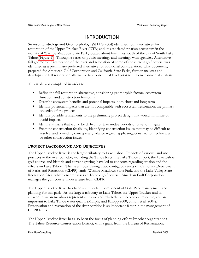# INTRODUCTION

<span id="page-9-0"></span>Swanson Hydrology and Geomorphology (SH+G 2004) identified four alternatives for restoration of the Upper Truckee River (UTR) and its associated riparian ecosystem in the vicinity of Washoe Meadows State Park, located about five miles south of the city of South Lake Tahoe (Figure 1). Through a series of public meetings and meetings with agencies, Alternative 4, full geomorphic restoration of the river and relocation of some of the current golf course, was identified as a preliminary preferred alternative for additional consideration. This document, prepared for American Golf Corporation and California State Parks, further analyzes and develops the full restoration alternative to a conceptual level prior to full environmental analysis.

This study was completed in order to:

- Refine the full restoration alternative, considering geomorphic factors, ecosystem function, and construction feasibility
- Describe ecosystem benefits and potential impacts, both short and long-term
- Identify potential impacts that are not compatible with ecosystem restoration, the primary objective of the project
- Identify possible refinements to the preliminary project design that would minimize or avoid impacts
- Identify impacts that would be difficult or take undue periods of time to mitigate
- Examine construction feasibility, identifying construction issues that may be difficult to resolve, and providing conceptual guidance regarding phasing, construction techniques, or other construction issues.

# **PROJECT BACKGROUND AND OBJECTIVES**

The Upper Truckee River is the largest tributary to Lake Tahoe. Impacts of various land use practices in the river corridor, including the Tahoe Keys, the Lake Tahoe airport, the Lake Tahoe golf course, and historic and current grazing, have led to concerns regarding erosion and the effects on Lake Tahoe. The river flows through two contiguous units of California Department of Parks and Recreation (CDPR) lands: Washoe Meadows State Park, and the Lake Valley State Recreation Area, which encompasses an 18-hole golf course. American Golf Corporation manages the golf course under a lease from CDPR.

The Upper Truckee River has been an important component of State Park management and planning for this park. As the largest tributary to Lake Tahoe, the Upper Truckee and its adjacent riparian meadows represent a unique and relatively rare ecological resource, and are important to Lake Tahoe water quality (Murphy and Knopp 2000; Simon et al. 2004). Preservation and restoration of the river corridor is an important factor in the management of CDPR lands.

The Upper Truckee River has also been the focus of planning efforts by other organizations. The Tahoe Resource Conservation District, with a grant from the Bureau of Reclamation,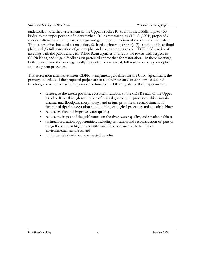undertook a watershed assessment of the Upper Truckee River from the middle highway 50 bridge to the upper portion of the watershed. This assessment, by SH+G (2004), proposed a series of alternatives to improve ecologic and geomorphic function of the river and watershed. These alternatives included (1) no action, (2) hard engineering (riprap), (3) creation of inset flood plain, and (4) full restoration of geomorphic and ecosystem processes. CDPR held a series of meetings with the public and with Tahoe Basin agencies to discuss the results with respect to CDPR lands, and to gain feedback on preferred approaches for restoration. In these meetings, both agencies and the public generally supported Alternative 4, full restoration of geomorphic and ecosystem processes.

This restoration alternative meets CDPR management guidelines for the UTR. Specifically, the primary objectives of the proposed project are to restore riparian ecosystem processes and function, and to restore stream geomorphic function. CDPR's goals for the project include:

- restore, to the extent possible, ecosystem function to the CDPR reach of the Upper Truckee River through restoration of natural geomorphic processes which sustain channel and floodplain morphology, and in turn promote the establishment of functional riparian vegetation communities, ecological processes and aquatic habitat;
- reduce erosion and improve water quality;
- reduce the impact of the golf course on the river, water quality, and riparian habitat;
- maintain recreation opportunities, including relocation and reconstruction of part of the golf course on higher capability lands in accordance with the highest environmental standards; and
- minimize risk in relation to expected benefits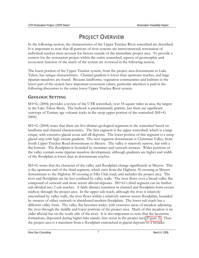# PROJECT OVERVIEW

<span id="page-11-0"></span>In the following section, the characteristics of the Upper Truckee River watershed are described. It is important to note that all portions of river systems are interconnected; restoration of individual reaches must account for factors outside of the immediate project area. To provide a context for the restoration project within the entire watershed, aspects of geomorphic and ecosystem function of the much of the system are reviewed in the following section.

The lower portion of the Upper Truckee system, from the project area downstream to Lake Tahoe, has unique characteristics. Channel gradient is lower than upstream reaches, and large riparian meadows are found. Because landforms, vegetation communities and habitats in the lower part of the system have important ecosystem values, particular attention is paid in the following discussion to the entire lower Upper Truckee River system.

# **GEOLOGIC SETTING**

SH+G (2004) provides a review of the UTR watershed, over 54 square miles in area, the largest in the Lake Tahoe Basin. The bedrock is predominantly granitic, but there are significant outcrops of Tertiary age volcanic rocks in the steep upper portion of the watershed (SH+G 2004).

SH+G (2004) notes that there are five distinct geological segments in the watershed based on landform and channel characteristics. The first segment is the upper watershed, which is a large cirque, with extensive glacial scour and till deposits. The lower portion of this segment is a steep glacial step with high stream gradient. The next segment downstream is Christmas Valley, from South Upper Truckee Road downstream to Meyers. The valley is relatively narrow, but with a flat bottom. The floodplain is bounded by moraines and outwash terraces. Wider portions of the valley contain some riparian meadow development, although gradients are higher and width of the floodplain is lower than in downstream reaches.

SH+G notes that the character of the valley and floodplain change significantly at Meyers. This is the upstream end of the third segment, which runs from the Highway 50 crossing at Meyers downstream to the Highway 50 crossing at Elks Club road, and includes the project area. The river and floodplain are far less confined by valley walls. The river flows over a broad valley flat composed of outwash and more recent alluvial deposits. SH+G's third segment can be further sub-divided into 2 sub reaches. A fairly distinct transition in channel and floodplain form occurs midway through the project area. In the upper sub reach, although the river is relatively unconfined by valley walls, the river flows within a relatively narrow recent floodplain, bounded by terraces of either outwash or abandoned modern floodplain. The lower sub reach has a different valley form. The valley flat becomes wider, with extensive areas of meadow adjoining the river through the middle and lower portions of the project area. Much of this meadow is an older alluvial fan on the south side of the river. It is also important to note that the lacustrine formations, deposited during higher lake stands, first occur in the project area (Figure 2). Thus the project area is a transition from a floodplain entrenched in glacial deposits to a broader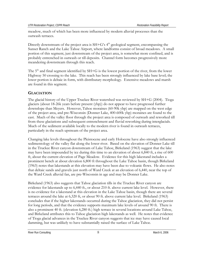<span id="page-12-0"></span>meadow, much of which has been more influenced by modern alluvial processes than the outwash terraces.

Directly downstream of the project area is  $SH+G's 4<sup>th</sup>$  geological segment, encompassing the Sunset Ranch and the Lake Tahoe Airport, where landforms consist of broad meadows. A small portion of this segment, just downstream of the project area, is somewhat more confined, and is probably entrenched in outwash or till deposits. Channel form becomes progressively more meandering downstream through this reach.

The  $5<sup>th</sup>$  and final segment identified by SH+G is the lowest portion of the river, from the lower Highway 50 crossing to the lake. This reach has been strongly influenced by lake base level; the lower portion is deltaic in form, with distributary morphology. Extensive meadows and marsh are found in this segment.

# **GLACIATION**

The glacial history of the Upper Truckee River watershed was reviewed by SH+G (2004). Tioga glaciers (about 18-26k years before present (ybp)) do not appear to have progressed further downslope than Meyers. However, Tahoe moraines (60-90k ybp) are mapped on the west edge of the project area, and pre-Wisconsin (Donner Lake, 400-600k ybp) moraines are found to the east. Much of the valley floor through the project area is composed of outwash and reworked till from these glaciations and subsequent entrenchment and fluvial reworking during interglacials. Much of the sediment available locally to the modern river is found in outwash terraces, particularly in the reach upstream of the project area.

Changing lake levels throughout the Pleistocene and early Holocene have also strongly influenced sedimentology of the valley flat along the lower river. Based on the elevation of Donner Lake till in the Truckee River canyon downstream of Lake Tahoe, Birkeland (1963) suggest that the lake may have been impounded by ice during this time to an elevation of about 6,840 ft, a rise of 600 ft, about the current elevation of Page Meadow. Evidence for this high lakestand includes a prominent bench at about elevation 6,800 ft throughout the Lake Tahoe basin, though Birkeland (1963) notes that lakestands at this elevation may have been due to volcanic flows. He also notes that deltaic sands and gravels just north of Ward Creek at an elevation of 6,440, near the top of the Ward Creek alluvial fan, are pre-Wisconsin in age and may be Donner Lake.

Birkeland (1963) also suggests that Tahoe glaciation tills in the Truckee River canyon are evidence for lakestands up to 6,440 ft., or about 210 ft. above current lake level. However, there is no evidence for a lakestand at this elevation in the Lake Tahoe basin, though there are several terraces around the lake at 6,320 ft, or about 90 ft. above current lake level. Birkeland (1963) concludes that if the higher lakestands occurred during the Tahoe glaciation, they did not persist for long periods, and that the evidence supports maximum lake levels of around 90 ft. There is also a prominent 40 ft. (elevation 6,280 ft.) high terrace in several locations around Lake Tahoe, and Birkeland attributes this to Tahoe glaciation high lakestands as well. He notes that evidence of Tioga glacial advances in the Truckee River canyon suggests that ice may have caused local damming, but was unlikely to have substantially raised the surface of Lake Tahoe.

River Run Consulting and the state of the state of the Second Second Second Second Second Second Second Second Second Second Second Second Second Second Second Second Second Second Second Second Second Second Second Second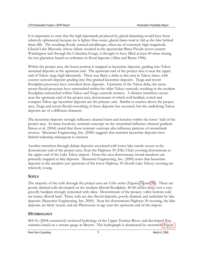<span id="page-13-0"></span>It is important to note that the high lakestands produced by glacial damming would have been relatively ephemeral; because ice is lighter than water, glacial dams tend to fail as the lake behind them fills. The resulting floods, termed jokulhlaups, often are of extremely high magnitude. Glacial Lake Missoula, whose failure resulted in the spectacular Bretz Floods across eastern Washington and through the Columbia Gorge, is thought to have filled at least 40 times during the last glaciation based on rythmites in flood deposits (Allen and Burns 1986).

Within the project area, the lower portion is mapped as lacustrine deposits, grading into Tahoe morainal deposits at the upstream end. The upstream end of the project area is near the upper end of Tahoe stage high lakestands. There was likely a delta in this area in Tahoe times, with coarser outwash deposits grading into fine-grained lacustrine deposits. Tioga and recent floodplain processes have reworked these deposits. Upstream of the Tahoe delta, the more recent fluvial processes have entrenched within the older Tahoe outwash, resulting in the modern floodplain entrenched within Tahoe and Tioga outwash terraces. A distinct transition occurs near the upstream end of the project area, downstream of which well-bedded, sorted and compact Tahoe age lacustrine deposits are the primary unit. Similar to reaches above the project area, Tioga and recent fluvial reworking of these deposits has occurred, but the underlying Tahoe deposits are of a different character.

The lacustrine deposits strongly influence channel form and function within the lower half of the project area. In many locations, resistant outcrops on the streambed influence channel gradient. Simon et al. (2004) noted that these resistant outcrops also influence patterns of streambank erosion. Mussetter Engineering, Inc. (2000) suggests that resistant lacustrine deposits have limited widening subsequent to incision.

Another transition through deltaic deposits associated with lower lake stands occurs at the downstream end of the project area, from the Highway 50 (Elks Club) crossing downstream to the upper end of the Lake Tahoe airport. From this area downstream, broad meadows are primarily mapped as lake deposits. Mussetter Engineering, Inc. (2000) notes that lacustrine deposits in the meadow just upstream of the lower Highway 50 (South Lake Tahoe) crossing are relatively young.

# **SOILS**

The majority of the soils through the project area are Celio series (Figures 3a and 3b). These are poorly drained soils developed on the modern alluvial floodplain, 40-60 inches deep over a very gravelly hardpan strongly cemented with silica. Downstream of the project, valley bottom soils are loamy alluvial land. These soils are also fluvial deposits, poorly drained, and underlain by lake deposits (Mussetter Engineering, Inc. 2000). Near the downstream Highway 50 crossing, the lake deposits are likely recent, and are Pleistocene in age near the upstream end of the airport.

# **HYDROLOGY**

SH+G (2004) extensively reviewed hydrology of the Upper Truckee River, and developed flow statistics based on a stream gauge at Meyers. The hydrograph is dominated by snowmelt (Figure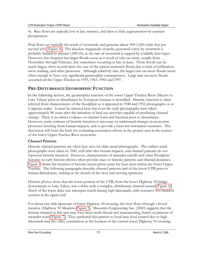<span id="page-14-0"></span>4). Base flows are typically low in late summer, and there is little augmentation by summer precipitation.

Peak flows are typically the result of snowmelt, and generate about 300-1,000 cubic feet per second (cfs) (Figure 4). The absolute magnitude of peaks generated solely by snowmelt is probably limited to around 1,000 cfs, as the rate of snowmelt is capped by available heat input. However, less frequent but larger floods occur as a result of rain-on-snow, usually from November through February, but sometimes occurring as late as June. These floods can be much larger, often several times the size of the typical snowmelt flood, due to lack of infiltration, snow melting, and other processes. Although relatively rare, the larger rain-on-snow floods occur often enough to have very significant geomorphic consequences. Large rain-on-snow floods occurred on the Upper Truckee in 1955, 1963, 1965 and 1997.

# **PRE-DISTURBANCE GEOMORPHIC FUNCTION**

In the following section, the geomorphic function of the lower Upper Truckee River (Meyers to Lake Tahoe) prior to disturbance by European humans is described. Historic function is often inferred from characteristics of the floodplain as it appeared in 1940 and 1952 photographs or as it appears today. It must be stressed here that even the early photographs were taken approximately 80 years after the initiation of land-use activities capable of producing channel change. There is no direct evidence of channel form and function prior to disturbance. However, some estimate of historic function is necessary to understand changes in ecosystem processes resulting from human impacts, and to provide a basis for restoration measures. This discussion will form the basis for evaluating restoration efforts in the project area in the context of the lower Upper Truckee River ecosystem.

# **Channel Patterns**

Historic channel patterns are often best seen on older aerial photographs. The earliest aerial photographs were taken in 1940, well after first human impacts, and channel patterns do not represent historic function. However, characteristics of meander cutoffs and other floodplain features on early historic photos often provide clues to historic patterns and channel dynamics. Figure 5 shows the location of historic-recent photo pairs for four areas within the lower Upper Truckee. The following paragraphs describe channel patterns and of the lower UTR prior to human disturbance, starting at the mouth of the river and moving upstream.

Historic photos show that the lower portion of the UTR, from the lower Highway 50 bridge downstream to Lake Tahoe, was a delta, with a complex, distributary channel system (Figure 6). Much of the lower delta was emergent marsh during high lakestands, with extensive wet meadow systems at the upper end.

For about one mile upstream of lower Highway 50 crossing, the river flows through a broad meadow (Highway 50 Meadow, Figure 5). Mussetter Engineering, Inc. (2000) suggests that the historic channel in this area may have been multi-thread and anastamosing, based on patterns of meander scars (Figure 7). They attributed this pattern to local base level control due to high lakestands and the valley constriction at the location of the current lower Highway 50 crossing.

River Run Consulting **10** March 6, 2006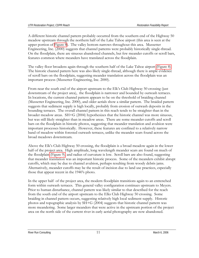A different historic channel pattern probably occurred from the southern end of the Highway 50 meadow upstream through the northern half of the Lake Tahoe airport (this area is seen at the upper portion of Figure 8). The valley bottom narrows throughout this area. Mussetter Engineering, Inc. (2000) suggests that channel patterns were probably historically single-thread. On the floodplain, there are sinuous abandoned channels, but few meander cutoffs or scroll bars, features common where meanders have translated across the floodplain.

The valley floor broadens again through the southern half of the Lake Tahoe airport (Figure 8). The historic channel pattern here was also likely single-thread, although there is ample evidence of scroll bars on the floodplain, suggesting meander translation across the floodplain was an important process (Mussetter Engineering, Inc. 2000).

From near the south end of the airport upstream to the Elk's Club Highway 50 crossing (just downstream of the project area), the floodplain is narrower and bounded by outwash terraces. In locations, the current channel pattern appears to be on the threshold of braiding channel (Mussetter Engineering, Inc. 2000), and older aerials show a similar pattern. The braided pattern suggests that sediment supply is high locally, probably from erosion of outwash deposits in the bounding terraces. The overall channel pattern in this reach tends to be straighter than in the broader meadow areas. SH+G (2004) hypothesizes that the historic channel was more sinuous, but was still likely straighter than in meadow areas. There are some meander cutoffs and scroll bars on the floodplain in historic photos, suggesting that meander translation and avulsion were important processes historically. However, these features are confined to a relatively narrow band of meadow within forested outwash terraces, unlike the meander scars found across the broad meadows downstream.

Above the Elk's Club Highway 50 crossing, the floodplain is a broad meadow again in the lower half of the project area. High amplitude, long wavelength meander scars are found on much of the floodplain (Figure 9), and radius of curvature is low. Scroll bars are also found, suggesting that meander translation was an important historic process. Some of the meanders exhibit abrupt cutoffs, which may be due to channel avulsion, perhaps resulting from woody debris jams. Alternatively, meander cutoffs may be the result of incision due to land use practices, especially those that appear recent in the 1940's photo.

In the upper half of the project area, the modern floodplain transitions again to an entrenched form within outwash terraces. This general valley configuration continues upstream to Meyers. Prior to human disturbance, channel pattern was likely similar to that described for the reach from the south end of the airport upstream to the Elks Club Highway 50 crossing. Some braiding in channel pattern occurs, suggesting relatively high local sediment supply. Historic photos and topographic analysis by SH+G (2004) suggests that historic channel pattern was more meandering. Some larger meanders that were active in the upstream portion of the project area on the north side of the current river in early aerial photography are now abandoned.

River Run Consulting **11** March 6, 2006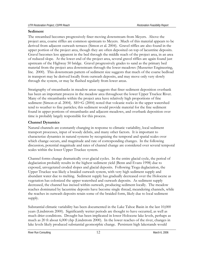#### <span id="page-16-0"></span>**Sediment**

The streambed becomes progressively finer moving downstream from Meyers. Above the project area, coarse riffles are common upstream to Meyers. Much of this material appears to be derived from adjacent outwash terraces (Simon et al. 2004). Gravel riffles are also found in the upper portion of the project area, though they are often deposited on top of lacustrine deposits. Gravel becomes less apparent in the bed through the middle reach of the project area, in an area of reduced slope. At the lower end of the project area, several gravel riffles are again found just upstream of the Highway 50 bridge. Gravel progressively grades to sand as the primary bed material from the project area downstream through the lower meadows (Mussetter Engineering, Inc. 2000). This downstream pattern of sediment size suggests that much of the coarse bedload in transport may be derived locally from outwash deposits, and may move only very slowly through the system, or may be flushed regularly from lower areas.

Stratigraphy of streambanks in meadow areas suggests that finer sediment deposition overbank has been an important process in the meadow area throughout the lower Upper Truckee River. Many of the streambanks within the project area have relatively high proportions of fine sediment (Simon et al. 2004). SH+G (2004) noted that volcanic rocks in the upper watershed tend to weather to fine particles; this sediment would provide material for the fine sediment found in upper portions of streambanks and adjacent meadows, and overbank deposition over time is probably largely responsible for this process.

#### **Channel Dynamics**

Natural channels are constantly changing in response to climatic variability, local sediment transport processes, input of woody debris, and many other factors. It is important to characterize dynamics in natural systems by recognizing the temporal and spatial scales over which change occurs, and magnitude and rate of corresponding changes. In the following discussion, potential magnitude and rates of channel change are considered over several temporal scales within the lower Upper Truckee system.

Channel forms change dramatically over glacial cycles. In the entire glacial cycle, the period of deglaciation probably results in the highest sediment yield (Benn and Evans 1998) due to exposed, unvegetated eroded slopes and glacial deposits. Following Tioga deglaciation, the Upper Truckee was likely a braided outwash system, with very high sediment supply and abundant water due to melting. Sediment supply has gradually decreased over the Holocene as vegetation has colonized the upper watershed and outwash deposits. As sediment supply decreased, the channel has incised within outwash, producing sediment locally. The meadow reaches dominated by lacustrine deposits have become single thread, meandering channels, while the reaches in outwash deposits retain some of the braided form, likely due to local sediment supply.

Substantial climatic variability has been documented in the Lake Tahoe Basin in the last 10,000 years (Lindstrom 2000). Significantly wetter periods are thought to have occurred, as well as much drier conditions. Drought has been implicated in lower Holocene lake levels, perhaps as much as 20 ft about 6,000 ybp (Lindstrom 2000). In the lower reaches of the river, changes in lake levels likely produced substantial geomorphic change. Persistent high lakestands would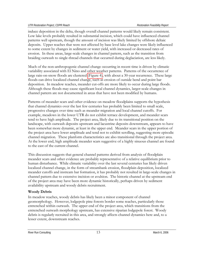<span id="page-17-0"></span>induce deposition in the delta, though overall channel patterns would likely remain consistent. Low lake levels probably resulted in substantial incision, which could have influenced channel patterns well upstream, though the amount of incision was likely limited by offshore deltaic deposits. Upper reaches that were not affected by base level lake changes were likely influenced to some extent by changes in sediment or water yield, with increased or decreased rates of erosion. In these areas, large-scale changes in channel pattern, such as the transition from braiding outwash to single-thread channels that occurred during deglaciation, are less likely.

Much of the non-anthropogenic channel change occurring in recent time is driven by climatic variability associated with El Nino and other weather patterns. Patterns of the occurrence of large rain-on-snow floods are clustered (Figure 4), with about a 30-year recurrence. These large floods can drive localized channel change, such as erosion of outside bend and point bar deposition. In meadow reaches, meander cut-offs are more likely to occur during large floods. Although these floods may cause significant local channel dynamics, larger-scale changes in channel pattern are not documented in areas that have not been modified by humans.

Patterns of meander scars and other evidence on meadow floodplains supports the hypothesis that channel dynamics over the last few centuries has probably been limited to small scale, progressive changes over time such as meander migration and local channel cutoffs. For example, meadows in the lower UTR do not exhibit terrace development, and meander scars tend to have high amplitude. The project area, likely due to its transitional position on the landscape, with outwash deposits upstream and lacustrine deposits downstream, appears to have been somewhat more dynamic, at least in the upper end. Meander scars in the upper portion of the project area have lower amplitude and tend not to exhibit scrolling, suggesting more episodic channel migration. These planform characteristics are also transitional through the project area. At the lower end, high amplitude meander scars suggestive of a highly sinuous channel are found to the east of the current channel.

This discussion suggests that general channel patterns derived from analysis of floodplain meander scars and other evidence are probably representative of a relative equilibrium prior to human disturbance. While climatic variability over the last several centuries has likely driven localized channel change, in the form of streambank erosion, floodplain deposition, localized meander cutoffs and instream bar formation, it has probably not resulted in large-scale changes in channel pattern due to extensive incision or avulsion. The historic channel at the upstream end of the project area may have been more dynamic historically, perhaps driven by sediment availability upstream and woody debris recruitment.

#### **Woody Debris**

In meadow reaches, woody debris has likely been a minor component of channel geomorphology. However, lodgepole pine forests border some reaches, particularly those entrenched within outwash. The upper end of the project area, which transitions from the entrenched outwash morphology upstream, has extensive riparian lodgepole forest. Woody debris is regularly recruited in this area, and strongly affects channel dynamics here and, to a lesser extent, downstream reaches.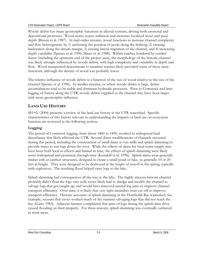<span id="page-18-0"></span>Woody debris has many geomorphic functions in alluvial systems, driving both erosional and depositional processes. Wood stores coarse sediment and increases localized scour and pool depth (Bisson et al. 1987). In mid-order streams, wood functions to increase channel complexity and flow heterogeneity by 1) anchoring the position of pools along the thalweg, 2) creating backwaters along the stream margin, 3) causing lateral migration of the channel, and 4) increasing depth variability (Spence et al. 1996; Maser et al. 1988). Within reaches bordered by conifer forest (including the upstream end of the project area), the morphology of the historic channel was likely strongly influenced by woody debris, with high complexity and variability in depth and flow. Wood transported downstream to meadow reaches likely provided some of these same functions, although the density of wood was probably lower.

The relative influence of woody debris is a function of the size of wood relative to the size of the channel (Spence et al. 1996). In smaller streams, or where woody debris is large, debris accumulations tend to be stable and dominate hydraulic processes. Prior to Comstock and later logging of forests along the UTR, woody debris supplied to the channel may have been larger with more geomorphic influence.

# **LAND USE HISTORY**

SH+G (2004) presents a review of the land use history in the UTR watershed. Specific characteristics of this history relevant to understanding the impacts of land use on ecosystem function are reviewed in the following section.

### **Logging**

The period of Comstock logging, from about 1860 to 1890, resulted in widespread land disturbance that likely affected the UTR. Several direct modifications of channels occurred during this period, including the construction of small dams to run mills and splash damming to provide water to run logs down the river. While the effects of dams for local water supply may have been both local in effects and limited in time, the effects of splash damming were likely more widespread and persistent through time (Kondolf et al. 1996). Splash dams were generally timber crib or earthen structures, designed to create a small pond or lake, so generally 10 or 20 feet in height. They were designed to be destroyed at the height of runoff in the spring, typically with explosives. The resulting flood helped carry logs to the lake.

Splash damming had consequences all the way to the lake. The highly sinuous historic channel probably didn't float the logs very well; crews likely had to dredge and modify the channel to salvage logs that got caught up, and would have removed natural log jams to improve channel transport efficiency. Over time, it is likely that very tight meanders were cut off to improve transport efficiency. Historic accounts of splash damming in the Humboldt Bay watershed, for example, recount that crews worked much of the summer salvaging logs that did not reach the bay (Gates 1983). Adjacent farmers complained that jams of logs during the splash dam drive caused flooding on their property. For these reasons, splash damming was eventually outlawed in most areas.

River Run Consulting and the set of the set of the set of the set of the set of the March 6, 2006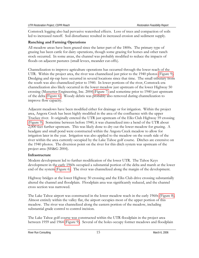<span id="page-19-0"></span>Comstock logging also had pervasive watershed effects. Loss of trees and compaction of soils led to increased runoff. Soil disturbance resulted in increased erosion and sediment supply.

# **Ranching and Farming Operations**

All meadow areas have been grazed since the latter part of the 1800s. The primary type of grazing has been cattle for dairy operations, though some grazing for horses and other ranch stock occurred. In some areas, the channel was probably modified to reduce the impacts of floods on adjacent pastures (small levees, meander cut-offs).

Channelization to improve agriculture operations has occurred through the lower reach of the UTR. Within the project area, the river was channelized just prior to the 1940 photos (Figure 9). Dredging and rip-rap have occurred in several locations since that time. The small tributary from the south was also channelized prior to 1940. In lower portions of the river, Comstock-era channelization also likely occurred in the lower meadow just upstream of the lower Highway 50 crossing (Mussetter Engineering, Inc. 2004)(Figure 7) and sometime prior to 1940 just upstream of the delta (Figure 6). Woody debris was probably also removed during channelization to improve flow capacity.

Adjacent meadows have been modified either for drainage or for irrigation. Within the project area, Angora Creek has been highly modified in the area of the confluence with the upper Truckee river. It originally entered the UTR just upstream of the Elks Club Highway 59 crossing (Figure 9). Sometime between before 1940, it was channelized into a bend of the UTR about 2,000 feet further upstream. This was likely done to dry out the lower meadow for grazing. A headgate and small pond were constructed within the Angora Creek meadow to allow for irrigation later in the year. Irrigation was also applied to the meadow on the south side of the river within the area currently occupied by the Lake Tahoe golf course. Ditches are extensive on the 1940 photos. The diversion point on the river for this ditch system was upstream of the project area (SH&G 2004).

#### **Infrastructure**

Modern development led to further modification of the lower UTR. The Tahoe Keys development in the early 1960s occupied a substantial portion of the delta and marsh at the lower end of the system (Figure 6). The river was channelized along the margin of the development.

Highway bridges at the lower Highway 50 crossing and the Elks Club drive crossing substantially altered the channel and floodplain. Floodplain area was significantly reduced, and the channel cross section was narrowed.

The Lake Tahoe airport was constructed in the lower meadow reach in the early 1960s (Figure 8). Almost entirely within the valley flat, the airport occupies most of the upper portion of this meadow. The river was channelized along the eastern portion of the meadow, including substantial grade control to control incision.

The Lake Tahoe golf course was constructed within the UTR floodplain in the project area between 1959 and 1964 (Figure 9). Several of the holes occupy former meadows and floodplain

River Run Consulting The Consulting Consulting 15 March 6, 2006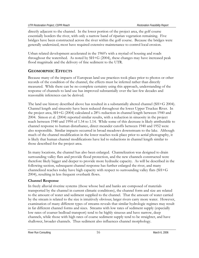<span id="page-20-0"></span>directly adjacent to the channel. In the lower portion of the project area, the golf course essentially borders the river, with only a narrow band of riparian vegetation remaining. Five bridges have been constructed across the river within the golf course. Because the bridges were generally undersized, most have required extensive maintenance to control local erosion.

Urban related development accelerated in the 1960's with a myriad of housing and roads throughout the watershed. As noted by SH+G (2004), these changes may have increased peak flood magnitude and the delivery of fine sediment to the UTR.

# **GEOMORPHIC EFFECTS**

Because many of the impacts of European land use practices took place prior to photos or other records of the condition of the channel, the effects must be inferred rather than directly measured. While there can be no complete certainty using this approach, understanding of the response of channels to land use has improved substantially over the last few decades and reasonable inferences can be derived.

The land use history described above has resulted in a substantially altered channel (SH+G 2004). Channel length and sinuosity have been reduced throughout the lower Upper Truckee River. In the project area, SH+G (2004) calculated a 28% reduction in channel length between 1940 and 2004. Simon et al. (2004) reported similar results, with a reduction in sinuosity in the project reach between 1940 and 1994 of 1.54 to 1.14. While some of this decrease is likely attributable to channel response to human disturbance, direct meander cutoffs between 1940 and 1952 were also responsible. Similar impacts occurred in broad meadows downstream to the lake. Although much of the channel modification in the lower reaches took place prior to aerial photography, it is likely that human channel modifications have led to reductions in channel length similar to those described for the project area.

In many locations, the channel has also been enlarged. Channelization was designed to drain surrounding valley flats and provide flood protection, and the new channels constructed were therefore likely bigger and deeper to provide more hydraulic capacity. As will be described in the following section, subsequent channel response has further enlarged the river, and many channelized reaches today have high capacity with respect to surrounding valley flats (SH+G 2004), resulting in less frequent overbank flows.

# **Channel Response**

In freely alluvial riverine systems (those whose bed and banks are composed of materials transported by the channel in current climatic conditions), the channel form and size are related to the amount of water and sediment supplied to the channel. That the amount of water carried by the stream is related to the size is intuitively obvious; larger rivers carry more water. However, examination of many different types of streams reveals that similar hydrologic regimes may result in far different channel forms and sizes. Streams with low rates of sediment supply (especially low rates of coarser bedload transport) tend to be highly sinuous and have narrow, deep channels, while those with high rates of coarse sediment supply tend to be straighter, and have shallower, broader channels. Thus sediment also influences channel morphology.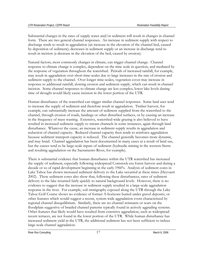Substantial changes in the rates of supply water and/or sediment will result in changes in channel form. There are two general channel responses. An increase in sediment supply with respect to discharge tends to result in aggradation (an increase in the elevation of the channel bed, caused by deposition of sediment); decreases in sediment supply or an increase in discharge tend to result in incision (a decrease in the elevation of the bed, caused by erosion).

Natural factors, most commonly changes in climate, can trigger channel change. Channel response to climate change is complex, dependent on the time scale in question, and mediated by the response of vegetation throughout the watershed. Periods of increased rainfall, for example, may result in aggradation over short time-scales due to large increases in the rate of erosion and sediment supply to the channel. Over longer time-scales, vegetation cover may increase in response to additional rainfall, slowing erosion and sediment supply, which can result in channel incision. Some channel responses to climate change are less complex; lower lake levels during time of drought would likely cause incision in the lower portion of the UTR.

Human disturbance of the watershed can trigger similar channel responses. Some land uses tend to increase the supply of sediment and therefore result in aggradation. Timber harvest, for example, can substantially increase the amount of sediment supplied from the watershed to the channel, through erosion of roads, landings or other disturbed surfaces, or by causing an increase in the frequency of mass wasting. Extensive, watershed-wide grazing is also believed to have resulted in increased sediment supply to stream channels in some instances, again through land disturbance. Whatever the cause, an increase in sediment supply results in aggradation and reduction of channel capacity. Reduced channel capacity then tends to reinforce aggradation because sediment transport capacity is reduced. The channel generally becomes more dynamic, and may braid. Channel aggradation has been documented in many cases as a result of land use, but the causes tend to be large-scale inputs of sediment (hydraulic mining in the western Sierra and resulting aggradation on the Sacramento River, for example).

There is substantial evidence that human disturbance within the UTR watershed has increased the supply of sediment, especially following widespread Comstock-era forest harvest and during a decade or so of rapid development beginning in the early 1960's. Analysis of sediment cores in Lake Tahoe has shown increased sediment delivery to the Lake occurred at these times (Heyvaert 2002). These sediment cores also show that, following these disturbances, rates of sediment delivery to the lake returned fairly quickly to natural background levels. However, there is no evidence to suggest that the increase in sediment supply resulted in a large-scale aggradation response in the river. For example, soil stratigraphy exposed along the UTR through the Lake Tahoe Golf Course shows no evidence of former A-horizons buried under gravel deposits, or other features which would suggest a recent, system-wide aggradation event characterized by regional channel disequilibrium. Similarly, there are no channel remnants or scars on the floodplain suggestive of braided channel patterns typically found in actively aggrading systems. Other features that likely would have resulted from extensive aggradation, such as widespread recent terraces, are not found in the lower portion of the UTR. While human disturbance has increased sediment yield in the UTR, the additional sediment has not been sufficient to induce large-scale channel aggradation.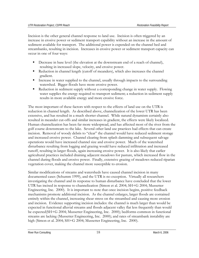Incision is the other general channel response to land use. Incision is often triggered by an increase in erosive power or sediment transport capability without an increase in the amount of sediment available for transport. The additional power is expended on the channel bed and streambanks, resulting in incision. Increases in erosive power or sediment transport capacity can occur in one of four ways:

- Decrease in base level (the elevation at the downstream end of a reach of channel), resulting in increased slope, velocity, and erosive power.
- Reduction in channel length (cutoff of meanders), which also increases the channel gradient.
- Increase in water supplied to the channel, usually through impacts to the surrounding watershed. Bigger floods have more erosive power.
- Reduction in sediment supply without a corresponding change in water supply. Flowing water supplies the energy required to transport sediment; a reduction in sediment supply results in more available energy and more erosive force.

The most important of these factors with respect to the effects of land use on the UTR is reduction in channel length. As described above, channelization of the lower UTR has been extensive, and has resulted in a much shorter channel. While natural dynamism certainly also resulted in meander cut-offs and similar increases in gradient, the effects were likely localized. Human channelization has been far more widespread, and has affected most of the river from the golf course downstream to the lake. Several other land use practices had effects that can create incision. Removal of woody debris to "clear" the channel would have reduced sediment storage and increased erosive power. Channel clearing from splash damming and subsequent salvage operations would have increased channel size and erosive power. Much of the watershed disturbance resulting from logging and grazing would have reduced infiltration and increased runoff, resulting in larger floods, again increasing erosive power. It is also likely that earlier agricultural practices included draining adjacent meadows for pasture, which increased flow in the channel during floods and erosive power. Finally, extensive grazing of meadows reduced riparian vegetation cover, making the channel more susceptible to erosion.

Similar modifications of streams and watersheds have caused channel incision in many documented cases (Schumm 1999), and the UTR is no exception. Virtually all researchers investigating the channel and its response to human disturbance have concluded that the lower UTR has incised in response to channelization (Simon et al. 2004; SH+G 2004; Mussetter Engineering, Inc. 2000). It is important to note that once incision begins, positive feedback mechanisms promote additional incision. As the channel enlarges, larger floods are contained entirely within the channel, increasing shear stress on the streambed and causing more erosion and incision. Evidence supporting incision includes: the channel is much larger than would be expected in functional alluvial streams and floods adjacent valley flat less frequently than would be expected(SH+G 2004; Mussetter Engineering, Inc. 2000); bedforms common in functional streams are lacking (Mussetter Engineering, Inc. 2000); and rates of streambank instability are high (Simon et al. 2004; SH+G 2004; Mussetter Engineering, Inc. 2000).

River Run Consulting and the set of the set of the set of the set of the set of the March 6, 2006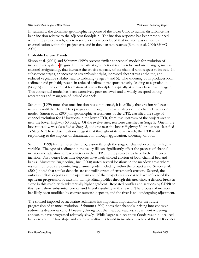<span id="page-23-0"></span>In summary, the dominant geomorphic response of the lower UTR to human disturbance has been incision relative to the adjacent floodplain. The incision response has been pronounced within the project reach, where researchers have concluded that incision was caused by channelization within the project area and in downstream reaches (Simon et al. 2004; SH+G 2004).

### **Probable Future Trends**

Simon et al. (2004) and Schumm (1999) present similar conceptual models for evolution of incised river systems (Figure 10). In early stages, incision is driven by land use changes, such as channel straightening, that increase the erosive capacity of the channel with respect to its bed. In subsequent stages, an increase in streambank height, increased shear stress at the toe, and reduced vegetative stability lead to widening (Stages 4 and 5). The widening both produces local sediment and probably results in reduced sediment transport capacity, leading to aggradation (Stage 5) and the eventual formation of a new floodplain, typically at a lower base level (Stage 6). This conceptual model has been extensively peer-reviewed and is widely accepted among researchers and managers of incised channels.

Schumm (1999) notes that once incision has commenced, it is unlikely that erosion will cease naturally until the channel has progressed through the several stages of the channel evolution model. Simon et al. (2004), in geomorphic assessments of the UTR, classified the stage of channel evolution for 12 locations in the lower UTR, from just upstream of the project area to near the lower Highway 50 bridge. Of the twelve sites, ten were classified as Stage 5. One in the lower meadow was classified as Stage 2, and one near the lower Highway 50 bridge was classified as Stage 6. These classifications suggest that throughout its lower reach, the UTR is still responding to the impacts of channelization through aggradation, widening, or both.

Schumm (1999) further notes that progression through the stage of channel evolution is highly variable. The type of sediment in the valley fill can significantly affect the process of channel incision and adjustment. Two factors in the UTR and the project area have likely influenced incision. First, dense lacustrine deposits have likely slowed erosion of both channel bed and banks. Mussetter Engineering, Inc. (2000) noted several locations in the meadow areas where resistant outcrops are controlling channel grade, including within the project area. Simon et al. (2004) noted that similar deposits are controlling rates of streambank erosion. Second, the outwash deltaic deposits at the upstream end of the project area appear to have influenced the upstream progression of incision. Longitudinal profiles through this area show a distinct break in slope in this reach, with substantially higher gradient. Repeated profiles and sections by CDPR in this reach show substantial vertical and lateral instability in this reach. The process of incision has likely been modified by coarser outwash deposits, and the river is still undergoing adjustment.

The control imposed by lacustrine sediments has important implications for the future progression of channel evolution. Schumm (1999) notes that channels incising into cohesive sediments deepen rapidly. However, throughout the meadow reaches, subsequent widening appears to have progressed relatively slowly. While larger rain-on-snow floods result in localized bank erosion, the low slope and cohesive sediments found in meadow reaches of the UTR do not

River Run Consulting and the consulting of the consulting and the consulting of the consulting of the consulting of the consulting of the consulting of the consulting of the consulting of the consulting of the consulting o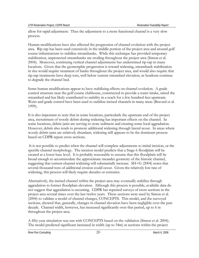allow for rapid adjustment. Thus the adjustment to a more functional channel is a very slow process.

Human modifications have also affected the progression of channel evolution with the project area. Rip-rap has been used extensively in the middle portion of the project area and around golf course infrastructure to stabilize streambanks. While this technique has provided temporary stabilization, unprotected streambanks are eroding throughout the project area (Simon et al. 2004). Moreover, continuing vertical channel adjustments has undermined rip-rap in many locations. Given that the geomorphic progression is toward widening, streambank stabilization in situ would require treatment of banks throughout the project area, and would also require that rip-rap treatments have deep toes, well below current streambed elevation, as headcuts continue to degrade the channel bed.

Some human modifications appear to have stabilizing effects on channel evolution. A grade control structure near the golf course clubhouse, constructed to provide a water intake, raised the streambed and has likely contributed to stability in a reach for a few hundred feet upstream. Weirs and grade control have been used to stabilize incised channels in many areas (Bravard et al. 1999).

It is also important to note that in some locations, particularly the upstream end of the project area, recruitment of woody debris during widening has important effects on the channel. In some locations, debris jams are serving to store sediment and creating some local aggradation. However, debris also tends to promote additional widening through lateral scour. In areas where woody debris jams are relatively abundant, widening still appears to be the dominant process based on CDPR repeat cross sections.

 It is not possible to predict when the channel will complete adjustments to initial incision, or the specific channel morphology. The incision model predicts that a Stage 6 floodplain will be created at a lower base level. It is probably reasonable to assume that this floodplain will be broad enough to accommodate the approximate meander geometry of the historic channel, suggesting that current channel widening will substantially increase. SH+G (2004) notes that several thousand tons of additional erosion could occur. Given the relatively low rate of widening, this process will likely require decades or centuries.

Alternatively, the incised channel within the project area may eventually stabilize through aggradation to former floodplain elevation. Although this process is possible, available data do not suggest that aggradation is occurring. CDPR has repeated surveys of cross sections in the project area several times over the last twelve years. These sections were used by Simon et al. (2004) to validate a model of channel changes, CONCEPTS. This model, and the surveyed sections, showed that, generally, changes in channel elevation have been negligible over the past decade. Channel width, however, has increased significantly over that period, up to 6 m throughout the project area.

A fifty-year simulation was run with CONCEPTS based on the validation (Simon et al. 2004). The model predicted significant increased in width (up to 34m) at sections within the project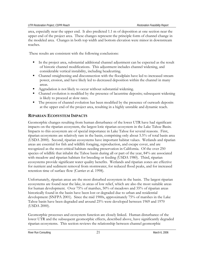<span id="page-25-0"></span>area, especially near the upper end. It also predicted 1.1 m of deposition at one section near the upper end of the project area. These changes represent the principle form of channel change in the modeled area. Changes in both top width and bottom elevation were minor in downstream reaches.

These results are consistent with the following conclusions:

- In the project area, substantial additional channel adjustment can be expected as the result of historic channel modifications. This adjustment includes channel widening, and considerable vertical instability, including headcutting.
- Channel straightening and disconnection with the floodplain have led to increased stream power, erosion, and have likely led to decreased deposition within the channel in many areas.
- Aggradation is not likely to occur without substantial widening.
- Channel evolution is modified by the presence of lacustrine deposits; subsequent widening is likely to proceed at slow rates.
- The process of channel evolution has been modified by the presence of outwash deposits at the upper end of the project area, resulting in a highly unstable and dynamic reach.

# **RIPARIAN ECOSYSTEM IMPACTS**

Geomorphic changes resulting from human disturbance of the lower UTR have had significant impacts on the riparian ecosystem, the largest lotic riparian ecosystem in the Lake Tahoe Basin. Impacts to this ecosystem are of special importance in Lake Tahoe for several reasons. First, riparian ecosystems are relatively rare in the basin, comprising only about 5.5% of total basin area (USDA 2000). Second, riparian ecosystems have important habitat values. Wetlands and riparian areas are essential for fish and wildlife foraging, reproduction, and escape cover, and are recognized as the most critical habitats needing preservation in California. Of the over 250 species of wildlife that inhabit the Tahoe basin during all or part of the year, 84% are associated with meadow and riparian habitats for breeding or feeding (USDA 1980). Third, riparian ecosystems provide significant water quality benefits. Wetlands and riparian zones are effective for nutrient and sediment removal from stormwater, for reduced flood peaks, and for increased retention time of surface flow (Currier et al. 1998).

Unfortunately, riparian areas are the most disturbed ecosystem in the basin. The largest riparian ecosystems are found near the lake, in areas of low relief, which are also the most suitable areas for human development. Over 75% of marshes, 50% of meadows and 35% of riparian areas historically found in the basin have been lost or degraded due to urban and residential development (SNFPA 2001). Since the mid 1900s, approximately 75% of marshes in the Lake Tahoe basin have been degraded and around 25% were developed between 1969 and 1970 (USDA 2000).

Geomorphic processes and ecosystem function are closely linked. Human disturbance of the lower UTR and the subsequent geomorphic effects, described above, have significantly degraded riparian ecosystems. This section reviews the relationship between channel geomorphic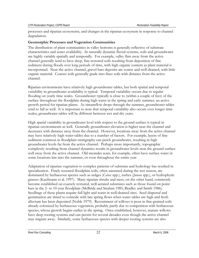<span id="page-26-0"></span>processes and riparian ecosystems, and changes in the riparian ecosystem in response to channel degradation.

#### **Geomorphic Processes and Vegetation Communities**

The distribution of plant communities in valley bottoms is generally reflective of substrate characteristics and water availability. In naturally dynamic fluvial systems, soils and groundwater are highly variable spatially and temporally. For example, valley flats away from the active channel generally tend to have deep, fine-textured soils resulting from deposition of fine sediment during floods over long periods of time, with high organic content as plant material is incorporated. Near the active channel, gravel bars deposits are coarse and well-drained, with little organic material. Coarser soils generally grade into finer soils with distance from the active channel.

Riparian environments have relatively high groundwater tables, but both spatial and temporal variability in groundwater availability is typical. Temporal variability occurs due to regular flooding on yearly time scales. Groundwater typically is close to (within a couple of feet) of the surface throughout the floodplain during high water in the spring and early summer, an active growth period for riparian plants. As streamflow drops through the summer, groundwater tables tend to fall as well. It is important to note that temporal variability also occurs over longer timescales; groundwater tables will be different between wet and dry years.

High spatial variability in groundwater level with respect to the ground surface is typical in riparian environments as well. Generally groundwater elevation is higher near the channel and decreases with distance away from the channel. However, locations away from the active channel may have relatively high water tables due to a number of factors. For example, layers of fine sediment common in floodplain stratigraphy can perch groundwater, resulting in high groundwater levels far from the active channel. Perhaps more importantly, topographic complexity resulting from channel dynamics results in groundwater levels near the ground surface well away from the active channel. Old meander scars, for example, often have surface water in some locations late into the summer, or even throughout the entire year.

Adaptation of riparian vegetation to complex patterns of substrate and hydrology has resulted in specialization. Finely textured floodplain soils, often saturated during the wet season, are dominated by herbaceous species such as sedges (*Carex* spp.), rushes (*Juncus* spp.), or hydrophytic grasses (Kaufmann et al. 1997). Many riparian shrubs and trees, on the other hand, commonly become established on coarsely textured, well-aerated substrates such as those found on point bars in the 2- to 10-year floodplain (McBride and Strahan 1985; Bradley and Smith 1986). Seedlings of these plants require full light and water in well-drained sites. Seed dispersal and germination are timed to coincide with late spring flows when water tables are high and fresh alluvium has been deposited (Noble 1979). Recruitment of willows is poor in fine-grained soils already colonized by herbaceous vegetation, probably partly due to competition with herbaceous species, whose growth begins earlier in the spring. Once established, however, mature willows have deep rooting systems and can persist for several decades even though the active channel may migrate away. Similarly, some herbaceous species with deeper rooting systems are also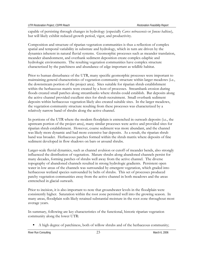capable of persisting through changes in hydrology (especially *Carex nebrascensis* or *Juncus balticus*), but will likely exhibit reduced growth period, vigor, and productivity.

Composition and structure of riparian vegetation communities is thus a reflection of complex spatial and temporal variability in substrate and hydrology, which in turn are driven by the dynamics inherent in natural fluvial systems. Geomorphic processes such as meander translation, meander abandonment, and overbank sediment deposition create complex edaphic and hydrologic environments. The resulting vegetation communities have complex structure characterized by the patchiness and abundance of edge important as wildlife habitat.

Prior to human disturbance of the UTR, many specific geomorphic processes were important to maintaining general characteristics of vegetation community structure within larger meadows (i.e., the downstream portion of the project area). Sites suitable for riparian shrub establishment within the herbaceous matrix were created by a host of processes. Streambank erosion during floods created small patches along streambanks where shrubs could establish. Bar deposits along the active channel provided excellent sites for shrub recruitment. Small overbank sediment deposits within herbaceous vegetation likely also created suitable sites. In the larger meadows, the vegetation community structure resulting from these processes was characterized by a relatively narrow band of shrubs along the active channel.

In portions of the UTR where the modern floodplain is entrenched in outwash deposits (i.e., the upstream portion of the project area), many similar processes were active and provided sites for riparian shrub establishment. However, coarse sediment was more abundant, and the channel was likely more dynamic and had more extensive bar deposits. As a result, the riparian shrub band was broader. Herbaceous patches formed within the shrub matrix where deposits of fine sediment developed in flow shadows on bars or around shrubs.

Larger-scale fluvial dynamics, such as channel avulsion or cutoff of meander bends, also strongly influenced the distribution of vegetation. Mature shrubs along abandoned channels persist for many decades, forming patches of shrubs well away from the active channel. The diverse topography of abandoned channels resulted in strong hydrologic gradients. Persistent open water in low areas of the channels was surrounded by emergent vegetation, which graded into herbaceous wetland species surrounded by belts of shrubs. This set of processes produced patchy vegetation communities away from the active channel in both meadows and the areas entrenched in glacial outwash.

Prior to incision, it is also important to note that groundwater levels in the floodplain were consistently higher. Saturation within the root zone persisted well into the growing season. In many areas, floodplain soils likely retained substantial moisture in the root zone throughout most average years.

In summary, following are key characteristics of the functional, historic riparian vegetation community along the lower UTR:

A high degree of patchiness, both of willow shrubs and of the herbaceous community;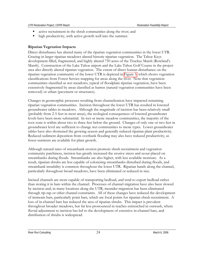- <span id="page-28-0"></span>active recruitment in the shrub communities along the river; and
- high productivity, with active growth well into the summer.

#### **Riparian Vegetation Impacts**

Direct disturbance has altered many of the riparian vegetation communities in the lower UTR. Grazing in larger riparian meadows altered historic riparian vegetation. The Tahoe Keys development filled, fragmented, and highly altered 750 acres of the Truckee Marsh (Rowland's Marsh). Construction of the Lake Tahoe airport and the Lake Tahoe Golf Course in the project area also directly altered riparian vegetation. The extent of direct human disturbance on the riparian vegetation community of the lower UTR is depicted in Figure 5, which shows vegetation classifications from Forest Service mapping for areas along the river. Note that vegetation communities classified as wet meadows, typical of floodplain riparian vegetation, have been extensively fragmented by areas classified as barren (natural vegetation communities have been removed) or urban (pavement or structures).

Changes in geomorphic processes resulting from channelization have impacted remaining riparian vegetation communities. Incision throughout the lower UTR has resulted in lowered groundwater tables in meadows. Although the magnitude of incision has been relatively small (probably from 2-5 feet in most areas), the ecological consequences of lowered groundwater levels have been more substantial. In wet or mesic meadow communities, the majority of the root zone is within about two to three feet below the ground. Changes of only one or two feet in groundwater level are sufficient to change wet communities to mesic types. Lower groundwater tables have also shortened the growing season and generally reduced riparian plant productivity. Reduced sediment deposition from overbank flooding may also have reduced productivity, as fewer nutrients are available for plant growth.

Although natural rates of streambank erosion promote shrub recruitment and vegetation community patchiness, incision has greatly increased the erosive stress and scour placed on streambanks during floods. Streambanks are also higher, with less available moisture. As a result, riparian shrubs are less capable of colonizing streambanks disturbed during floods, and streambank instability is common throughout the lower UTR. Riparian bands along the channel, particularly throughout broad meadows, have been eliminated or reduced in size.

Incised channels are more capable of transporting bedload, and tend to export bedload rather than storing it in bars within the channel. Processes of channel migration have also been slowed by incision and, in many locations along the UTR, meander migration has been eliminated through rip-rap or other channel constraints. All of these changes have reduced the development of instream bars, particularly point bars, which are focal points for riparian shrub recruitment. A loss of in-channel bars has reduced the area of riparian shrubs. This impact is prevalent throughout broader meadows, but far less pronounced in reaches entrenched in outwash, where fluvial adjustment to incision has led to the development of extensive in-channel bars, and distribution of shrubs is widespread.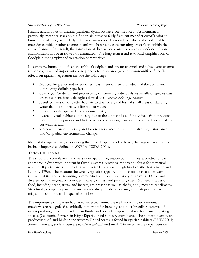<span id="page-29-0"></span>Finally, natural rates of channel planform dynamics have been reduced. As mentioned previously, meander scars on the floodplain attest to fairly frequent meander cutoffs prior to human disturbance, particularly in broader meadows. Incision has reduced the potential for meander cutoffs or other channel planform changes by concentrating larger flows within the active channel. As a result, the formation of diverse, structurally complex abandoned channel environments has been slowed or eliminated. The long-term trend is toward simplification of floodplain topography and vegetation communities.

In summary, human modifications of the floodplain and stream channel, and subsequent channel responses, have had important consequences for riparian vegetation communities. Specific effects on riparian vegetation include the following:

- Reduced frequency and extent of establishment of new individuals of the dominant, community-defining species;
- lower vigor (or death) and productivity of surviving individuals, especially of species that are not as tenaciously drought-adapted as *C. nebrascensis* or *J. balticus*;
- overall conversion of wetter habitats to drier ones, and loss of small areas of standing water that are of great wildlife habitat value;
- reduced woody riparian habitat connectivity;
- **IDE 1** lowered overall habitat complexity due to the ultimate loss of individuals from previous establishment episodes and lack of new colonization, resulting in lowered habitat values for wildlife; and
- consequent loss of diversity and lowered resistance to future catastrophe, disturbance, and/or gradual environmental change.

Most of the riparian vegetation along the lower Upper Truckee River, the largest stream in the basin, is impaired as defined in SNFPA (USDA 2001).

# **Terrestrial Habitat**

The structural complexity and diversity in riparian vegetation communities, a product of the geomorphic dynamism inherent in fluvial systems, provides important habitat for terrestrial wildlife. Riparian areas are productive, diverse habitats with high biodiversity (Kattlemann and Embury 1996). The ecotones between vegetation types within riparian areas, and between riparian habitat and surrounding communities, are used by a variety of animals. Dense and diverse riparian vegetation provides a variety of nest and perching sites. Numerous types of food, including seeds, fruits, and insects, are present as well as shady, cool, moist microclimates. Structurally complex riparian environments also provide cover, migration stopover areas, migration corridors, and dispersal corridors.

The importance of riparian habitat to terrestrial animals is well-known. Sierra mountain meadows are recognized as critically important for breeding and post-breeding dispersal of neotropical migrants and resident landbirds, and provide stopover habitat for many migrating species (California Partners in Flight Riparian Bird Conservation Plan). The highest diversity and productivity of land birds in the western United States is found in riparian habitats (RHJV 2004). Some mammals, such as beavers (*Castor canadensis*) and mink (*Mustela vison*) are dependent on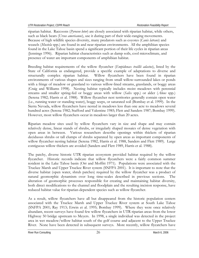riparian habitat. Raccoons (*Pyrocon lotor*) are closely associated with riparian habitat, while others, such as black bears (*Ursus americanus*), use it during part of their wide-ranging movements. Because of high wildlife species diversity, many predators such as coyotes (*Canis latrans*) and weasels (*Mustela* spp.) are found in and near riparian environments. All the amphibian species found in the Lake Tahoe basin spend a significant portion of their life cycles in riparian areas (Jennings 1996). Riparian habitat characteristics such as damp soils, cool microclimate, and presence of water are important components of amphibian habitat.

Breeding habitat requirements of the willow flycatcher (*Empidonax traillii adastus*), listed by the State of California as endangered, provide a specific example of adaptations to diverse and structurally complex riparian habitat. Willow flycatchers have been found in riparian environments of various shapes and sizes ranging from small willow-surrounded lakes or ponds with a fringe of meadow or grassland to various willow-lined streams, grasslands, or boggy areas (Craig and Williams 1998). Nesting habitat typically includes moist meadows with perennial streams and smaller spring-fed or boggy areas with willow (*Salix* spp.) or alder (*Alnus* spp.) (Serena 1982; Harris et al. 1988). Willow flycatcher nest territories generally contain open water (i.e., running water or standing water), boggy seeps, or saturated soil (Bombay et al. 1999). In the Sierra Nevada, willow flycatchers have nested in meadows less than one acre to meadows several hundred acres (Serena 1982; Stafford and Valentine 1985; Flett and Sanders 1987; Bombay 1999). However, most willow flycatchers occur in meadows larger than 20 acres.

Riparian meadow sites used by willow flycatchers vary in size and shape and may contain relatively dense, linear stands of shrubs, or irregularly shaped mosaics of dense vegetation with open areas in between. Various researchers describe openings within thickets of riparian deciduous shrubs or tall clumps of shrubs separated by open areas as important components of willow flycatcher nesting habitat (Serena 1982, Harris et al. 1988, Sanders and Flett 1989). Large contiguous willow thickets are avoided (Sanders and Flett 1989, Harris et al. 1988).

The patchy, diverse historic UTR riparian ecosystem provided habitat required by the willow flycatcher. Historic records indicate that willow flycatchers were a fairly common summer resident in the Lake Tahoe basin (Orr and Moffitt 1971). Populations were associated with the Truckee Marsh and Upper Truckee River system (SNFPA 2001). It is important to note that the diverse habitat (open water, shrub patches) required by the willow flycatcher was a product of natural geomorphic dynamism over long time-scales described in previous sections. alteration of geomorphic processes responsible for creating and maintaining habitat diversity, both direct modifications to the channel and floodplain and the resulting incision response, have reduced habitat value for riparian-dependent species such as willow flycatcher.

As a result, willow flycatchers have all but disappeared from the historic population centers associated with the Truckee Marsh and Upper Truckee River system at South Lake Tahoe (SNFPA 2001; Ray 1913; Erwin et al. 1995; Bombay 1999). Where they were once relatively abundant, recent surveys have found few willow flycatchers in UTR riparian areas from the lower Highway 50 bridge upstream to Meyers. In 1998, a single individual was detected in the project area in wet meadow/willow habitat south of the golf course and adjacent to the Upper Truckee River. None have been detected in subsequent surveys. More recently, willow flycatchers have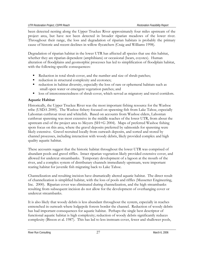<span id="page-31-0"></span>been detected nesting along the Upper Truckee River approximately four miles upstream of the project area, but have not been detected in broader riparian meadows of the lower river. Throughout their range, the loss and degradation of riparian habitats is probably the primary cause of historic and recent declines in willow flycatchers (Craig and Williams 1998).

Degradation of riparian habitat in the lower UTR has affected all species that use this habitat, whether they are riparian dependent (amphibians) or occasional (bears, coyotes). Human alteration of floodplains and geomorphic processes has led to simplification of floodplain habitat, with the following specific consequences:

- Reduction in total shrub cover, and the number and size of shrub patches;
- reduction in structural complexity and ecotones;
- reduction in habitat diversity, especially the loss of rare or ephemeral habitats such as small open water or emergent vegetation patches; and
- loss of interconnectedness of shrub cover, which served as migratory and travel corridors.

### **Aquatic Habitat**

Historically, the Upper Truckee River was the most important fishing resource for the Washoe tribe (USDA 2000). The Washoe fishery focused on spawning fish from Lake Tahoe, especially Lahontan cutthroat trout and whitefish. Based on accounts from Washoe elders, Lahontan cutthroat spawning was most extensive in the middle reaches of the lower UTR, from about the upstream end of the project area to Meyers (SH+G 2004). Maps of preferred Washoe fishing spots focus on this area, where the gravel deposits preferred by salmonids for spawning were likely extensive. Gravel recruited locally from outwash deposits, and sorted and stored by channel processes, including interaction with woody debris, likely provided complex and high quality aquatic habitat.

These accounts suggest that the historic habitat throughout the lower UTR was comprised of abundant pools and gravel riffles. Intact riparian vegetation likely provided extensive cover, and allowed for undercut streambanks. Temporary development of a lagoon at the mouth of the river, and a complex system of distributary channels immediately upstream, were important rearing habitat for juvenile fish migrating back to Lake Tahoe.

Channelization and resulting incision have dramatically altered aquatic habitat. The direct result of channelization is simplified habitat, with the loss of pools and riffles (Mussetter Engineering, Inc. 2000). Riparian cover was eliminated during channelization, and the high streambanks resulting from subsequent incision do not allow for the development of overhanging cover or undercut streambanks.

It is also likely that woody debris is less abundant throughout the system, especially in reaches entrenched in outwash where lodgepole forests border the channel. Reduction of woody debris has had important consequences for aquatic habitat. Perhaps the single best descriptor of functional aquatic habitat is high complexity; reduction of woody debris significantly reduces complexity (Bisson et al. 1987). This has led to less instream cover, fewer and shallower pools,

River Run Consulting 27 March 6, 2006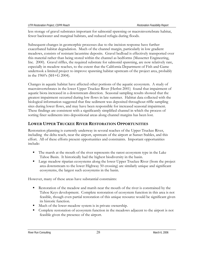<span id="page-32-0"></span>less storage of gravel substrates important for salmonid spawning or macroinvertebrate habitat, fewer backwater and marginal habitats, and reduced refugia during floods.

Subsequent changes in geomorphic processes due to the incision response have further exacerbated habitat degradation. Much of the channel margin, particularly in low gradient meadows, consists of resistant lacustrine deposits. Gravel bedload is effectively transported over this material rather than being stored within the channel as bedforms (Mussetter Engineering, Inc. 2000). Gravel riffles, the required substrate for salmonid spawning, are now relatively rare, especially in meadow reaches, to the extent that the California Department of Fish and Game undertook a limited project to improve spawning habitat upstream of the project area, probably in the 1960's (SH+G 2004).

Changes in aquatic habitat have affected other portions of the aquatic ecosystem. A study of macroinvertebrates in the lower Upper Truckee River (Herbst 2001) found that impairment of aquatic biota increased in a downstream direction. Seasonal sampling results showed that the greatest impairment occurred during low flows in late summer. Habitat data collected with the biological information suggested that fine sediment was deposited throughout riffle sampling sites during lower flows, and may have been responsible for increased seasonal impairment. These findings are consistent with a significantly simplified channel in which the process of sorting finer sediments into depositional areas along channel margins has been lost.

# **LOWER UPPER TRUCKEE RIVER RESTORATION OPPORTUNITIES**

Restoration planning is currently underway in several reaches of the Upper Truckee River, including the delta reach, near the airport, upstream of the airport at Sunset Stables, and this effort. All of these efforts present opportunities and constraints. Important opportunities include:

- The marsh at the mouth of the river represents the rarest ecosystem type in the Lake Tahoe Basin. It historically had the highest biodiversity in the basin.
- Large meadow riparian ecosystems along the lower Upper Truckee River (from the project area downstream to the lower Highway 50 crossing) are similarly unique and significant ecosystems, the largest such ecosystems in the basin.

However, many of these areas have substantial constraints:

- Restoration of the meadow and marsh near the mouth of the river is constrained by the Tahoe Keys development. Complete restoration of ecosystem function in this area is not feasible, though even partial restoration of this unique resource would be significant given its historic function.
- Much of the lower meadow system is in private ownership.
- Complete restoration of ecosystem function in the meadows adjacent to the airport is not feasible given the presence of the airport.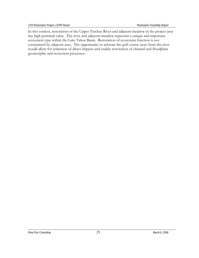In this context, restoration of the Upper Truckee River and adjacent meadow in the project area has high potential value. The river and adjacent meadow represent a unique and important ecosystem type within the Lake Tahoe Basin. Restoration of ecosystem function is not constrained by adjacent uses. The opportunity to relocate the golf course away from the river would allow for reduction of direct impacts and enable restoration of channel and floodplain geomorphic and ecosystem processes.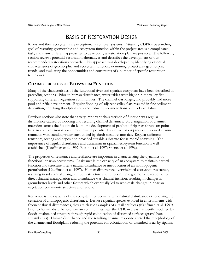# BASIS OF RESTORATION DESIGN

<span id="page-34-0"></span>Rivers and their ecosystems are exceptionally complex systems. Attaining CDPR's overarching goal of restoring geomorphic and ecosystem function within the project area is a complicated task, and many different approaches to developing a restoration plan are possible. The following section reviews potential restoration alternatives and describes the development of our recommended restoration approach. This approach was developed by identifying essential characteristics of geomorphic and ecosystem function, examining project area geomorphic trends, and evaluating the opportunities and constraints of a number of specific restoration techniques.

# **CHARACTERISTICS OF ECOSYSTEM FUNCTION**

Many of the characteristics of the functional river and riparian ecosystem have been described in preceding sections. Prior to human disturbance, water tables were higher in the valley flat, supporting different vegetation communities. The channel was longer, and probably had more pool and riffle development. Regular flooding of adjacent valley flats resulted in fine sediment deposition, enriching floodplain soils and reducing sediment transport to Lake Tahoe.

Previous sections also note that a very important characteristic of function was regular disturbance caused by flooding and resulting channel dynamics. Slow migration of channel meanders across the floodplain led to the development of patches of riparian shrubs on point bars, in complex mosaics with meadows. Sporadic channel avulsions produced isolated channel remnants with standing water surrounded by shrub-meadow mosaics. Regular sediment transport, sorting and deposition provided suitable substrate for salmonid spawning. The importance of regular disturbance and dynamism in riparian ecosystem function is wellestablished (Kauffman et al. 1997; Bisson et al. 1997; Spence et al. 1996).

The properties of resistance and resilience are important in characterizing the dynamics of functional riparian ecosystems. Resistance is the capacity of an ecosystem to maintain natural function and structure after a natural disturbance or introduction of an anthropogenic perturbation (Kauffman et al. 1997). Human disturbance overwhelmed ecosystem resistance, resulting in substantial changes in both structure and function. The geomorphic response to direct channel manipulation and disturbance was channel incision, resulting in changes in groundwater levels and other factors which eventually led to wholesale changes in riparian vegetation community structure and function.

Resilience is the capacity of the ecosystem to recover after a natural disturbance or following the cessation of anthropogenic disturbance. Because riparian species evolved in environments with frequent fluvial disturbances, they are classic examples of a resilient biota (Kauffman et al. 1997). Prior to human disturbance, riparian communities near the UTR, in areas frequently modified by floods, maintained structure through rapid colonization of disturbed surfaces (gravel bars, streambanks). Human disturbance and the resulting channel response altered the morphology of the channel and floodplain, reducing the potential for colonization of disturbed areas by riparian

River Run Consulting **30** March 6, 2006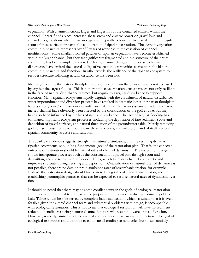vegetation. With channel incision, larger and larger floods are contained entirely within the channel. Larger floods place increased shear stress and erosive power on gravel bars and streambanks, locations where riparian vegetation typically colonizes. Increased and more regular scour of these surfaces prevents the colonization of riparian vegetation. The current vegetation community structure represents over 30 years of response to the cessation of channel modifications. Some smaller, isolated patches of riparian vegetation have become established within the larger channel, but they are significantly fragmented and the structure of the entire community has been completely altered. Clearly, channel changes in response to human disturbance have limited the natural ability of vegetation communities to maintain the historic community structure and function. In other words, the resilience of the riparian ecosystem to recover structure following natural disturbance has been lost.

More significantly, the historic floodplain is disconnected from the channel, and is not accessed by any but the largest floods. This is important because riparian ecosystems are not only resilient in the face of natural disturbance regimes, but require this regular disturbance to support function. Many riparian ecosystems rapidly degrade with the curtailment of natural disturbance; water impoundment and diversion projects have resulted in dramatic losses in riparian floodplain forests throughout North America (Kauffman et al. 1997). Riparian systems outside the current incised channel have obviously been affected by the construction of the golf course, but they have also been influenced by the loss of natural disturbance. The lack of regular flooding has eliminated important ecosystem processes, including the deposition of fine sediment, scour and deposition of gravel surfaces, and natural fluctuation of the groundwater table. Merely removing golf course infrastructure will not restore these processes, and will not, in and of itself, restore riparian community structure and function.

The available evidence suggests strongly that natural disturbance, and the resulting dynamism in riparian ecosystems, should be a fundamental goal of the restoration plan. That is, the expected outcome of restoration should be natural rates of channel dynamism. The restoration design should incorporate processes such as the construction of gravel bars through scour and deposition, and the recruitment of woody debris, which increases channel complexity and improves substrate through sorting and deposition. Quantification of natural rates of dynamics is not possible; there are no data on pre-disturbance rates of streambank erosion, for example. Instead, the restoration design should focus on reducing rates of streambank erosion, and establishing geomorphic processes that can be expected to restore natural rates of dynamism over time.

It should be noted that there may be some conflict between the goals of ecological restoration and objectives developed to address single purposes. For example, reducing sediment yield to Lake Tahoe would best be served by complete bank stabilization which, assuming that it is even feasible given the altered channel form and substantial problems with design, is incompatible with ecological restoration. This is not to say that ecological restoration will have no sediment reduction benefits; restoring historic channel function will result in lowered rates of erosion. However, some dynamism is a fundamental component of riparian system function. The goal of ecological restoration should not be to eliminate all eroding streambanks, but to substantially

River Run Consulting **31** March 6, 2006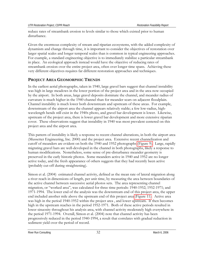reduce rates of streambank erosion to levels similar to those which existed prior to human disturbance.

Given the enormous complexity of stream and riparian ecosystems, with the added complexity of dynamism and change through time, it is important to consider the objectives of restoration over larger spatial scales and longer temporal scales than is common in typical engineering approaches. For example, a standard engineering objective is to immediately stabilize a particular streambank in place. An ecological approach instead would have the objective of reducing rates of streambank erosion over the entire project area, often over longer time spans. Achieving these very different objectives requires far different restoration approaches and techniques.

# **PROJECT AREA GEOMORPHIC TRENDS**

In the earliest aerial photographs, taken in 1940, large gravel bars suggest that channel instability was high in large meadows in the lower portion of the project area and in the area now occupied by the airport. In both areas, large gravel deposits dominate the channel, and meander radius of curvature is much higher in the 1940 channel than for meander scars on adjacent floodplain. Channel instability is much lower both downstream and upstream of these areas. For example, downstream of the airport area the channel appears relatively stable; a few low-radius, highwavelength bends still exist in the 1940s photo, and gravel bar development is lower. Likewise, upstream of the project area, there is lower gravel bar development and more extensive riparian cover. These observations suggest that instability in 1940 was most prevalent centered on this project area and the airport area.

This pattern of instability is likely a response to recent channel alterations, in both the airport area (Mussetter Engineering, Inc. 2000) and the project area. Extensive recent channelization and cutoff of meanders are evident on both the 1940 and 1952 photographs (Figure 9). Large, rapidly migrating gravel bars are well-developed in the channel in both photographs, likely a response to human modifications. Nonetheless, some sense of pre-disturbance meander geometry is preserved in the early historic photos. Some meanders active in 1940 and 1952 are no longer active today, and the fresh appearance of others suggests that they had recently been active (probably cut-off during straightening).

Simon et al. (2004) estimated channel activity, defined as the mean rate of lateral migration along a river reach in dimensions of length, per unit time, by measuring the area between boundaries of the active channel between successive aerial photos sets. The area representing channel migration, or "worked area", was calculated for three time periods: 1940-1952; 1952-1971; and 1971-1994. The lower end of the analysis was the downstream end of this project area, the upper end included another mile above the upstream end of this project area (Figure 11). Active area was high in the period 1940-1952 within the project area , and lower upstream. It then becomes high in the upstream reaches in the period 1952-1971. Both of these active periods resulted in lower sinuosity throughout his analysis area, with channel activity moderately high everywhere in the period 1971-1994. Overall, Simon et al. (2004) note that channel activity has been progressively reduced in the period 1940-1994, a result that correlates with gradual reduction in sediment yield over the period of record.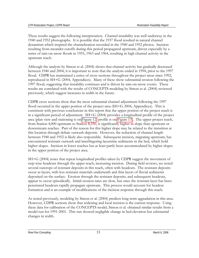These results suggest the following interpretation. Channel instability was well underway in the 1940 and 1952 photographs. It is possible that the 1937 flood resulted in natural channel dynamism which inspired the channelization recorded in the 1940 and 1952 photos. Incision resulting from meander cutoffs during this period propagated upstream, driven especially by a series of rain-on-snow floods in 1955, 1963 and 1964, resulting in high channel activity in the upstream reach.

Although the analysis by Simon et al. (2004) shows that channel activity has gradually decreased between 1940 and 2004, it is important to note that the analysis ended in 1994, prior to the 1997 flood. CDPR has maintained a series of cross sections throughout the project areas since 1992, reproduced in SH+G (2004, Appendices). Many of these show substantial erosion following the 1997 flood, suggesting that instability continues and is driven by rain-on-snow events. These results are correlated with the results of CONCEPTS modeling by Simon et al. (2004) reviewed previously, which suggest increases in width in the future.

CDPR cross sections show that the most substantial channel adjustment following the 1997 flood occurred in the upper portion of the project area (SH+G 2004, Appendices). This is consistent with previous conclusions in this report that the upper portion of the project reach is in a significant period of adjustment. SH+G (2004) provides a longitudinal profile of the project area (plan view and stationing is on Figure 12; profile is on Figure 13). The upper project reach, from Station 4,000 upstream to Station 8,350, is significantly higher in slope than upstream or downstream reaches. Part of the reason for this higher slope may be related to the transition at this location through deltaic outwash deposits. However, the reduction of channel length between 1940 and 1952 is likely also responsible. Subsequent incision, migrating upstream, has encountered resistant outwash and interfingering lacustrine sediments in the bed, which hold higher slopes. Incision in lower reaches has at least partly been accommodated by higher slopes in the upper portion of the project area.

SH+G (2004) notes that repeat longitudinal profiles taken by CDPR suggest the movement of step-wise headcuts through the upper reach, increasing incision. During field reviews, we noted several outcrops of resistant deposits in this reach, often with headcuts. The resistant deposits occur as layers, with less resistant materials underneath and thin layers of fluvial sediments deposited on the surface. Erosion through the resistant deposits, and subsequent headcuts, appear to occur episodically. Initial erosion rates are slow, but once the resistant layer has been penetrated headcuts rapidly propagate upstream. This process would account for headcut formation and is an example of modifications of the incision response through this reach.

As noted previously, modeling by Simon et al. (2004) predicts long-term aggradation in this area. However, CDPR sections show that widening and local incision is the current response. Using these data for calibration of the CONCEPTS model, Simon et al. obtained similar results from a model run for 1991-2001. This run showed negligible change in bed elevation but substantial changes in width.

River Run Consulting **2006** March 6, 2006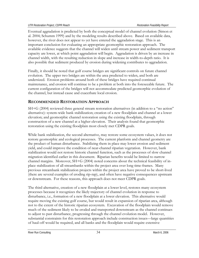Eventual aggradation is predicted by both the conceptual model of channel evolution (Simon et al. 2004; Schumm 1999) and by the modeling results described above. Based on available data, however, the river does not appear to yet have entered the aggradation stage. This is an important conclusion for evaluating an appropriate geomorphic restoration approach. The available evidence suggests that the channel will widen until stream power and sediment transport capacity are lower, at which point aggradation will begin. Aggradation is driven by an increase in channel width, with the resulting reduction in slope and increase in width-to-depth ratio. It is also possible that sediment produced by erosion during widening contributes to aggradation.

Finally, it should be noted that golf course bridges are significant controls on future channel evolution. The upper two bridges are within the area predicted to widen, and both are undersized. Erosion problems around both of these bridges have required continual maintenance, and erosion will continue to be a problem at both into the foreseeable future. The current configuration of the bridges will not accommodate predicted geomorphic evolution of the channel, but instead cause and exacerbate local erosion.

# **RECOMMENDED RESTORATION APPROACH**

SH+G (2004) reviewed three general stream restoration alternatives (in addition to a "no action" alternative): system-wide bank stabilization; creation of a new floodplain and channel at a lower elevation; and geomorphic channel restoration using the existing floodplain, through construction of a new channel at a higher elevation. Their analysis found that geomorphic restoration using the existing floodplain most closely met CDPR goals.

While bank stabilization, the second alternative, may restore some ecosystem values, it does not restore geomorphic and ecological processes. The current planform and channel geometry are the product of human disturbance. Stabilizing them in place may lower erosion and sediment yield, and could improve the condition of near-channel riparian vegetation. However, bank stabilization would not restore historic channel function, such as the processes of slow channel migration identified earlier in this document. Riparian benefits would be limited to narrow channel margins. Moreover, SH+G (2004) noted concerns about the technical feasibility of inplace stabilization of all streambanks within the project area over long time-frames. Many previous streambank stabilization projects within the project area have proved to be short-lived (there are several examples of eroding rip-rap), and often have negative consequences upstream or downstream. For these reasons, this approach does not meet CDPR goals.

The third alternative, creation of a new floodplain at a lower level, restores many ecosystem processes because it recognizes the likely trajectory of channel evolution in response to disturbance, i.e., formation of a new floodplain at a lower elevation. This alternative would require moving the existing golf course, but would result in expansion of riparian area, although not to the extent of the historic riparian ecosystem. Excavation of the floodplain would remove much of the sediment likely to be eroded and transported downstream as the channel continues to adjust to past disturbance, progressing through the channel evolution model. However, substantial constraints for this restoration approach include construction issues—large quantities of haul-off would be required, and all banks and the floodplain would require extensive

River Run Consulting and the state of the state of 34 March 6, 2006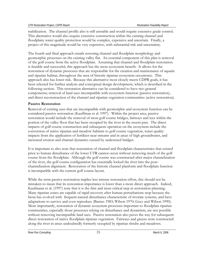stabilization. The channel profile also is still unstable and would require extensive grade control. This alternative would also require extensive construction within the existing channel and floodplain; water quality protection would be complex, expensive and uncertain. Finally, a project of this magnitude would be very expensive, with substantial risk and uncertainty.

The fourth and final approach entails restoring channel and floodplain morphology and geomorphic processes on the existing valley flat. An essential component of this plan is removal of the golf course from the active floodplain. Assuming that channel and floodplain restoration is feasible and successful, this approach has the most ecosystem benefit. It allows for the restoration of dynamic processes that are responsible for the creation and maintenance of aquatic and riparian habitat, throughout the area of historic riparian ecosystem occurrence. This approach also has lower risk. Because this alternative most closely meets CDPR goals, it has been selected for further analysis and conceptual design development, which is described in the following section. This restoration alternative can be considered to have two general components; removal of land uses incompatible with ecosystem function (passive restoration), and direct reconstruction of the channel and riparian vegetation communities (active restoration).

#### **Passive Restoration**

Removal of existing uses that are incompatible with geomorphic and ecosystem function can be considered passive restoration (Kauffman et al. 1997). Within the project area, passive restoration would include the removal of most golf course bridges, fairways and tees within the portion of the valley floor that has been occupied by the river in the recent past. The direct impacts of golf course construction and subsequent operation on the ecosystem include the conversion of native riparian and meadow habitats to golf course vegetation, water quality impacts from the application of fertilizer near streams and in areas of high groundwater, and increased erosion and channel dynamics caused by undersized bridges.

It is important to also note that restoration of channel and floodplain characteristics that existed prior to human disturbance of the lower UTR cannot occur without removing much of the golf course from the floodplain. Although the golf course was constructed after major channelization of the river, the golf course configuration has essentially locked the river into the postchannelization alignment. Restoration of the historic channel planform and floodplain function is incompatible with the current golf course layout.

While the term passive restoration implies less intense restoration effort, this should not be mistaken to mean that its restoration importance is lower than a more direct approach. Indeed, Kaufmann et al. (1997) note that it is the first and most critical step in restoration planning. Many riparian zones are capable of rapid recovery after human perturbations stop because the biota has evolved with frequent natural disturbance characteristic of riverine systems, and have adaptations to survive and even reproduce (Barnes 1983; Wilson 1970; Gecy and Wilson 1990). More importantly, restoration of dynamic ecosystem processes important to floodplain riparian communities, especially those processes relying on disturbance and dynamism, are not possible without removing incompatible land uses. Passive restoration also paves the way for subsequent direct restoration of native floodplain riparian vegetation. Fairways and greens were constructed along the river in areas undoubtedly formerly occupied by riparian shrubs and meadows.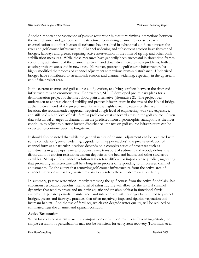Another important consequence of passive restoration is that it minimizes interactions between the river channel and golf course infrastructure. Continuing channel response to early channelization and other human disturbance have resulted in substantial conflicts between the river and golf course infrastructure. Channel widening and subsequent erosion have threatened bridges, fairways and greens, requiring active intervention in the form of rip-rap and other bank stabilization measures. While these measures have generally been successful in short-time frames, continuing adjustment of the channel upstream and downstream creates new problems, both at existing problem areas and in new ones. Moreover, protecting golf course infrastructure has highly modified the process of channel adjustment to previous human disturbance. Undersized bridges have contributed to streambank erosion and channel widening, especially in the upstream end of the project area.

In the current channel and golf course configuration, resolving conflicts between the river and infrastructure is an enormous task. For example, SH+G developed preliminary plans for a demonstration project of the inset flood plain alternative (alternative 2). The project was undertaken to address channel stability and protect infrastructure in the area of the Hole 6 bridge at the upstream end of the project area. Given the highly dynamic nature of the river in this location, the recommended approach required a high level of engineering, was very expensive, and still held a high level of risk. Similar problems exist at several areas in the golf course. Given that substantial changes in channel form are predicted from a geomorphic standpoint as the river continues to adjust to historic human disturbance, impacts on golf course infrastructure can be expected to continue over the long-term.

It should also be noted that while the general nature of channel adjustment can be predicted with some confidence (general widening, aggradation in upper reaches), the precise evolution of channel form at a particular locations depends on a complex series of processes such as adjustments in grade upstream and downstream, transport of sediment and woody debris, the distribution of erosion resistant sediment deposits in the bed and banks, and other stochastic variables. Site-specific channel evolution is therefore difficult or impossible to predict, suggesting that protecting infrastructure will be a long-term process of responding to unforeseen channel adjustments. To the extent that removing golf course infrastructure from the active area of channel migration is feasible, passive restoration resolves these problems with certainty.

In summary, passive restoration--merely removing the golf course from the active floodplain--has enormous restoration benefits. Removal of infrastructure will allow for the natural channel dynamics that tend to create and maintain aquatic and riparian habitat in functional fluvial systems. Expensive periodic maintenance and intervention will no longer be required to protect bridges, greens and fairways, practices that often negatively impacted riparian vegetation and instream habitat. And the use of fertilizer, which can degrade water quality, will be reduced or eliminated near the channel and riparian corridor.

## **Active Restoration**

When losses in ecosystem structure, composition or function reach a sufficient magnitude, the simple cessation of perturbations may not be sufficient for ecosystem recovery (Kauffman et al.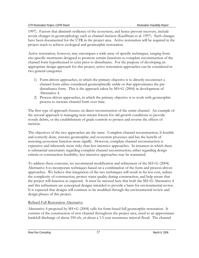1997). Factors that diminish resilience of the ecosystem, and hence prevent recovery, include severe changes in geomorphology such as channel incision (Kauffman et al. 1997). Such changes have been documented for the UTR in the project area. Active restoration will be required in the project reach to achieve ecological and geomorphic restoration.

Active restoration, however, may encompass a wide array of specific techniques, ranging from site-specific treatments designed to promote certain functions to complete reconstruction of the channel form hypothesized to exist prior to disturbance. For the purpose of developing an appropriate design approach for this project, active restoration approaches can be considered in two general categories:

- 1) Form-driven approaches, in which the primary objective is to directly reconstruct a channel form either considered geomorphically stable or that approximates the predisturbance form. This is the approach taken by SH+G (2004) in development of Alternative 4.
- 2) Process-driven approaches, in which the primary objective is to work with geomorphic process to recreate channel form over time.

The first type of approach focuses on direct reconstruction of the entire channel. An example of the second approach is managing near-stream forests for old-growth conditions to provide woody debris, or the establishment of grade controls to protect and reverse the effects of incision.

The objectives of the two approaches are the same. Complete channel reconstruction, if feasible and correctly done, restores geomorphic and ecosystem processes and has the benefit of restoring ecosystem function more rapidly. However, complete channel reconstruction is expensive and inherently more risky than less intensive approaches. In instances in which there is substantial uncertainty regarding complete channel reconstruction, either regarding design criteria or construction feasibility, less intensive approaches may be warranted.

To address these concerns, we recommend modification and refinement of the SH+G (2004) Alternative 4 to incorporate techniques based on a combination of the form and process-driven approaches. We believe that integration of the two techniques will result in far less cost, reduce the complexity of construction, protect water quality during construction, and help assure that the project will function as expected. It must be stressed here that both the SH+G Alternative 4 and this refinement are conceptual designs intended to provide a basis for environmental review. It is expected that designs will continue to be modified through the environmental review and design phases of this project.

## Refined Full Restoration Alternative

Alternative 4 proposed by SH+G (2004) calls for form-based full geomorphic restoration. It consists of the construction of new channel throughout the project area, sized to an approximate bankfull discharge of about 350 cfs, or about a 1.5-year recurrence interval flood. The channel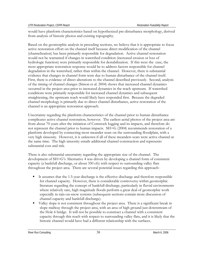would have planform characteristics based on hypothesized pre-disturbance morphology, derived from analysis of historic photos and existing topography.

Based on the geomorphic analysis in preceding sections, we believe that it is appropriate to focus active restoration effort on the channel itself because direct modification of the channel (channelization) has been primarily responsible for degradation. Active channel restoration would not be warranted if changes in watershed condition (increased erosion or loss of hydrologic function) were primarily responsible for destabilization. If this were the case, the most appropriate restoration response would be to address factors responsible for channel degradation in the watershed, rather than within the channel. However, there is substantial evidence that changes in channel form were due to human disturbance of the channel itself. First, there is evidence of direct alterations to the channel described previously. Second, analysis of the timing of channel changes (Simon et al. 2004) shows that increased channel dynamics occurred in the project area prior to increased dynamics in the reach upstream. If watershed conditions were primarily responsible for increased channel dynamics and subsequent straightening, the upstream reach would likely have responded first. Because the degraded channel morphology is primarily due to direct channel disturbance, active restoration of the channel is an appropriate restoration approach.

Uncertainty regarding the planform characteristics of the channel prior to human disturbance complicates active channel restoration, however. The earliest aerial photos of the project area are from about 70 years after the initiation of Comstock logging and its impacts, and therefore do not represent the channel prior to human impacts. SH+G (2004) recommends restoration of a planform developed by connecting most meander scars on the surrounding floodplain, with a very high sinuosity. However, it is unknown if all of these meanders scars were active channel at the same time. The high sinuosity entails additional channel construction and represents substantial cost and risk.

There is also substantial uncertainty regarding the appropriate size of the channel. The development of SH+G's Alternative 4 was driven by developing a channel form of consistent capacity (a bankfull discharge, or about 350 cfs) with respect to surrounding valley flats throughout the project area. There are several potential issues regarding this approach:

- It assumes that the 1.5-year discharge is the effective discharge and therefore responsible for channel capacity. However, there is considerable controversy within geomorphic literature regarding the concept of bankfull discharge, particularly in fluvial environments where relatively rare, high magnitude floods perform a great deal of geomorphic work especially in rain-on-snow systems (subsequent sections contain more discussion of channel capacity and bankfull discharge).
- Valley slope is not consistent throughout the project area. There is a significant break in slope midway through the project area, with an area of high ground just downstream of the Hole 6 bridge. It will not be possible to construct a channel with a consistent capacity through this reach with respect to surrounding valley flats, and it is likely that the historic channel would have had a different relationship with the surfaces.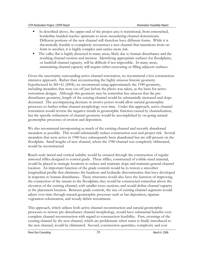- As described above, the upper end of the project area is transitional, from entrenched, borderline braided reaches upstream to more meandering channel downstream. Different portions of the new channel will therefore have different forms. While it is theoretically feasible to completely reconstruct a new channel that transitions from on form to another, it is highly complex and carries more risk.
- The valley flat is highly dissected in many areas, likely due to human disturbance and the resulting channel erosion and incision. Identifying appropriate surfaces for floodplains, or bankfull channel capacity, will be difficult if not impossible. In many areas, maintaining channel capacity will require either excavating or filling adjacent surfaces.

Given the uncertainty surrounding active channel restoration, we recommend a less constructionintensive approach. Rather than reconstructing the highly sinuous historic geometry hypothesized by SH+G (2004), we recommend using approximately the 1940 geometry, including meanders that were cut off just before the photo was taken, as the basis for active restoration designs. Although this geometry may be somewhat less sinuous that the predisturbance geometry, length of the existing channel would be substantially increased and slope decreased. The accompanying decrease in erosive power would allow natural geomorphic processes to further refine channel morphology over time. Under this approach, active channel restoration would reverse the negative trends in geomorphic function caused by channelization, but the specific refinement of channel geometry would be accomplished by on-going natural geomorphic processes of erosion and deposition.

We also recommend incorporating as much of the existing channel and recently abandoned meanders as possible. This would substantially reduce construction cost and project risk. Several meanders that were active in 1940 have subsequently been abandoned but are still present on the floodplain. Small lengths of new channel, where the 1940 channel was completely obliterated, would be reconstructed.

Reach-scale lateral and vertical stability would be ensured through the construction of regular armored riffles designed to control grade. These riffles, constructed of cobble-sized material, would be placed in strategic locations to reduce and maintain slope and maintain general channel location. An important function of the grade controls would be to restore a smoother longitudinal profile that eliminates the headcuts and hydraulic discontinuities that have developed in response to human disturbance. These structures would also have the function of improving the connection of the stream to the floodplain; they would be constructed somewhat above the elevation of the existing channel, with smaller cross sections, and would define channel capacity at the placement location. Between grade controls, the size of existing channel segments would adjust over time through natural geomorphic processes such as bar deposition, riparian vegetation colonization, and woody debris recruitment.

This approach, which utilizes both active channel reconstruction and natural geomorphic processes to restore pre-disturbance channel morphology, would have substantial benefits over complete channel reconstruction with regard to construction feasibility. First, crossings of the existing channel by the new channel, which are problematic when water is finally introduced to the new channel, would be eliminated. Second, construction quantities, complexity and cost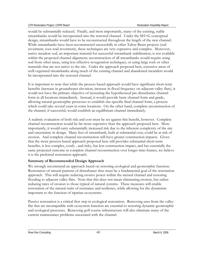would be substantially reduced. Finally, and most importantly, many of the existing, stable streambanks would be incorporated into the restored channel. Under the SH+G conceptual design, streambanks would have to be reconstructed throughout the length of the new channel. While streambanks have been reconstructed successfully in other Tahoe Basin projects (sod revetment, root wad revetment), these techniques are very expensive and complex. Moreover, native meadow sod, an important material for successful streambank stabilization, is not available within the proposed channel alignment; reconstruction of all streambanks would require using sod from other areas, using less effective revegetation techniques, or using large rock or other materials that are not native to the site. Under the approach proposed here, extensive areas of well-vegetated streambanks along much of the existing channel and abandoned meanders would be incorporated into the restored channel.

It is important to note that while the process-based approach would have significant short-term benefits (increase in groundwater elevation, increase in flood frequency on adjacent valley flats), it would not have the primary objective of recreating the hypothesized pre-disturbance channel form in all locations immediately. Instead, it would provide basic channel form and grade, allowing natural geomorphic processes to establish site-specific final channel form, a process which could take several years in some locations. On the other hand, complete reconstruction of the channel, if successful, would establish an equilibrium channel immediately.

A realistic evaluation of both risk and cost must be set against this benefit, however. Complete channel reconstruction would be far more expensive than the approach proposed here. More importantly, it would carry substantially increased risk due to the inherent complexity of the site and uncertainty in design. Many feet of streambank, built at substantial cost, could be at risk of erosion. And complete channel reconstruction will have greater construction impacts. Given that the more process-based approach proposed here still provides substantial short-term benefits, is less complex, costly , and risky, has less construction impact, and has essentially the same projected outcome as complete channel reconstruction over longer time-frames, we believe it is the preferred restoration approach.

## **Summary of Recommended Design Approach**

We strongly recommend an approach based on restoring ecological and geomorphic function. Restoration of natural patterns of disturbance thus must be a fundamental goal of the restoration approach. This will require reducing erosive power within the incised channel and restoring flooding to adjacent valley flats. Note that this does not mean eliminating erosion, but rather reducing rates of erosion to those typical of natural systems. These measures will enable restoration of the natural traits of resistance and resilience, while allowing for the dynamism important to the function of riparian ecosystems.

Passive restoration is a critical first step in ecological restoration. Removing uses from the valley flat that are incompatible with ecosystem function are essential to restoring dynamic geomorphic and ecological processes. Removing golf course infrastructure will also eliminate many of the current maintenance problems associated with the channel.

River Run Consulting **ACCONSUM** 2006 **ACCONSUM** 2006 **March 6, 2006**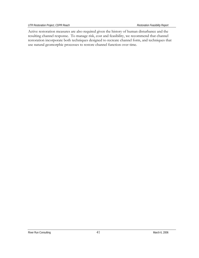Active restoration measures are also required given the history of human disturbance and the resulting channel response. To manage risk, cost and feasibility, we recommend that channel restoration incorporate both techniques designed to recreate channel form, and techniques that use natural geomorphic processes to restore channel function over time.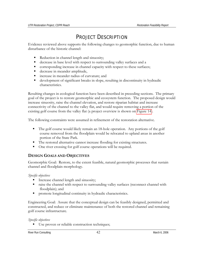# PROJECT DESCRIPTION

Evidence reviewed above supports the following changes to geomorphic function, due to human disturbance of the historic channel:

- Reduction in channel length and sinuosity;
- decrease in base level with respect to surrounding valley surfaces and a
- corresponding increase in channel capacity with respect to these surfaces;
- decrease in meander amplitude,
- increase in meander radius of curvature; and
- development of significant breaks in slope, resulting in discontinuity in hydraulic characteristics.

Resulting changes in ecological function have been described in preceding sections. The primary goal of the project is to restore geomorphic and ecosystem function. The proposed design would increase sinuosity, raise the channel elevation, and restore riparian habitat and increase connectivity of the channel to the valley flat, and would require removing a portion of the existing golf course from the valley flat (a project overview is shown on Figure 14).

The following constraints were assumed in refinement of the restoration alternative.

- The golf course would likely remain an 18-hole operation. Any portions of the golf course removed from the floodplain would be relocated to upland areas in another portion of the State Park.
- The restored alternative cannot increase flooding for existing structures.
- One river crossing for golf course operations will be required.

## **DESIGN GOALS AND OBJECTIVES**

Geomorphic Goal: Restore, to the extent feasible, natural geomorphic processes that sustain channel and floodplain morphology.

*Specific objectives* 

- Increase channel length and sinuosity;
- raise the channel with respect to surrounding valley surfaces (reconnect channel with floodplain); and
- **PEDRIM** promote longitudinal continuity in hydraulic characteristics.

Engineering Goal: Assure that the conceptual design can be feasibly designed, permitted and constructed, and reduce or eliminate maintenance of both the restored channel and remaining golf course infrastructure.

*Specific objectives* 

■ Use proven or reliable construction techniques;

River Run Consulting **A** River Run Consulting **A** A March 6, 2006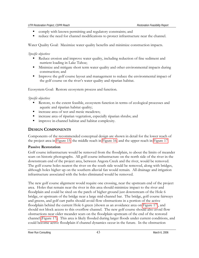- comply with known permitting and regulatory constraints; and
- reduce the need for channel modifications to protect infrastructure near the channel.

Water Quality Goal: Maximize water quality benefits and minimize construction impacts.

#### *Specific objectives*

- Reduce erosion and improve water quality, including reduction of fine sediment and nutrient loading in Lake Tahoe;
- Minimize and mitigate short term water quality and other environmental impacts during construction; and
- **IMPROVE THE 1990** Improve the golf course layout and management to reduce the environmental impact of the golf course on the river's water quality and riparian habitat.

Ecosystem Goal: Restore ecosystem process and function.

#### *Specific objectives*

- Restore, to the extent feasible, ecosystem function in terms of ecological processes and aquatic and riparian habitat quality;
- increase area of wet and mesic meadows;
- increase area of riparian vegetation, especially riparian shrubs; and
- improve in-channel habitat and habitat complexity.

## **DESIGN COMPONENTS**

Components of the recommended conceptual design are shown in detail for the lower reach of the project area in Figure 15, the middle reach in Figure 16, and the upper reach in Figure 17.

## **Passive Restoration**

Golf course infrastructure would be removed from the floodplain, to about the limits of meander scars on historic photographs. All golf course infrastructure on the north side of the river in the downstream end of the project area, between Angora Creek and the river, would be removed. The golf course holes nearest the river on the south side would be removed, along with bridges, although holes higher up on the southern alluvial fan would remain. All drainage and irrigation infrastructure associated with the holes eliminated would be removed.

The new golf course alignment would require one crossing, near the upstream end of the project area. Holes that remain near the river in this area should minimize impact to the river and floodplain and could be sited on the patch of higher ground just downstream of the Hole 6 bridge, or upstream of the bridge near a large mid-channel bar. The bridge, golf course fairways and greens, and golf cart paths should avoid flow obstructions in a portion of the active floodplain behind the current Hole 6 green (shown as an avoidance area on Figure 17), and should not block access to this overflow channel. The new golf course should also avoid flow obstructions near older meander scars on the floodplain upstream of the end of the restored channel (Figure 17). This area is likely flooded during larger floods under current conditions, and could become active floodplain if channel dynamics occur in the future. In the obstruction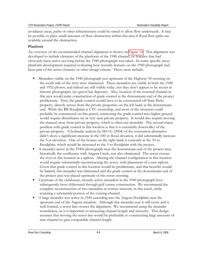avoidance areas, paths or other infrastructure could be raised to allow flow underneath. It may be possible to place small amounts of flow obstruction within this area if flood flow paths are available around the obstruction.

## **Planform**

An overview of the recommended channel alignment is shown on Figure 14. This alignment was developed to include elements of the planform of the 1940 channel, or features that had obviously been active not long before the 1940 photograph was taken. In some specific areas, planform development required evaluating how recently features on the 1940 photograph had been part of the active channel, or other design criteria. These areas include:

- Meanders visible on the 1940 photograph just upstream of the Highway 50 crossing on the south side of the river were eliminated. These meanders are visible in both the 1940 and 1952 photos, and indeed are still visible today, but they don't appear to be recent in historic photography (no gravel bar deposits). Also, location of the restored channel in this area would make construction of grade control at the downstream end of the project problematic. First, the grade control would have to be constructed off State Parks property, directly across from the private properties on the left bank at the downstream end. While the RB floodplain is CTC ownership, and most of the structure could probably be constructed on this parcel, connecting the grade control into higher ground would require disturbance on or very near private property. It would also require moving the channel away from private property, which is often not desirable. The second major problem with grade control in this location is that it is essentially downvalley of the private property. A hydraulic analysis by SH+G (2004) of the restoration alternative didn't show a significant increase in the 100-yr flood elevation, it did substantially increase the 5-yr elevation. One of the houses on the right bank is currently in the 10-yr floodplain, which would be increased to the 5-yr floodplain with the project.
- A meander active in the 1940s photograph near the downstream end of the project area, historically the confluence with Angora Creek, was also eliminated. The sewer crosses the river in this location in a siphon. Altering the channel configuration in this location would require substantially reconstructing the sewer, with placement of a new siphon. Given that grade control in this location would be problematic, and that benefits would be limited, this meander was eliminated and the grade control at the downstream end of the project area was placed upstream of the sewer crossing.
- Upstream of the clubhouse, recently active meanders in the 1940 photograph have subsequently been obliterated through golf course construction. We recommend the complete reconstruction of two meanders to restore sinuosity in this reach, while retaining a substantial portion of the existing channel.
- A large meander was active in 1940 extending into the Angora floodplain near the upstream end of the Angora meadow. Although this meander scar is still exists and is well-formed, a sewer line crosses the alignment. We recommend using the meander nonetheless, as it is important to increasing channel length and sinuosity. This design assumes that moving the sewer line would be preferable to constructing large amounts of new channel to gain comparable channel length.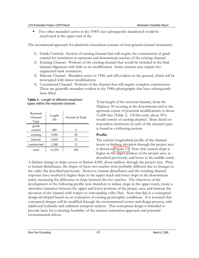Two other meanders active in the 1940's but subsequently abandoned would be reactivated at the upper end of the

The recommend approach for planform restoration consists of four general channel treatments:

- 1) Grade Controls. Section of existing channel that will require the construction of grade control for transitions to upstream and downstream reaches of the existing channel.
- 2) Existing Channel. Portions of the existing channel that would be included in the final channel alignment with little or no modification. Some sections may require bioengineered bank treatments.
- 3) Historic Channel. Meanders active in 1940, and still evident on the ground, which will be reoccupied with minor modifications.
- 4) Constructed Channel. Portions of the channel that will require complete construction. These are generally meanders evident in the 1940s photography that have subsequently been filled.



| Restored<br>Channel<br>Type | Length<br>(f <sub>t</sub> ) | Percent of Total |  |  |
|-----------------------------|-----------------------------|------------------|--|--|
| grade                       |                             |                  |  |  |
| control                     | 690                         | 6                |  |  |
| existing                    | 5,830                       | 50               |  |  |
| historic                    | 3,810                       | 33               |  |  |
| constructed                 | 1,248                       | 11               |  |  |
| total                       | 11,578                      | 100              |  |  |

Total length of the restored channel, from the Highway 50 crossing at the downstream end to the upstream extent of potential modifications, is about 11,600 feet (Table 1). Of this total, about 50% would consist of existing channel. More detail on restoration treatments in each of the channel types is found in a following section.

## **Profile**

The current longitudinal profile of the channel invert or thalweg elevation through the project area is shown in Figure 13. Note that current slope is higher in the upper portion of the project area, as described previously, and lower in the middle reach.

A distinct change in slope occurs at Station 4,000, about midway through the project area. Prior to human disturbance, the slopes of these two reaches were probably different due to changes in the valley flat described previously. However, human disturbance and the resulting channel response have resulted in higher slope in the upper reach and lower slope in the downstream reach, increasing the difference in slope between the two reaches. The objectives of the development of the following profile were therefore to reduce slope in the upper reach, create a smoother transition between the upper and lower portions of the project area, and increase the elevation of the channel with respect to surrounding valley flats. Note that this is a conceptual design developed based on an evaluation of existing geomorphic conditions. It is assumed that conceptual designs will be modified through the environmental review and design process, with additional hydraulic and sediment transport analysis. This conceptual design is intended to provide basis for evaluating feasibility of the channel restoration approach and potential environmental effects.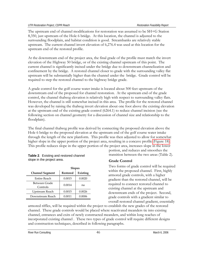The upstream end of channel modifications for restoration was assumed to be SH+G Station 8,350, just upstream of the Hole 6 bridge. At this location, the channel is adjusted to the surrounding floodplain, and habitat condition is good. Streambanks are relatively stable upstream. The current channel invert elevation of 6,276.4 was used at this location for the upstream end of the restored profile.

At the downstream end of the project area, the final grade of the profile must match the invert elevation of the Highway 50 bridge, or of the existing channel upstream of this point. The current channel is significantly incised under the bridge due to downstream channelization and confinement by the bridge. A restored channel closer to grade with the surrounding valley flat upstream will be substantially higher than the channel under the bridge. Grade control will be required to step the restored channel to the highway bridge grade.

A grade control for the golf course water intake is located about 500 feet upstream of the downstream end of the proposed for channel restoration. At the upstream end of the grade control, the channel thalweg elevation is relatively high with respect to surrounding valley flats. However, the channel is still somewhat incised in this area. The profile for the restored channel was developed by raising the thalweg invert elevation about one foot above the existing elevation at the upstream end of the existing grade control (6264.1) to reduce channel incision (see the following section on channel geometry for a discussion of channel size and relationship to the floodplain).

The final channel thalweg profile was derived by connecting the proposed elevation above the Hole 6 bridge to the proposed elevation at the upstream end of the golf course water intake through the length of the new planform. This profile was then adjusted to allow for somewhat higher slope in the upper portion of the project area, resulting in a concave profile (Figure 18). This profile reduces slope in the upper portion of the project area, increases slope in the lower

| <b>Table 2.</b> Existing and restored channel |
|-----------------------------------------------|
| slope in the project area.                    |

|                           | <b>Slopes</b>   |          |  |
|---------------------------|-----------------|----------|--|
| <b>Channel Segment</b>    | <b>Restored</b> | Existing |  |
| Entire Reach              | 0.0015          | 0.0020   |  |
| Between Grade<br>Controls | 0.0014          | na       |  |
| Upstream Reach            | 0.0015          | 0.0026   |  |
| Downstream Reach          | 0.0011          | 0.0006   |  |

portion, and reduces and smoothes the transition between the two areas (Table 2).

## **Grade Control**

Two forms of grade control will be required within the proposed channel. First, highly armored grade controls, with a higher gradient than the restored channel, will be required to connect restored channel to existing channel at the upstream and downstream ends of the project. Second, grade controls with a gradient similar to overall restored channel gradient, essentially

armored riffles, will be required within the project to establish the new grades of the restored channel. These grade controls would be placed where reactivated meanders tie into existing channel, entrances and exits of newly constructed meanders, and within long reaches of incorporated existing channel . These two types of grade control will require different designs and construction techniques, described in following paragraphs.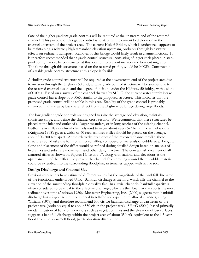One of the higher gradient grade controls will be required at the upstream end of the restored channel. This purpose of this grade control is to stabilize the current bed elevation in the channel upstream of the project area. The current Hole 6 Bridge, which is undersized, appears to be maintaining a relatively high streambed elevation upstream, probably through backwater effects on sediment transport. Removal of this bridge would likely result in channel incision. It is therefore recommended that a grade control structure, consisting of larger rock placed in steppool configuration, be constructed at this location to prevent incision and headcut migration. The slope through this structure, based on the restored profile, would be 0.0023. Construction of a stable grade control structure at this slope is feasible.

A similar grade control structure will be required at the downstream end of the project area due to incision through the Highway 50 bridge. This grade control structure will be steeper due to the restored channel design and the degree of incision under the Highway 50 bridge, with a slope of 0.0064. Based on a survey of the channel thalweg by SH+G, the current water supply intake grade control has a slope of 0.0065, similar to the proposed structure. This indicates that the proposed grade control will be stable in this area. Stability of the grade control is probably enhanced in this area by backwater effect from the Highway 50 bridge during large floods.

The low gradient grade controls are designed to raise the average bed elevation, maintain consistent slope, and define the channel cross section. We recommend that these structures be placed at the inlet and outlet of all larger meanders, or in long reaches of the existing channel. Bedforms or riffles in alluvial channels tend to occur about every 5-7 bankfull channel widths (Knighton 1998); given a width of 60 feet, armored riffles should be placed, on the average, about 300-500 feet apart. At the relatively low slopes of the restored channel profile, these structures could take the form of armored riffles, composed of materials of cobble size. Length, slope and placement of the riffles would be refined during detailed design based on analysis of hydraulics and substrate movement, and other design factors. The conceptual placement of all armored riffles is shown on Figures 15, 16 and 17, along with stations and elevations at the upstream end of the riffles. To prevent the channel from eroding around them, cobble material could be extended into the surrounding floodplain, in trenches capped with native sod.

## **Design Discharge and Channel Size**

Previous researchers have estimated different values for the magnitude of the bankfull discharge of the functional, undisturbed UTR. Bankfull discharge is the flow which fills the channel to the elevation of the surrounding floodplain or valley flat. In alluvial channels, bankfull capacity is often considered to be equal to the effective discharge, which is the flow that transports the most sediment over time (Andrews 1980). Mussetter Engineering, Inc. (2000) suggests that bankfull discharge has a 2-year recurrence interval in self-formed equilibrium alluvial channels, citing Williams (1978), and therefore recommend 600 cfs for bankfull discharge downstream of the project area (probably equal to about 550 cfs in the project area). SH+G (2004), based primarily on identification of bankfull indicators such as vegetation lines and the elevation of bar surfaces, suggests a bankfull discharge within the project area of about 350 cfs, equivalent to the 1.5-year flood from the snowmelt flood, partial duration distribution.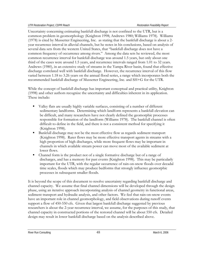Uncertainty concerning estimating bankfull discharge is not confined to the UTR, but is a common problem in geomorphology (Knighton 1998; Andrews 1980; Williams 1978). Williams (1978) is cited by Mussetter Engineering, Inc. as stating that the bankfull discharge is about a 2 year recurrence interval in alluvial channels, but he notes in his conclusions, based on analysis of several data sets from the western United States, that "bankfull discharge does not have a common frequency of occurrence among rivers." Among the data sets he reviewed, the most common recurrence interval for bankfull discharge was around 1.5 years, but only about one third of the cases were around 1.5 years, and recurrence intervals ranged from 1.01 to 32 years. Andrews (1980), in an extensive study of streams in the Yampa River basin, found that effective discharge correlated well with bankfull discharge. However, the recurrence interval of this flow varied between 1.18 to 3.26 years on the annual flood series, a range which incorporates both the recommended bankfull discharge of Mussetter Engineering, Inc. and SH+G for the UTR.

While the concept of bankfull discharge has important conceptual and practical utility, Knighton (1998) and other authors recognize the uncertainty and difficulties inherent in its application. These include:

- Valley flats are usually highly variable surfaces, consisting of a number of different sedimentary landforms. Determining which landform represents a bankfull elevation can be difficult, and many researchers have not clearly defined the geomorphic processes responsible for formation of the landform (Williams 1978). The bankfull channel is often difficult to define in the field, and there is not a consistent method for specifying it (Knighton 1998).
- Bankfull discharge may not be the most effective flow as regards sediment transport (Knighton 1998). Rarer flows may be more effective transport agents in streams with a high proportion of high discharges, while more frequent flows may be important in channels in which available stream power can move most of the available sediment at lower flows.
- Channel form is the product not of a single formative discharge but of a range of discharges, and has a memory for past events (Knighton 1998). This may be particularly important for the UTR, with the regular occurrence of rain-on-snow floods over decadal time scales, floods which may produce bedforms that strongly influence geomorphic processes in subsequent smaller floods.

It is beyond the scope of this document to resolve uncertainty regarding bankfull discharge and channel capacity. We assume that final channel dimensions will be developed through the design phase, using an iterative approach incorporating analysis of channel geometry in functional areas, sediment transport and hydraulic analysis, and other factors. We feel that rain-on-snow events have an important role in channel geomorphology, and field observations during runoff events support a flow of 450-550 cfs. Given that largest bankfull discharge suggested by previous researchers is about the 2-year recurrence interval, we assume, for the purposes of this study, that channel capacity in constructed portions of the restored channel will be about 550 cfs. Detailed design may result in lower bankfull discharge based on the analysis described above.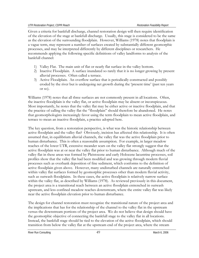Given a criteria for bankfull discharge, channel restoration design will then require identification of the elevation of the stage at bankfull discharge. Usually, this stage is considered to be the same as the elevation of the surrounding floodplain. However, Williams (1978) notes that floodplain is a vague term, may represent a number of surfaces created by substantially different geomorphic processes, and may be interpreted differently by different disciplines or researchers. He recommends applying the following specific definitions of valley landforms to analysis of the bankfull channel:

- 1) Valley Flat. The main unit of flat or nearly flat surface in the valley bottom.
- 2) Inactive Floodplain. A surface inundated so rarely that it is no longer growing by present alluvial processes. Often called a terrace.
- 3) Active Floodplain. An overflow surface that is periodically constructed and possibly eroded by the river but is undergoing net growth during the 'present time' (past ten years or so).

Williams (1978) notes that all three surfaces are not commonly present in all locations. Often, the inactive floodplain is the valley flat, or active floodplain may be absent or inconspicuous. Most importantly, he notes that the valley flat may be either active or inactive floodplain, and that the practice of calling the valley flat the "floodplain" should therefore be abandoned. He notes that geomorphologists increasingly favor using the term floodplain to mean active floodplain, and terrace to mean an inactive floodplain, a practice adopted here.

The key question, from a restoration perspective, is what was the historic relationship between active floodplain and the valley flat? Obviously, incision has affected this relationship. It is often assumed that, in equilibrium alluvial channels, the valley flat was the active floodplain prior to human disturbance. This is often a reasonable assumption. For example, in larger meadow reaches of the lower UTR, extensive meander scars on the valley flat strongly suggest that the active floodplain was at or near the valley flat prior to human disturbance. Although much of the valley flat in these areas was formed by Pleistocene and early Holocene lacustrine processes, soil profiles show that the valley flat had been modified and was growing through modern fluvial processes such as overbank deposition of fine sediment, which conforms to the definition of active floodplain given above. However, many undisturbed channels are naturally entrenched within valley flat surfaces formed by geomorphic processes other than modern fluvial activity, such as outwash floodplains. In these cases, the active floodplain is relatively narrow surface within the valley flat, as described by Williams (1978). As reviewed previously in this document, the project area is a transitional reach between an active floodplain entrenched in outwash upstream, and less confined meadow reaches downstream, where the entire valley flat was likely near the active floodplain elevation prior to human disturbance.

The design for channel restoration must recognize the transitional nature of the project area and the implications that has for the relationship of the channel to the valley flat in the upstream versus the downstream portions of the project area. We do not believe that design should have the geomorphic objective of connecting the bankfull stage to the valley flat in all locations. Instead, the bankfull stage should be tied to the elevation of the active floodplain, which should transition from below the valley flat at the upstream end of the project area, where the stream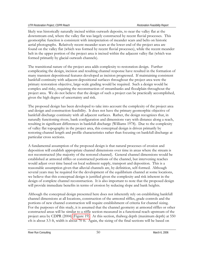likely was historically naturally incised within outwash deposits, to near the valley flat at the downstream end, where the valley flat was largely constructed by recent fluvial processes. This geomorphic function is consistent with interpretation of meander scars and belts on historic aerial photographs. Relatively recent meander scars at the lower end of the project area are found on the valley flat (which was formed by recent fluvial processes), while the recent meander belt in the upper portion of the project area is incised within the adjacent valley flat (which was formed primarily by glacial outwash channels).

The transitional nature of the project area adds complexity to restoration design. Further complicating the design, incision and resulting channel response have resulted in the formation of many transient depositional features developed as incision progressed. If maintaining consistent bankfull continuity with adjacent depositional surfaces throughout the project area were the primary restoration objective, large-scale grading would be required. Such a design would be complex and risky, requiring the reconstruction of streambanks and floodplain throughout the project area. We do not believe that the design of such a project can be practically accomplished, given the high degree of uncertainty and risk.

The proposed design has been developed to take into account the complexity of the project area and design and construction feasibility. It does not have the primary geomorphic objective of bankfull discharge continuity with all adjacent surfaces. Rather, the design recognizes that, in naturally functioning rivers, bank configuration and dimensions vary with distance along a reach, resulting in significant differences in bankfull discharge (Williams 1978). Due to the complexity of valley flat topography in the project area, this conceptual design is driven primarily by restoring channel length and profile characteristics rather than focusing on bankfull discharge at particular cross sections.

A fundamental assumption of the proposed design is that natural processes of erosion and deposition will establish appropriate channel dimensions over time in areas where the stream is not reconstructed (the majority of the restored channel). General channel dimensions would be established at armored riffles or constructed portions of the channel, but intervening reaches would adjust over time based on local sediment supply, transport and deposition. This is a reasonable assumption given that alluvial channels are, by definition, self-formed. Although several years may be required for the development of the equilibrium channel at some locations, we believe that this conceptual design is justified given the complexity and risk inherent in the design of complete channel reconstruction. It is also important to note that the proposed design will provide immediate benefits in terms of erosion by reducing slope and bank heights.

Although the conceptual design presented here does not inherently rely on establishing bankfull channel dimensions at all locations, construction of the armored riffles, grade controls and the portions of new channel construction will require establishment of criteria for channel sizing. For the purposes of this study, it is assumed that the channel geometry at armored riffles or other constructed areas will be similar to a riffle section measured in a functional reach upstream of the project area by CDPR (2004) (Figure 19). At this section, thalweg depth (maximum depth) at 550 cfs is about 3.5 ft, width is about 70 ft. Again, the sizing of the final sections will be based on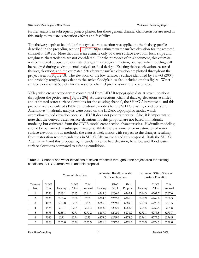further analysis in subsequent project phases, but these general channel characteristics are used in this study to evaluate restoration effects and feasibility.

The thalweg depth at bankfull of this typical cross section was applied to the thalweg profile described in the preceding section (Figure 18) to estimate water surface elevation for the restored channel at 550 cfs. Note that this is an estimate only of water surface elevation; local slope and roughness characteristics are not considered. For the purposes of this document, this estimate was considered adequate to evaluate changes in ecological function, but hydraulic modeling will be required during environmental analysis or final design. Existing thalweg elevation, restored thalweg elevation, and the estimated 550 cfs water surface elevation are plotted throughout the project area on Figure 18. The elevation of the low terrace, a surface identified by SH+G (2004) and probably roughly equivalent to the active floodplain, is also included on this figure. Water surface elevation at 550 cfs for the restored channel profile is near the low terrace.

Valley wide cross sections were constructed from LIDAR topographic data at seven locations throughout the project area (Figure 20). At these sections, channel thalweg elevations at riffles and estimated water surface elevations for the existing channel, the SH+G Alternative 4, and this proposal were calculated (Table 3). Hydraulic models for the SH+G existing conditions and Alternative 4 hydraulic analysis were based on the LIDAR topographic model, which overestimates bed elevation because LIDAR does not penetrate water. Also, it is important to note that the derived water surface elevations for this proposal are not based on hydraulic modeling but estimated from the CDPR model cross section characteristics. Hydraulic modeling should be performed in subsequent analysis. While there is some error in estimates of water surface elevation for all methods, the error is likely minor with respect to the changes resulting from restoration recommendations in SH+G Alternative 4 and this proposal. Both the SH+G Alternative 4 and this proposal significantly raise the bed elevation, baseflow and flood water surface elevations compared to existing conditions.

|                 | Channel Elevation      |          | <b>Estimated Baseflow Water</b><br>Surface Elevation |                  |          | Estimated 550 CFS Water<br>Surface Elevation |                  |          |                    |                         |
|-----------------|------------------------|----------|------------------------------------------------------|------------------|----------|----------------------------------------------|------------------|----------|--------------------|-------------------------|
| Transect<br>No. | $SH + G$<br><b>STA</b> | Existing | $SH + G$<br>Alt. 4                                   | This<br>Proposal | Existing | $SH + G$<br>Alt. 4                           | This<br>Proposal | Existing | $SH + G$<br>Alt. 4 | <b>This</b><br>Proposal |
|                 | 2230                   | 6263.1   | 6265                                                 | 6264.1           | 6264.0   | 6266.0                                       | 6265.1           | 6266.3   | 6267.7             | 6267.6                  |
| 2               | 3035                   | 6263.6   | 6266                                                 | 6265             | 6264.5   | 6267.0                                       | 6266.0           | 6267.9   | 6269.6             | 6268.5                  |
| 3               | 4076                   | 6263.8   | 6268                                                 | 6268             | 6265.0   | 6269.0                                       | 6269.0           | 6269.3   | 6270.8             | 6271.5                  |
| 4               | 1575                   | 6261.1   | 6264                                                 | 6261.3           | 6262.0   | 6265.0                                       | 6262.3           | 6265.5   | 6267.4             | 6264.8                  |
| 5               | 5475                   | 6268.1   | 6271                                                 | 6270.2           | 6269.0   | 6272.0                                       | 6271.2           | 6272.1   | 6273.8             | 6273.7                  |
| 6               | 7060                   | 6271     | 6274                                                 | 6273             | 6273.0   | 6275.0                                       | 6274.0           | 6276.1   | 6277.5             | 6276.5                  |
| 7               | 7850                   | 6275.0   | 6276                                                 | 6275.5           | 6276.0   | 6277.0                                       | 6276.5           | 6278.9   | 6279.5             | 6279.0                  |

**Table 3**. Channel and water elevations at seven transects throughout the project area for existing conditions, SH+G Alternative 4, and this proposal.

River Run Consulting **6, 2006** March 6, 2006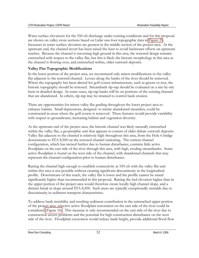Water surface elevations for the 550 cfs discharge under existing conditions and for this proposal are shown on valley cross sections based on Lidar one-foot topographic data in Figure 21. Increases in water surface elevation are greatest in the middle section of the project area. At the upstream end, the channel invert has been raised the least to avoid backwater effects on upstream reaches. Because the channel is traversing high ground in this area, the restored design remains entrenched with respect to the valley flat, but this is likely the historic morphology in this area as the channel is flowing over, and entrenched within, older outwash deposits.

## **Valley Flat Topographic Modifications**

In the lower portion of the project area, we recommend only minor modifications to the valley flat adjacent to the restored channel. Levees along the banks of the river should be removed. Where the topography has been altered for golf course infrastructure, such as greens or tees, the historic topography should be restored. Streambank rip-rap should be evaluated on a site-by-site basis in detailed design. In some cases, rip-rap banks will be on portions of the existing channel that are abandoned. In others, rip-rap may be retained to control bank erosion.

There are opportunities for minor valley flat grading throughout the lower project area to enhance habitat. Small depressions, designed to mimic abandoned meanders, could be constructed in areas where the golf course is removed. These features would provide variability with respect to groundwater, increasing habitat and vegetation diversity.

At the upstream end of the project area, the historic channel was likely naturally entrenched within the valley flat, a geomorphic unit that appears to consist of older deltaic outwash deposits. Valley flat adjacent to the channel is relatively high throughout this area, from the Hole 6 bridge downstream to STA 8,500 on the restored channel stationing. The current channel configuration, which has incised further due to human disturbance, contains little active floodplain on the east side of the river through this area, with high, eroding streambanks. Some active floodplain is found on the west side of the channel, with abandoned channels that may represent the channel configuration prior to human disturbance.

Raising the channel high enough to establish connectivity at 550 cfs with the valley flat unit within this area is not possible without creating significant discontinuity in the longitudinal profile. Downstream of this reach, the valley flat is lower and the profile cannot be raised significantly higher than recommended in this proposal. Raising the bed elevation higher than in the upper portion of the project area would therefore create locally high channel slope, and a distinct break in slope around STA 8,500. Such areas are typically exceptionally unstable due to discontinuity in sediment transport characteristics.

To address bank instability and resulting sediment contribution in the entrenched upper portion of the project area, selective active floodplain restoration on the east side of the river could be considered (Figure 16). This measure is only recommended on the east side of the river due to construction access problems and the potential for high construction disturbance on the west side of the river. Floodplain excavation would reduce bank height, provide additional flood flow

River Run Consulting **6. 2006** March 6, 2006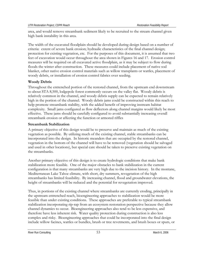area, and would remove streambank sediment likely to be recruited to the stream channel given high bank instability in this area.

The width of the excavated floodplain should be developed during design based on a number of criteria: extent of severe bank erosion; hydraulic characteristics of the final channel design; protection for existing vegetation, etc. For the purposes of this document, it is assumed that two feet of excavation would occur throughout the area shown in Figures 16 and 17. Erosion control measures will be required on all excavated active floodplain, as it may be subject to flow during floods the winter after construction. These measures could include placement of native sod blanket, other native erosion control materials such as willow transplants or wattles, placement of woody debris, or installation of erosion control fabrics over seeding.

## **Woody Debris**

Throughout the entrenched portion of the restored channel, from the upstream end downstream to about STA 8,500, lodgepole forest commonly occurs on the valley flat. Woody debris is relatively common in the channel, and woody debris supply can be expected to remain relatively high in the portion of the channel. Woody debris jams could be constructed within this reach to help promote streambank stability, with the added benefit of improving instream habitat complexity. Small jams configured as flow deflectors along channel margins would likely be most effective. These jams should be carefully configured to avoid substantially increasing overall streambank erosion or affecting the function or armored riffles

#### **Streambank Stabilization**

A primary objective of this design would be to preserve and maintain as much of the existing vegetation as possible. By utilizing much of the existing channel, stable streambanks can be incorporated into the design. In historic meanders that are occupied by the restored channel, vegetation in the bottom of the channel will have to be removed (vegetation should be salvaged and used in other locations), but special care should be taken to preserve existing vegetation on the streambanks.

Another primary objective of this design is to create hydrologic conditions that make bank stabilization more feasible. One of the major obstacles to bank stabilization in the current configuration is that many streambanks are very high due to the incision history. In the montane, Mediterranean Lake Tahoe climate, with short, dry summers, revegetation of the high streambanks has limited feasibility. By increasing channel, flood and groundwater elevations, the height of streambanks will be reduced and the potential for revegetation improved.

Thus, in portions of the existing channel where streambanks are currently eroding, principally in the upstream entrenched reach, bioengineering approaches to stabilization would be more feasible than under existing conditions. These approaches are preferable to typical streambank stabilization incorporating rip-rap from an ecosystem restoration perspective because they allow channel dynamics to occur. Bioengineering approaches also tend to be less expensive, and therefore have less inherent risk. Water quality protection during construction is also less complex and risky. Bioengineering approaches that could be incorporated into the final design include willow facines, wattles or bundles, brush or tree revetments, and brush boxes or spurs, or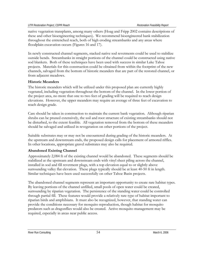native vegetation transplants, among many others (Hoag and Fripp 2002 contains descriptions of these and other bioengineering techniques). We recommend bioengineered bank stabilization throughout the entrenched reach, both of high eroding streambanks and any areas where floodplain excavation occurs (Figures 16 and 17).

In newly constructed channel segments, stacked native sod revetments could be used to stabilize outside bends. Streambanks in straight portions of the channel could be constructed using native sod blankets. Both of these techniques have been used with success in similar Lake Tahoe projects. Materials for this construction could be obtained from within the footprint of the new channels, salvaged from the bottom of historic meanders that are part of the restored channel, or from adjacent meadows.

## **Historic Meanders**

The historic meanders which will be utilized under this proposed plan are currently highly vegetated, including vegetation throughout the bottom of the channel. In the lower portion of the project area, no more that one to two feet of grading will be required to reach design elevations. However, the upper meanders may require an average of three feet of excavation to reach design grade.

Care should be taken in construction to maintain the current bank vegetation. Although riparian shrubs can be pruned extensively, the soil and root structure of existing streambanks should not be disturbed, to the extent feasible. All vegetation removed from the bottom of these meanders should be salvaged and utilized in revegetation on other portions of the project.

Suitable substrates may or may not be encountered during grading of the historic meanders. At the upstream and downstream ends, the proposed design calls for placement of armored riffles. In other locations, appropriate gravel substrates may also be required.

## **Abandoned Existing Channel**

Approximately 2,084 ft of the existing channel would be abandoned. These segments should be stabilized at the upstream and downstream ends with vinyl sheet piling across the channel, installed in sod and fill revetment plugs, with a top elevation equal to or slightly above surrounding valley flat elevation. These plugs typically should be at least 40-50 ft in length. Similar techniques have been used successfully on other Tahoe Basin projects.

The abandoned channel segments represent an important opportunity to create rare habitat types. By leaving portions of the channel unfilled, small pools of open water could be created, surrounding by riparian vegetation. The persistence of the standing water could be controlled through partial fill. These features would provide a relatively rare type of habitat important to riparian birds and amphibians. It must also be recognized, however, that standing water can provide the conditions necessary for mosquito reproduction, though habitat for mosquito predators such as dragonflies would also be created. Active mosquito management may be required, especially in areas near public access.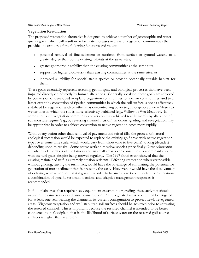#### **Vegetation Restoration**

The proposed restoration alternative is designed to achieve a number of geomorphic and water quality goals, which will result in or facilitate increases in areas of vegetation communities that provide one or more of the following functions and values:

- potential removal of fine sediment or nutrients from surface or ground waters, to a greater degree than do the existing habitats at the same sites;
- greater geomorphic stability than the existing communities at the same sites;
- support for higher biodiversity than existing communities at the same sites; or
- increased suitability for special-status species or provide potentially suitable habitat for them.

These goals essentially represent restoring geomorphic and biological processes that have been impaired directly or indirectly by human alterations. Generally speaking, these goals are achieved by conversion of developed or upland vegetation communities to riparian communities, and to a lesser extent by conversion of riparian communities in which the soil surface is not as effectively stabilized by vegetation and/or other erosion-controlling cover (e.g., Lodgepole Pine – Mesic) to wetter ones in which the soil is more effectively stabilized (e.g., Willow or Wet Meadow). In some sites, such vegetation community conversion may achieved readily merely by alteration of soil moisture regime (e.g., by reversing channel incision); in others, grading and revegetation may be appropriate in order to achieve conversion to native vegetation types more rapidly.

Without any action other than removal of pavement and raised fills, the process of natural ecological succession would be expected to replace the existing golf areas with native vegetation types over some time scale, which would vary from short (one to five years) to long (decades) depending upon microsite. Some native wetland meadow species (specifically *Carex nebrascensis*) already invade portions of the fairway and, in small areas, even constitute a co-dominant species with the turf grass, despite being mowed regularly. The 1997 flood event showed that the existing maintained turf is extremely erosion resistant. Effecting restoration wherever possible without grading, leaving the turf intact, would have the advantage of eliminating the potential for generation of more sediment than is presently the case. However, it would have the disadvantage of delaying achievement of habitat goals. In order to balance these two important considerations, a combination of specific restoration actions and adaptive management responses is recommended.

In floodplain areas that require heavy equipment excavation or grading, these activities should occur in the same season as channel construction. All revegetated areas would then be irrigated for at least one year, leaving the channel in its current configuration to protect newly revegetated areas. Vigorous vegetation and well-stabilized soil surfaces should be achieved prior to activating the restored channel. This is important because the restored channel is intended to be betterconnected to its floodplain; that is, the likelihood of surface water on the restored golf course surfaces is higher than at present.

River Run Consulting and the state of the state of the SS March 6, 2006 March 6, 2006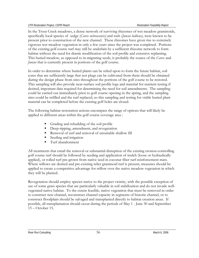In the Trout Creek meadows, a dense network of surviving rhizomes of wet meadow graminoids, specifically local species of sedge (*Carex nebrascensis)* and rush (*Juncus balticus)*, were known to be present prior to construction of the new channel. These rhizomes have given rise to extremely vigorous wet meadow vegetation in only a few years since the project was completed. Portions of the existing golf course turf may still be underlain by a sufficient rhizome network to form habitat without the need for drastic modification of the soil profile and extensive replanting. This buried meadow, as opposed to in-migrating seeds, is probably the source of the *Carex* and *Juncus* that is currently present in portions of the golf course.

In order to determine where buried plants can be relied upon to form the future habitat, soil cores that are sufficiently large that test plugs can be cultivated from them should be obtained during the design phase from sites throughout the portions of the golf course to be restored. This sampling will also provide near-surface soil profile logs and material for nutrient testing if desired, important data required for determining the need for soil amendments. The sampling could be carried out immediately prior to golf course opening in the spring, and the sampling sites could be refilled and the turf replaced, so this sampling and testing for viable buried plant material can be completed before the existing golf holes are closed.

The following habitat restoration actions encompass the range of options that will likely be applied to different areas within the golf course coverage area :

- Grading and rebuilding of the soil profile
- Deep-ripping, amendment, and revegetation
- Removal of turf and removal of unsuitable shallow fill
- Seeding and irrigation
- **Turf** abandonment

All treatments that entail the removal or substantial disruption of the existing erosion-controlling golf course turf should be followed by seeding and application of mulch (loose or hydraulically applied), or rolled turf pre-grown from native seed in coconut fiber turf-reinforcement mats. Where willows are desired and pre-existing relict graminoid turf is present, measures should be applied to create a competitive advantage for willow over the native meadow vegetation in which they will be planted.

Revegetation should employ species native to the project vicinity, with the possible exception of use of some grass species that are particularly valuable in soil stabilization and do not invade wellvegetated native habitat. To the extent feasible, native vegetation that must be removed in order to construct new channel, reconstruct channel capacity in segments of historic channel, or to construct floodplain should be salvaged and transplanted directly to habitat creation areas. If possible, all transplantation should occur during the periods of May 1 - June 30 and September 15 – October 15.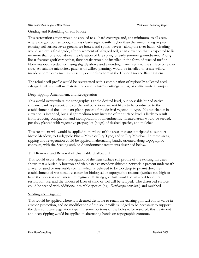#### Grading and Rebuilding of Soil Profile

This restoration action would be applied to all hard coverage and, at a minimum, to all areas where the golf course topography is clearly significantly higher than the surrounding or preexisting soil surface level: greens, tee boxes, and spoils "levees" along the river bank. Grading would achieve a final grade, after placement of salvaged soil, at an elevation that is expected to lie no more than one foot above the elevation of late spring or early summer groundwater. Along linear features (golf cart paths), flow breaks would be installed in the form of stacked turf or fiber-wrapped, seeded soil rising slightly above and extending many feet into the surface on either side. At suitable microsites, patches of willow plantings would be installed to create willowmeadow complexes such as presently occur elsewhere in the Upper Truckee River system.

The rebuilt soil profile would be revegetated with a combination of regionally collected seed, salvaged turf, and willow material (of various forms: cuttings, stubs, or entire rooted clumps).

#### Deep-ripping, Amendment, and Revegetation

This would occur where the topography is at the desired level, but no viable buried native rhizome bank is present, and/or the soil conditions are not likely to be conducive to the establishment of the dominant plant species of the desired vegetation type. No net change in elevation is intended, but a slight medium-term increase of the surface level is likely to result from reducing compaction and incorporation of amendments. Treated areas would be seeded, possibly planted with vegetative propagules (plugs) of desired species, and mulched.

This treatment will would be applied to portions of the areas that are anticipated to support Mesic Meadow, to Lodgepole Pine – Mesic or Dry Type, and to Dry Meadow. In these areas, ripping and revegetation could be applied in alternating bands, oriented along topographic contours, with the Seeding and/or Abandonment treatments described below.

#### Turf Removal and Removal of Unsuitable Shallow Fill

This would occur where investigation of the near-surface soil profile of the existing fairways shows that a buried A horizon and viable native meadow rhizome network is present underneath a layer of sand or unsuitable soil fill, which is believed to be too deep to permit direct reestablishment of wet meadow either for biological or topographic reasons (surface too high to have the necessary soil moisture regime). Existing golf turf would be salvaged for other restoration use, and the undesired layer of sand or soil will be scraped. The disturbed surface could be seeded with additional desirable species (e.g., *Deschampsia cespitosa*) and mulched.

#### Seeding and Irrigation

This would be applied where it is deemed desirable to retain the existing golf turf for its value in erosion protection, and no modification of the soil profile is judged to be necessary to support the desired future vegetation type. In some portions of the holes to be restored, this treatment and deep-ripping would be applied in alternating bands on topographic contours.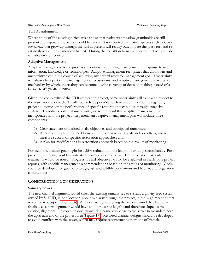#### Turf Abandonment

Where study of the existing turfed areas shows that native wet meadow graminoids are still present and vigorous, no action would be taken. It is expected that native species such as *Carex nebrascensis* that grow up through the turf at present will readily outcompete the grass turf and reestablish wet or mesic meadow habitat. During the transition to native species, turf will provide valuable erosion control.

## **Adaptive Management**

Adaptive management is the process of continually adjusting management in response to new information, knowledge or technologies. Adaptive management recognizes that unknowns and uncertainty exist in the course of achieving any natural resource management goal. Uncertainty will always be a part of the management of ecosystems, and adaptive management provides a mechanism by which uncertainty can become "…the currency of decision making instead of a barrier to it" (Walters 1986).

Given the complexity of the UTR restoration project, some uncertainty will exist with respect to the restoration approach. It will not likely be possible to eliminate all uncertainty regarding project outcomes or the performance of specific restoration techniques through extensive analysis. To address potential uncertainty, we recommend that adaptive management be incorporated into the project. In general, an adaptive management plan will include three components:

- 1) Clear statement of defined goals, objectives and anticipated outcomes;
- 2) A monitoring plan designed to measure progress toward goals and objectives, and to measure success of specific restoration approaches; and
- 3) A plan for modifications in restoration approach based on the results of monitoring.

For example, a stated goal might be a 25% reduction in the length of eroding streambanks. Postproject monitoring would include streambank erosion surveys. The success of particular treatments would be noted. Progress toward objectives would be evaluated in yearly post-project reports, with specific management recommendations based on the results of monitoring. Goals could be developed for geomorphology, fish and wildlife populations and habitat, and vegetation communities.

## **CONSTRUCTION CONSIDERATIONS**

## **Sanitary Sewer**

The new channel alignment would cross the existing sanitary sewer system, a gravity feed system owned by STPUD, in one location, about mid-way through the project, in the large meander that would be reoccupied (Figure 16). At this crossing, realigning the sewer around the channel is feasible, as a new alignment would have about the same length (and therefore slope) as the existing alignment. Restored channel would also come very close to the sewer in meanders near the upstream end of the project area (Figure 17). Restored channel designs should be developed to avoid conflicts with the sewer, which may require reconstructing portions of historic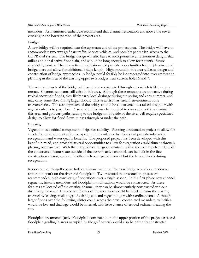meanders. As mentioned earlier, we recommend that channel restoration end above the sewer crossing in the lower portion of the project area.

## **Bridge**

A new bridge will be required near the upstream end of the project area. The bridge will have to accommodate two-way golf cart traffic, service vehicles, and possibly pedestrian access to the CDPR trail system. The bridge design will also have to incorporate river restoration designs that utilize additional active floodplain, and should be long enough to allow for potential future channel dynamics. The new active floodplain would provide opportunities for the placement of bridge piers and allow for additional bridge length. High ground in this area will ease design and construction of bridge approaches. A bridge could feasibly be incorporated into river restoration planning in the area of the existing upper two bridges near current holes 6 and 7.

The west approach of the bridge will have to be constructed through area which is likely a low terrace. Channel remnants still exist in this area. Although these remnants are not active during typical snowmelt floods, they likely carry local drainage during the spring and early summer, and may carry some flow during larger floods. This area also has stream environment zone characteristics. The east approach of the bridge should be constructed in a raised design or with regular culverts to pass flow. A second bridge may be required to cross an overflow channel in this area, and golf cart paths leading to the bridge on this side of the river will require specialized design to allow for flood flows to pass through or under the path.

## **Phasing**

Vegetation is a critical component of riparian stability. Planning a restoration project to allow for vegetation establishment prior to exposure to disturbance by floods can provide substantial revegetation and water quality benefits. The proposed project has been developed with this benefit in mind, and provides several opportunities to allow for vegetation establishment through phasing construction. With the exception of the grade controls within the existing channel, all of the constructed features are outside of the current active channel, can be built in the first construction season, and can be effectively segregated from all but the largest floods during revegetation.

Re-location of the golf course holes and construction of the new bridge would occur prior to restoration work on the river and floodplain. Two restoration construction phases are recommended, each consisting of operations over a single season. In the first phase new channel segments, historic meanders and floodplain modifications would be constructed. As these features are located off the existing channel, they can be almost entirely constructed without disturbing the river. Entrances and exits of the meanders would be blocked from the existing channel by leaving small plugs of existing soil and vegetation, or with sandbag dams. Although larger floods over the following winter could access the newly constructed meanders, velocities would be low and drainage would be internal, with little chance of eroded sediment leaving the site.

Floodplain treatments (active floodplain construction in the upper portion of the project area and floodplain grading in areas occupied by the golf course) would also be primarily constructed

River Run Consulting and the state of the state of the SO March 6, 2006 March 6, 2006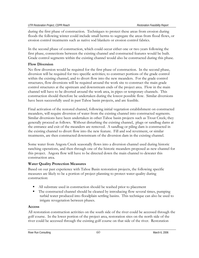during the first phase of construction. Techniques to protect these areas from erosion during floods the following winter could include small berms to segregate the areas from flood flows, or erosion control treatments such as native sod blankets or erosion control fabrics.

In the second phase of construction, which could occur either one or two years following the first phase, connections between the existing channel and constructed features would be built. Grade control segments within the existing channel would also be constructed during this phase.

## **Flow Diversion**

No flow diversion would be required for the first phase of construction. In the second phase, diversion will be required for two specific activities; to construct portions of the grade control within the existing channel, and to divert flow into the new meanders. For the grade control structures, flow diversions will be required around the work site to construct the main grade control structures at the upstream and downstream ends of the project area. Flow in the main channel will have to be diverted around the work area, in pipes or temporary channels. This construction should therefore be undertaken during the lowest possible flow. Similar diversions have been successfully used in past Tahoe basin projects, and are feasible.

Final activation of the restored channel, following initial vegetation establishment on constructed meanders, will require diversion of water from the existing channel into constructed segments. Similar diversions have been undertaken in other Tahoe basin projects such as Trout Creek; they generally proceed as follows. Without disturbing the existing channel, plugs or sandbag dams at the entrance and exit of the meanders are removed. A sandbag or piling dam is constructed in the existing channel to divert flow into the new feature. Fill and sod revetment, or similar treatments, are then constructed downstream of the diversion dam in the existing channel.

Some water from Angora Creek seasonally flows into a diversion channel used during historic ranching operations, and then through one of the historic meanders proposed as new channel for this project. Angora flow will have to be directed down the main channel to dewater this construction area.

## **Water Quality Protection Measures**

Based on our past experience with Tahoe Basin restoration projects, the following specific measures are likely to be a portion of project planning to protect water quality during construction:

- All substrate used in construction should be washed prior to placement
- The constructed channel should be cleaned by introducing flow several times, pumping turbid water produced into floodplain settling basins. This technique can also be used to irrigate revegetation between phases.

## **Access**

All restoration construction activities on the south side of the river could be accessed through the golf course. In the lower portion of the project area, restoration sites on the north side of the river could be accessed through the existing golf course on that side of the river. Restoration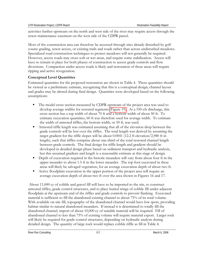activities further upstream on the north and west side of the river may require access through the sewer maintenance easement on the west side of the CDPR parcel.

Most of the construction area can therefore be accessed through sites already disturbed by golf course grading, sewer access, or existing trails and roads rather than across undisturbed meadows. Specialized road construction techniques to protect meadows will not generally be required. However, access roads may cross soft or wet areas, and require some stabilization. Access will have to remain in place for both phases of construction to access grade controls and flow diversions. Compaction under access roads is likely and restoration of these areas will require ripping and active revegetation.

## **Conceptual Level Quantities**

Estimated quantities for the proposed restoration are shown in Table 4. These quantities should be viewed as a preliminary estimate, recognizing that this is a conceptual design; channel layout and grades may be altered during final design. Quantities were developed based on the following assumptions:

- The model cross section measured by CDPR upstream of the project area was used to develop average widths for restored segments (Figure 19). At a 550 cfs discharge, this cross section has a top width of about 70 ft and a bottom width of about 50 ft. To estimate excavation quantities, 60 ft was therefore used for average width. To estimate the width of armored riffles, the bottom width, or 50 ft, was used.
- Armored riffle length was estimated assuming that all of the elevation drop between the grade controls will be lost over the riffles. The total length was derived by assuming the target gradient for the riffle slopes will be about 0.0041 (12.2 ft elevation/2,980 ft in length), such that riffles comprise about one-third of the total restored channel length between grade controls. The final design for riffle length and gradient should be developed in detailed design phase based on sediment transport and hydraulic analysis, but this assumed gradient and length is a reasonable estimate at this stage of design.
- Depth of excavation required in the historic meanders will vary from about four ft in the upper meander to about 1.5 ft in the lower meander. The top foot excavated in these areas will likely be salvaged vegetation, for an average excavation depth of about two ft.
- Active floodplain excavation in the upper portion of the project area will require an average excavation depth of about two ft over the area shown in Figures 16 and 17.

 About 11,000 cy of cobble and gravel fill will have to be imported to the site, to construct armored riffles, grade control structures, and to place buried wings of cobble fill under adjacent floodplain at the upstream end of the riffles and grade controls to prevent flanking. Excavated material is sufficient to fill the abandoned existing channel to about 75% of its total volume. With available on-site fill, topography of the abandoned channel would have low spots, providing habitat similar to natural abandoned meanders. If instead it is determined to totally fill the abandoned channel, import of about 10,000 cy of suitable material will be required. Fill of abandoned channel to less than 75% of existing volume will require material export. Larger rock will likely be required for grade control structures, depending on hydraulic analysis during detailed design. The quantity of large rock would replace cobble riffle as fill in Table 4.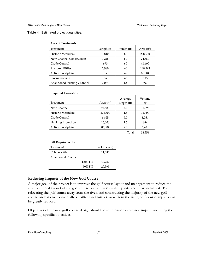#### **Table 4**. Estimated project quantities.

| THE OF THE THE THE         |             |            |                         |
|----------------------------|-------------|------------|-------------------------|
| Treatment                  | Length (ft) | Width (ft) | Area (ft <sup>2</sup> ) |
| <b>Historic Meanders</b>   | 3,810       | 60         | 228,600                 |
| New Channel Construction   | 1,248       | 60         | 74,880                  |
| Grade Control              | 690         | 60         | 41,400                  |
| Armored Riffles            | 2,980       | 60         | 148,995                 |
| Active Floodplain          | na          | na         | 86,504                  |
| Bioengineering             | na          | na         | 37,457                  |
| Abandoned Existing Channel | 2,084       | na         | na                      |

#### **Area of Treatments**

#### **Required Excavation**

| WAARDAHA LAGAYAHUIL        |               |                       |                                 |
|----------------------------|---------------|-----------------------|---------------------------------|
| Treatment                  | Area $(ft^2)$ | Average<br>Depth (ft) | Volume<br>$\left($ CV $\right)$ |
|                            |               |                       |                                 |
| New Channel                | 74,880        | 4.0                   | 11,093                          |
| <b>Historic Meanders</b>   | 228,600       | 1.5                   | 12,700                          |
| Grade Control              | 6,825         | 5.0                   | 1,264                           |
| <b>Flanking Protection</b> | 16,000        | 1.5                   | 889                             |
| Active Floodplain          | 86,504        | 2.0                   | 6,408                           |
|                            |               |                       |                                 |

 $\mathbf{r}$ 

Total 32,354

#### **Fill Requirements**

| Volume (cy)                 |
|-----------------------------|
| 11,083                      |
|                             |
| <b>Total Fill</b><br>40,789 |
| 50% Fill<br>20,395          |
|                             |

#### **Reducing Impacts of the New Golf Course**

A major goal of the project is to improve the golf course layout and management to reduce the environmental impact of the golf course on the river's water quality and riparian habitat. By relocating the golf course away from the river, and constructing the majority of the new golf course on less environmentally sensitive land further away from the river, golf course impacts can be greatly reduced.

Objectives of the new golf course design should be to minimize ecological impact, including the following specific objectives: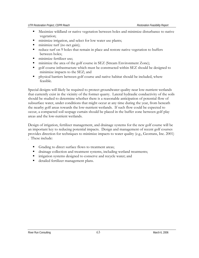- Maximize wildland or native vegetation between holes and minimize disturbance to native vegetation;
- minimize irrigation, and select for low water use plants;
- minimize turf (no net gain);
- reduce turf on 9 holes that remain in place and restore native vegetation to buffers between holes;
- minimize fertilizer use;
- minimize the area of the golf course in SEZ (Stream Environment Zone);
- golf course infrastructure which must be constructed within SEZ should be designed to minimize impacts to the SEZ; and
- physical barriers between golf course and native habitat should be included, where feasible.

Special designs will likely be required to protect groundwater quality near low-nutrient wetlands that currently exist in the vicinity of the former quarry. Lateral hydraulic conductivity of the soils should be studied to determine whether there is a reasonable anticipation of potential flow of subsurface water, under conditions that might occur at any time during the year, from beneath the nearby golf areas towards the low-nutrient wetlands. If such flow could be expected to occur, a compacted soil seepage curtain should be placed in the buffer zone between golf play areas and the low-nutrient wetlands.

Design of irrigation, fertilizer management, and drainage systems for the new golf course will be an important key to reducing potential impacts. Design and management of recent golf courses provides direction for techniques to minimize impacts to water quality (e.g., Geotrans, Inc. 2001) . These include:

- Grading to direct surface flows to treatment areas;
- drainage collection and treatment systems, including wetland treatments;
- irrigation systems designed to conserve and recycle water; and
- detailed fertilizer management plans.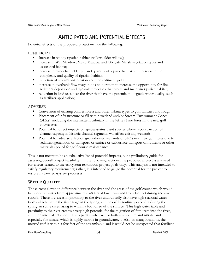# ANTICIPATED AND POTENTIAL EFFECTS

Potential effects of the proposed project include the following:

BENEFICIAL

- Increase in woody riparian habitat (willow, alder-willow);
- increase in Wet Meadow, Mesic Meadow and Obligate Marsh vegetation types and associated habitat;
- increase in river channel length and quantity of aquatic habitat, and increase in the complexity and quality of riparian habitat;
- reduction of streambank erosion and fine sediment yield;
- increase in overbank flow magnitude and duration to increase the opportunity for fine sediment deposition and dynamic processes that create and maintain riparian habitat;
- reduction in land uses near the river that have the potential to degrade water quality, such as fertilizer application;

## ADVERSE

- Conversion of existing conifer forest and other habitat types to golf fairways and rough
- Placement of infrastructure or fill within wetland and/or Stream Environment Zones (SEZs), including the intermittent tributary in the Jeffrey Pine forest in the new golf course area.
- Potential for direct impacts on special-status plant species where reconstruction of channel capacity in historic channel segments will affect existing wetlands
- Potential for adverse effect on groundwater, wetlands or SEZs near new golf holes due to sediment generation or transport, or surface or subsurface transport of nutrients or other materials applied for golf course maintenance.

This is not meant to be an exhaustive list of potential impacts, but a preliminary guide for assessing overall project feasibility. In the following sections, the proposed project is analyzed for effects related to the ecosystem restoration project goals only. This analysis is not intended to satisfy regulatory requirements; rather, it is intended to gauge the potential for the project to restore historic ecosystem processes.

# **WATER QUALITY**

The current elevation difference between the river and the areas of the golf course which would be relocated varies from approximately 3-8 feet at low flows and from 1-5 feet during snowmelt runoff. These low areas in proximity to the river undoubtedly also have high seasonal water tables which mimic the river stage in the spring, and probably routinely exceed it during the spring, in some cases rising to within a foot or so of the surface. This high water table and proximity to the river creates a very high potential for the migration of fertilizers into the river, and then into Lake Tahoe. This is particularly true for both ammonium and nitrate, and especially for nitrate, which is highly mobile in groundwater. . Also, in many locations, the mowed turf is within a few feet of the streambank, and it would not be unexpected that fertilizer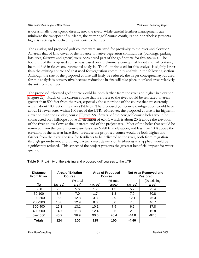is occasionally over-spread directly into the river. While careful fertilizer management can minimize the transport of nutrients, the current golf course configuration nonetheless presents high risk setting for delivering nutrients to the river.

The existing and proposed golf courses were analyzed for proximity to the river and elevation. All areas that of land cover or disturbance to native vegetation communities (buildings, parking lots, tees, fairways and greens) were considered part of the golf course for this analysis. The footprint of the proposed course was based on a preliminary conceptual layout and will certainly be modified in future environmental analysis. The footprint used for this analysis is slightly larger than the existing course and that used for vegetation community analysis in the following section. Although the size of the proposed course will likely be reduced, the larger conceptual layout used for this analysis is conservative because reductions in size will take place in upland areas relatively distant from the river.

The proposed relocated golf course would be both farther from the river and higher in elevation (Figure 22). Much of the current course that is closest to the river would be relocated to areas greater than 500 feet from the river, especially those portions of the course that are currently within about 100 feet of the river (Table 5). The proposed golf course configuration would have about 12 fewer acres within 100 feet of the UTR. Moreover, the proposed course is far higher in elevation than the existing course (Figure 22). Several of the new golf course holes would be constructed on a hillslope above an elevation of 6,305, which is about 20 ft above the elevation of the river at low flows at the upstream end of the project area. Most of the holes that would be removed from the current course are less than 6,280 ft in elevation, and less than 10 ft above the elevation of the river at base flow. Because the proposed course would be both higher and farther from the river, the risk for fertilizers to be delivered to the river, both from migration through groundwater, and through actual direct delivery of fertilizer as it is applied, would be significantly reduced. This aspect of the project presents the greatest beneficial impact for water quality.

| <b>Distance</b><br><b>From River</b> | <b>Area of Existing</b><br>Course |                   | <b>Area of Proposed</b><br>Course |                   | Net Area Removed and<br><b>Restored</b> |                      |
|--------------------------------------|-----------------------------------|-------------------|-----------------------------------|-------------------|-----------------------------------------|----------------------|
| (ft)                                 | (acres)                           | (% total<br>area) | (acres)                           | (% total<br>area) | (acres)                                 | (% existing<br>area) |
| $0 - 50$                             | 7.0                               | 5.6               | 1.7                               | 1.3               | 5.2                                     | 75.4                 |
| 50-100                               | 8.7                               | 7.0               | 1.7                               | 1.3               | 7.0                                     | 80.8                 |
| 100-200                              | 15.9                              | 12.8              | 3.8                               | 2.9               | 12.1                                    | 76.3                 |
| 200-300                              | 16.0                              | 12.9              | 8.6                               | 6.6               | 7.5                                     | 46.7                 |
| 300-400                              | 16.3                              | 13.1              | 10.1                              | 7.9               | 6.2                                     | 37.8                 |
| 400-500                              | 14.7                              | 11.8              | 12.4                              | 9.6               | 2.3                                     | 15.8                 |
| over 500                             | 45.9                              | 36.9              | 90.6                              | 70.4              | -44.8                                   | $-97.5$              |
| Totals                               | 124                               | 100               | 129                               | 100               | $-4.40$                                 |                      |

**Table 5**. Proximity of the existing and proposed golf courses to the UTR.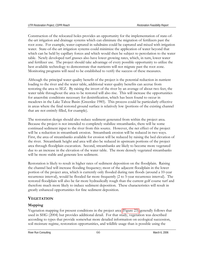Construction of the relocated holes provides an opportunity for the implementation of state-ofthe-art irrigation and drainage systems which can eliminate the migration of fertilizers past the root zone. For example, water captured in subdrains could be captured and mixed with irrigation water. State-of-the-art irrigation systems could minimize the application of water beyond that which can be held by capillary forces and which would then be subject to percolation to the water table. Newly developed turf grasses also have lower growing rates, which, in turn, lower water and fertilizer use. The project should take advantage of every possible opportunity to utilize the best available technology to demonstrate that nutrients will not migrate past the root zone. Monitoring programs will need to be established to verify the success of these measures.

Although the principal water quality benefit of the project is the potential reduction in nutrient loading to the river and the water table, additional water quality benefits can accrue from restoring the area to SEZ. By raising the invert of the river by an average of about two feet, the water table throughout the area to be restored will also rise. This will increase the opportunities for anaerobic conditions necessary for denitrification, which has been found to occur in meadows in the Lake Tahoe Basin (Greenlee 1985). This process could be particularly effective in areas where the final restored ground surface is relatively low (portions of the existing channel that are not entirely filled, for example).

The restoration design should also reduce sediment generated from within the project area. Because the project is not intended to completely stabilize streambanks, there will be some continued sediment input to the river from this source. However, the net effect of the project will be a reduction in streambank erosion. Streambank erosion will be reduced in two ways. First, the area of streambanks available for erosion will be reduced by raising the bed elevation of the river. Streambank height and area will also be reduced in upstream portions of the project area through floodplain excavation. Second, streambanks are likely to become more vegetated due to an increase in the elevation of the water table. The more densely vegetated streambanks will be more stable and generate less sediment.

Restoration is likely to result in higher rates of sediment deposition on the floodplain. Raising the channel bed will increase flooding frequency; most of the adjacent floodplain in the lower portion of the project area, which is currently only flooded during rare floods (around a 10-year recurrence interval), would be flooded far more frequently (2 to 5-year recurrence interval). The restored floodplain will also be far more hydraulically rough than the current golf course turf and therefore much more likely to induce sediment deposition. These characteristics will result in greatly enhanced opportunities for fine sediment deposition.

# **VEGETATION**

## **Mapping**

Vegetation mapping for present conditions in the project area (Figure 23) generally follows that used in SHG (2004) but provides additional detail. For that study, vegetation was described according to types that provide somewhat more detailed information on ecological succession, soil moisture regime, restoration opportunities, and wildlife usage than is possible using the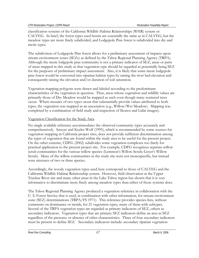classification systems of the California Wildlife Habitat Relationships (WHR) system or CALVEG. In brief, the forest types used herein are essentially the same as in CALVEG, but the meadow types are more finely subdivided, and Lodgepole Pine forest is subdivided into dry and mesic types.

The subdivision of Lodgepole Pine forest allows for a preliminary assessment of impacts upon stream environment zones (SEZs) as defined by the Tahoe Regional Planning Agency (TRPA). Although the mesic lodgepole pine community is not a primary indicator of SEZ, areas or parts of areas mapped in this study as that vegetation type should be regarded as potentially being SEZ for the purposes of preliminary impact assessment. Also, it is likely that some mesic lodgepole pine forest would be converted into riparian habitat types by raising the river bed elevation and consequently raising the elevation and/or duration of soil saturation.

Vegetation mapping polygons were drawn and labeled according to the predominant characteristics of the vegetation in question. Thus, areas whose vegetation and wildlife values are primarily those of Dry Meadow would be mapped as such even though many scattered trees occur. Where mosaics of two types occur that substantially provide values attributed to both types, the vegetation was mapped as an association (e.g., Willow/Wet Meadow). Mapping was completed by a combination of field study and inspection of Ikonos and Lidar imagery.

## Vegetation Classification for the Study Area

No single available reference accommodates the observed community types accurately and comprehensively. Sawyer and Keeler-Wolf (1995), which is recommended by some sources for vegetation mapping in California project sites, does not provide sufficient discrimination among the types of vegetation that are found within the study area to be useful for the present project. On the other extreme, CDFG (2002) subdivides some vegetation complexes too finely for practical application to the present project site. For example, CDFG recognizes separate willow scrub communities for the various willow species (Lemmon's Willow Scrub; Geyer's Willow Scrub). Many of the willow communities in the study site were not monospecific, but instead were mixtures of two or three species.

Accordingly, the woody vegetation types used here correspond to those of CALVEG and the California Wildlife-Habitat Relationship system. However, field observation at the Upper Truckee River site and many other areas in the Lake Tahoe region has shown that it is very informative to discriminate more finely among meadow types than either of those systems does.

The Tahoe Regional Planning Agency produced a vegetation reference in collaboration with the U. S. Forest Service that is used, in combination with other information, for stream environment zone (SEZ) determinations (TRPA/FS 1971). This reference provides species lists, without comments on dominance or trends, for 21 vegetation types, many of them with subtypes. Several of the TRPA vegetation types are regarded as primary indicators of SEZ, others as secondary indicators. Vegetation types that are primary SEZ indicators define an area as SEZ regardless of the presence or absence of other characteristics. Three of four secondary indicators must be present to define SEZ. Secondary indicators include: secondary riparian vegetation

River Run Consulting and the consulting of the consulting of the consulting of the consulting of the consulting of the consulting of the consulting of the consulting of the consulting of the consulting of the consulting of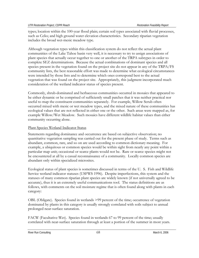types; location within the 100-year flood plain; certain soil types associated with fluvial processes, such as Celio; and high ground water elevation characteristics. Secondary riparian vegetation includes the broad wet-mesic meadow type.

Although vegetation types within this classification system do not reflect the actual plant communities of the Lake Tahoe basin very well, it is necessary to try to assign associations of plant species that actually occur together to one or another of the TRPA subtypes in order to complete SEZ determinations. Because the actual combinations of dominant species and all species present in the vegetation found on the project site do not appear in any of the TRPA/FS community lists, the best reasonable effort was made to determine what ecological circumstances were intended by those lists and to determine which ones correspond best to the actual vegetation that was found on the project site. Appropriately, this judgment incorporated much consideration of the wetland indicator status of species present.

Commonly, shrub-dominated and herbaceous communities occurred in mosaics that appeared to be either dynamic or be comprised of sufficiently small patches that it was neither practical nor useful to map the constituent communities separately. For example, Willow Scrub often occurred mixed with mesic or wet meadow types, and the mixed nature of these communities has ecological values that are not reflected in either one or the other. Such areas were mapped as, for example Willow/Wet Meadow. Such mosaics have different wildlife habitat values than either community occurring alone.

## Plant Species Wetland Indicator Status

Statements regarding dominance and occurrence are based on subjective observation; no quantitative vegetation sampling was carried out for the present phase of study. Terms such as abundant, common, rare, and so on are used according to common dictionary meaning. For example, a ubiquitous or common species would be within sight from nearly any point within a particular map unit; occasional or scarce plants would not be. Rare or scarce species might not be encountered at all by a casual reconnaissance of a community. Locally common species are abundant only within specialized microsites.

Ecological status of plant species is sometimes discussed in terms of the U. S. Fish and Wildlife Service wetland indicator statuses (USFWS 1996). Despite imperfections, this system and the statuses of many common riparian plant species are widely known (if not universally agreed to be accurate), thus it is an extremely useful communications tool. The status definitions are as follows, with comments on the soil moisture regime that is often found along with plants in each category:

OBL (Obligate). Species found in wetlands >99 percent of the time; occurrence of vegetation dominated by plants in this category is usually strongly correlated with soils subject to annual prolonged near-surface saturation.

FACW (Facultative-Wet). Species found in wetlands 67 to 99 percent of the time; usually correlated with near-surface saturation through at least a portion of the summer in most years.

River Run Consulting and the consulting consulting and the consulting consulting 68 March 6, 2006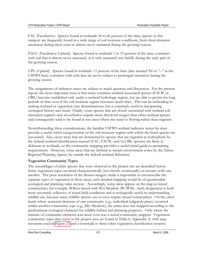FAC (Facultative). Species found in wetlands 34 to 66 percent of the time; species in this category are frequently found in a wide range of soil moisture conditions, from short-duration saturation during most years to almost never saturated during the growing season.

FACU (Facultative-Upland). Species found in wetlands 1 to 33 percent of the time; correlates with soil that is almost never saturated, or is only saturated very briefly during the early part of the growing season.

UPL (Upland). Species found in wetlands <1 percent of the time (also notated NI or "--" in the USFWS lists); correlates with soils that are never subject to prolonged saturation during the growing season.

The assignments of indicator status are subject to much question and discussion. For the present report, the most important issue is that many common wetland-associated species (FACW or OBL) become established only under a wetland hydrologic regime, but are able to persist for long periods of time even if the soil moisture regime becomes much drier. This can be misleading in making wetland or vegetation type determinations, but is extremely useful in interpreting ecological history and trend. Finally, some species that are closely associated with wetland soil saturation regimes may nevertheless require more dissolved oxygen than other wetland species and consequently tend to be found in wet areas where the water is flowing rather than stagnant.

Notwithstanding these considerations, the familiar USFWS wetland indicator status list does provide a useful *relative* categorization of the soil moisture regime with which the listed species are associated. Also, most areas that are dominated by species that are regarded as hydrophytic by the federal wetland identification manual (FAC, FACW, and/or OBL species) are likely to delineate as wetlands, so the community mapping provides a useful initial guide to permitting requirements. However, some areas that are defined as stream environment zones by the Tahoe Regional Planning Agency lie outside the federal wetland definition.

## **Vegetation Community Types**

The assemblages of plant species that were observed in the project site are described below. Some vegetation types occurred characteristically (not merely occasionally) as mosaics with one another. The poor resolution of the Ikonos imagery made it impossible to circumscribe the separate types of vegetation in these areas; such detailed mapping would be of questionable ecological and planning value anyway. Accordingly, some areas appear on the map as mixed communities, for example, Willow mixed with Wet Meadow (W/WM). Such designation is both more accurately reflective of actual field conditions and is ecologically useful in understanding wildlife use, because many wildlife species use or even require mixed communities. On the other hand, where scattered elements of one community (e.g., individual lodgepole pines) occurred within another community type (e.g., Dry Meadow), the entire area was mapped according to the predominant ecological character for wildlife habitat and planning purposes. Only where the mixture of community elements was more even was a mixed community mapped. Vegetation community types that occur in the project area are found in Table 6, Appendix A, with map acronyms used in Figure 23 and a crosswalk to three other vegetation classification systems.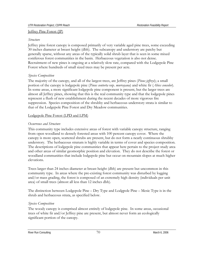#### Jeffrey Pine Forest (JP)

#### *Structure*

Jeffrey pine forest canopy is composed primarily of very variable aged pine trees, some exceeding 30 inches diameter at breast height (dbh). The subcanopy and understory are patchy but generally sparse, without any areas of the typically solid shrub layer that is seen in some mixed coniferous forest communities in the basin. Herbaceous vegetation is also not dense. Recruitment of new pines is ongoing at a relatively slow rate, compared with the Lodgepole Pine Forest where hundreds of small sized trees may be present per acre.

## *Species Composition*

The majority of the canopy, and all of the largest trees, are Jeffrey pines (*Pinus jeffreyi*); a small portion of the canopy is lodgepole pine (*Pinus contorta* ssp. *murrayana*) and white fir (*Abies concolor*). In some areas, a more significant lodgepole pine component is present, but the larger trees are almost all Jeffrey pines, showing that this is the real community type and that the lodgepole pines represent a flush of new establishment during the recent decades of more vigorous fire suppression. Species composition of the shrubby and herbaceous understory strata is similar to that of the Lodgepole Pine Forest and Dry Meadow communities.

### Lodgepole Pine Forest (LPD and LPM)

### *Occurrence and Structure*

This community type includes extensive areas of forest with variable canopy structure, ranging from open woodland to densely forested areas with 100 percent canopy cover. Where the canopy is more open, scattered shrubs are present, but do not form a nearly continuous shrubby understory. The herbaceous stratum is highly variable in terms of cover and species composition. The descriptions of lodgepole pine communities that appear here pertain to the project study area and other areas of similar geomorphic position and elevation. They do not describe the forest or woodland communities that include lodgepole pine but occur on mountain slopes at much higher elevations.

Trees larger than 24 inches diameter at breast height (dbh) are present but uncommon in this community type. In areas where the pre-existing forest community was disturbed by logging and/or mass grading, the forest is composed of an extremely high density (individuals per unit area) of small trees (almost all less than 12 inches dbh).

The distinction between Lodgepole Pine – Dry Type and Lodgpole Pine – Mesic Type is in the shrub and herbaceous strata, as specified below.

#### *Species Composition*

The woody canopy is comprised almost entirely of lodgepole pine. In some areas, occasional trees of white fir and/or Jeffrey pine are present, but almost never form an ecologically significant portion of the canopy.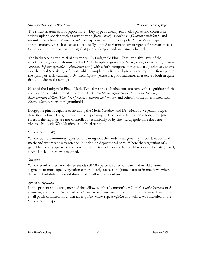The shrub stratum of Lodgepole Pine – Dry Type is usually relatively sparse and consists of strictly upland species such as wax currant (*Ribes cereum*), snowbush (*Ceanothus cordulatus*), and mountain sagebrush (*Artemisia tridentata* ssp*. vaseyana*). In Lodgepole Pine – Mesic Type, the shrub stratum, where it exists at all, is usually limited to remnants or stringers of riparian species (willow and other riparian shrubs) that persist along abandoned small channels.

The herbaceous stratum similarly varies. In Lodgepole Pine - Dry Type, this layer of the vegetation is generally dominated by FACU to upland grasses (*Elymus glaucus, Poa pratensis, Bromus carinatus, Elymus elymoides*, *Achnatherum* spp*.*) with a forb component that is usually relatively sparse or ephemeral (consisting of plants which complete their annual growth and reproduction cycle in the spring or early summer). By itself, *Elymus glaucus* is a poor indicator, as it occurs both in quite dry and quite moist settings.

Most of the Lodgepole Pine - Mesic Type forest has a herbaceous stratum with a significant forb component, of which most species are FAC (*Epilobium angustifolium, Heracleum lanatum, Maianthemum stellata, Thalictrum fendleri, Veratrum californicum,* and others), sometimes mixed with *Elymus glaucus* or "wetter" graminoids.

Lodgepole pine is capable of invading the Mesic Meadow and Dry Meadow vegetation types described below. Thus, either of these types may be type-converted to dense lodgepole pine forest if the saplings are not controlled mechanically or by fire. Lodgepole pine does not vigorously invade Wet Meadow as defined herein.

#### Willow Scrub (W)

Willow Scrub community types occur throughout the study area, generally in combination with mesic and wet meadow vegetation, but also on depositional bars. Where the vegetation of a gravel bar is very sparse or composed of a mixture of species that could not easily be categorized, a type labeled "Bar" was mapped.

#### *Structure*

Willow scrub varies from dense stands (80-100 percent cover) on bars and in old channel segments to more open vegetation either in early succession (some bars) or in meadows where dense turf inhibits the establishment of a willow monoculture.

#### *Species Composition*

In the present study area, most of the willow is either Lemmon's or Geyer's (*Salix lemmonii* or *S. geyeriana*), with some Pacific willow (*S. lucida* ssp*. lasiandra*) present on recent alluvial bars. One small patch of mixed mountain alder (*Alnus incana* ssp. *tenuifolia*) and willow was included in the Willow Scrub type.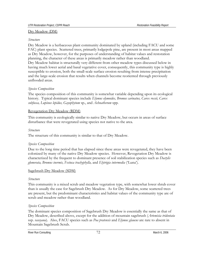#### Dry Meadow (DM)

#### *Structure*

Dry Meadow is a herbaceous plant community dominated by upland (including FACU and some FAC) plant species. Scattered trees, primarily lodgepole pine, are present in most areas mapped as Dry Meadow, however, for the purposes of understanding of habitat values and restoration planning, the character of these areas is primarily meadow rather than woodland. Dry Meadow habitat is structurally very different from other meadow types discussed below in having much lower aerial and basal vegetative cover, consequently, this community type is highly susceptible to erosion, both the small-scale surface erosion resulting from intense precipitation and the large-scale erosion that results when channels become reoriented through previously unflooded areas.

#### *Species Composition*

The species composition of this community is somewhat variable depending upon its ecological history. Typical dominant species include *Elymus elymoides, Bromus carinatus, Carex rossii, Carex subfusca, Lupinus lepidus, Gayophytum* sp., and *Achnatherum* spp*.* 

#### Revegetation Dry Meadow (RDM)

This community is ecologically similar to native Dry Meadow, but occurs in areas of surface disturbance that were revegetated using species not native to the area.

#### *Structure*

The structure of this community is similar to that of Dry Meadow.

#### *Species Composition*

Due to the long time period that has elapsed since these areas were revegetated, they have been colonized by many of the native Dry Meadow species. However, Revegetation Dry Meadow is characterized by the frequent to dominant presence of soil stabilization species such as *Dactylis glomerata, Bromus inermis, Festuca trachyphylla,* and *Elytrigia intermedia* ('Luna').

#### Sagebrush Dry Meadow (SDM)

#### *Structure*

This community is a mixed scrub and meadow vegetation type, with somewhat lower shrub cover than is usually the case for Sagebrush Dry Meadow. As for Dry Meadow, some scattered trees are present, but the predominant characteristics and habitat values of the community type are of scrub and meadow rather than woodland.

#### *Species Composition*

The dominant species composition of Sagebrush Dry Meadow is essentially the same as that of Dry Meadow, described above, except for the addition of mountain sagebrush (*Artemisia tridentata*  ssp. *vaseyana*). Also, FACU species such as *Poa pratensis* and *Elymus glaucus* are rare to absent in Mountain Sagebrush Scrub.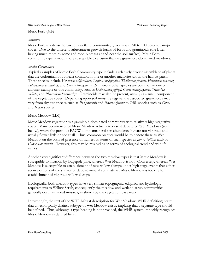#### Mesic Forb (MF)

#### *Structure*

Mesic Forb is a dense herbaceous wetland community, typically with 90 to 100 percent canopy cover. Due to the different subterranean growth forms of forbs and graminoids (the latter having much more rhizome and root biomass at and near the soil surface), Mesic Forb community type is much more susceptible to erosion than are graminoid-dominated meadows.

### *Species Composition*

Typical examples of Mesic Forb Community type include a relatively diverse assemblage of plants that are codominant or at least common in one or another microsite within the habitat patch. These species include *Veratrum californicum, Lupinus polyphyllus, Thalictrum fendleri, Heracleum lanatum, Polemonium occidentale,* and *Senecio triangularis.* Numerous other species are common in one or another example of this community, such as *Dodecatheon jeffreyi, Geum macrophyllum, Smilacina stellata,* and *Platanthera leucostachys*. Graminoids may also be present, usually as a small component of the vegetative cover. Depending upon soil moisture regime, the associated graminoids may vary from dry-site species such as *Poa pratensis* and *Elymus glaucus* to OBL species such as *Carex*  and *Juncus* species.

### Mesic Meadow (MM)

Mesic Meadow vegetation is a graminoid-dominated community with relatively high vegetative cover. Many occurrences of Mesic Meadow actually represent dewatered Wet Meadows (see below), where the previous FACW dominants persist in abundance but are not vigorous and usually flower little or not at all. Thus, common practice would be to denote these as Wet Meadow on the basis of presence of numerous stems of such species as *Juncus balticus* and/or *Carex nebrascensis*. However, this may be misleading in terms of ecological trend and wildlife values.

Another very significant difference between the two meadow types is that Mesic Meadow is susceptible to invasion by lodgepole pine, whereas Wet Meadow is not. Conversely, whereas Wet Meadow is susceptible to establishment of new willow clumps under high stage events that either scour portions of the surface or deposit mineral soil material, Mesic Meadow is too dry for establishment of vigorous willow clumps.

Ecologically, both meadow types have very similar topographic, edaphic, and hydrologic requirements to Willow Scrub, consequently the meadow and wetland scrub communities generally occur as mixed mosaics, as shown by the vegetation base map.

Interestingly, the text of the WHR habitat description for Wet Meadow (WHR definition) states that an ecologically distinct subtype of Wet Meadow exists, implying that a separate type should be defined. Thus, although a type heading is not provided, the WHR system implicitly recognizes Mesic Meadow as defined herein.

River Run Consulting **National Structure Consulting 12.3** March 6, 2006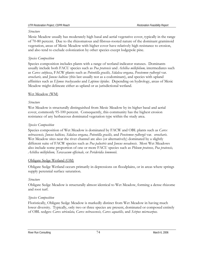#### *Structure*

Mesic Meadow usually has moderately high basal and aerial vegetative cover, typically in the range of 70-80 percent. Due to the rhizomatous and fibrous-rooted nature of the dominant graminoid vegetation, areas of Mesic Meadow with higher cover have relatively high resistance to erosion, and also tend to exclude colonization by other species except lodgepole pine.

## *Species Composition*

Species composition includes plants with a range of wetland indicator statuses. Dominants usually include both FACU species such as *Poa pratensis* and *Achillea millefolium,* intermediates such as *Carex subfusca*, FACW plants such as *Potentilla gracilis, Sidalcea oregana, Penstemon rydbergii* var. *oreocharis,* and *Juncus balticus* (this last usually not as a codominant), and species with upland affinities such as *Elymus trachycaulus* and *Lupinus lepidus*. Depending on hydrology, areas of Mesic Meadow might delineate either as upland or as jurisdictional wetland.

## Wet Meadow (WM)

## *Structure*

Wet Meadow is structurally distinguished from Mesic Meadow by its higher basal and aerial cover, commonly 95-100 percent. Consequently, this community has the highest erosion resistance of any herbaceous dominated vegetation type within the study area.

## *Species Composition*

Species composition of Wet Meadow is dominated by FACW and OBL plants such as *Carex nebrascensis, Juncus balticus, Sidalcea oregana, Potentilla gracilis,* and *Penstemon rydbergii* var. *oreocharis.*  Wet Meadow sites near the river channel are also (or alternatively) dominated by a slightly different suite of FACW species such as *Poa palustris* and *Juncus nevadensis*. Most Wet Meadows also include some proportion of one or more FACU species such as *Phleum pratense, Poa pratensis, Achillea millefolium, Taraxacum officinale,* or *Perideridia lemmonii.*

## Obligate Sedge Wetland (OM)

Obligate Sedge Wetland occurs primarily in depressions on floodplains, or in areas where springs supply perennial surface saturation.

## *Structure*

Obligate Sedge Meadow is structurally almost identical to Wet Meadow, forming a dense rhizome and root turf.

## *Species Composition*

Floristically, Obligate Sedge Meadow is markedly distinct from Wet Meadow in having much lower diversity. Typically, only two or three species are present, dominated or composed entirely of OBL sedges: *Carex utriculata, Carex nebrascensis, Carex aquatilis,* and *Scirpus microcarpus.*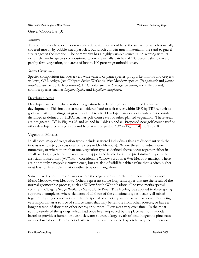#### Gravel/Cobble Bar (B)

#### *Structure*

This community type occurs on recently deposited sediment bars, the surface of which is usually covered mostly by cobble-sized particles, but which contain much material in the sand to gravel size ranges in the interior. The community has a highly variable structure, in keeping with its extremely patchy species composition. There are usually patches of 100 percent shrub cover, patchy forb vegetation, and areas of low to 100 percent graminoid cover.

## *Species Composition*

Species composition includes a very wide variety of plant species groups: Lemmon's and Geyer's willows, OBL sedges (see Obligate Sedge Wetland), Wet Meadow species (*Poa palustris* and *Juncus nevadensis* are particularly common), FAC herbs such as *Solidago canadensis*, and fully upland, colonist species such as *Lupinus lepidus* and *Lepidium densiflorum.* 

### Developed Areas

Developed areas are where soils or vegetation have been significantly altered by human development. This includes areas considered hard or soft cover within SEZ by TRPA, such as golf cart paths, buildings, or gravel and dirt roads. Developed areas also include areas considered disturbed as defined by TRPA, such as golf course turf or other planted vegetation. These areas are designated "D" in Figures 23 and 24 and in Tables 6 and 8. Proposed new golf course turf or other developed coverage in upland habitat is designated "D" in Figure 24 and Table 8.

## Vegetation Mosaics

In all cases, mapped vegetation types include scattered individuals that are discordant with the type as a whole (e.g., occasional pine trees in Dry Meadow). Where these individuals were numerous, or where more than one vegetation type as defined above occur together either in small patches, vegetation mosaics were mapped and labeled with the predominant type in the association listed first  $(W/WM = \text{considerable}$  Willow Scrub in a Wet Meadow matrix). These are not merely a mapping convenience, but are also of wildlife habitat value that is often higher or at least different than that of either type occurring alone.

Some mixed types represent areas where the vegetation is merely intermediate, for example, Mesic Meadow/Wet Meadow. Others represent stable long-term types that are the result of the normal geomorphic process, such as Willow Scrub/Wet Meadow. One type merits special comment: Obligate Sedge Wetland/Mesic Forb/Pine. This labeling was applied to three spring supported complexes where elements of all three of the constituent types occur well mixed together. Spring complexes are often of special biodiversity values, as well as sometimes being very important as a source of surface water that may be remote from other sources, or have a longer season of flow than other nearby tributaries. Flow rates vary over time. In the most southwesterly of the springs, which had once been improved by the placement of a wooden barrel to provide a human or livestock water source, a large swath of dead lodgepole pine trees occurs downslope. These trees clearly seem to have been killed by a relatively recent increase in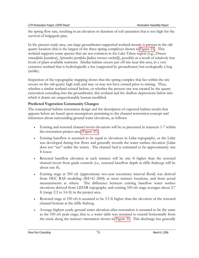the spring flow rate, resulting in an elevation or duration of soil saturation that is too high for the survival of lodgepole pine.

In the present study area, one large groundwater-supported wetland mosaic is present in the old quarry location (this is the largest of the three spring complexes shown in Figure 23). This wetland supports some species that are not common in the Lake Tahoe region (e.g., *Drosera rotundifolia* [sundew], *Spiranthes porrifolia* [ladies tresses orchid]), possibly as a result of relatively low levels of plant-available nutrients. Similar habitat occurs just off site near this area, in a very extensive wetland that is hydrologically a fen (supported by groundwater) but ecologically a bog (acidic).

Inspection of the topographic mapping shows that the spring complex that lies within the site occurs on the old quarry high wall, and may or may not have existed prior to mining. Thus, whether a similar wetland existed before, or whether the present one was created by the quarry excavation extending into the groundwater, this wetland and the shallow depressions below into which it drains are unquestionably human-modified.

## **Predicted Vegetation Community Changes**

The conceptual habitat restoration design and the description of expected habitat results that appears below are based upon assumptions pertaining to the channel restoration concept and inferences about surrounding ground water elevations, as follows:

- Existing and restored channel invert elevations will be as presented in transects 1-7 within the restoration project area (Figure 21).
- Existing baseflow is assumed to be equal to elevations in Lidar topography, as the Lidar was developed during low flows and generally records the water surface elevation (Lidar does not "see" under the water). The channel bed is estimated to be approximately one ft lower.
- Restored baseflow elevation at each transect will be one ft higher than the restored channel invert from grade controls (i.e., restored baseflow depth at riffle thalwegs will be about one ft).
- Existing stage at 550 cfs (approximate two-year recurrence interval flood) was derived from HEC RAS modeling (SH+G 2004) at most transect locations, and from actual measurements at others. The difference between existing baseflow water surface elevations derived from LIDAR topography and existing 550 cfs stage averages about 2.7 ft (range 2.2 to 3.6 ft) in the project area.
- Restored stage at 550 cfs is assumed to be 3.5 ft higher than the elevation of the restored channel bottom at the riffle thalweg.
- Average highest yearly ground water elevation after restoration is assumed to be the same as the 550 cfs peak stage; that is, a water table was assumed to extend horizontally from the creek along the transect orientation shown in Figure 21. This discharge has generally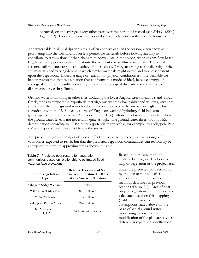occurred, on the average, every other year over the period of record (see SH+G (2004), Figure 3.2). Elevations were interpolated subjectively between the ends of transects.

The water table in alluvial riparian sites is often concave early in the season, when snowmelt percolating into the soil mounds on less permeable materials before flowing laterally to contribute to stream flow. It then changes to convex late in the season, when stream flow based largely on the upper watershed is lost into the adjacent coarse alluvial materials. The actual seasonal soil moisture regime at a variety of microsites will vary according to the diversity of the soil materials and varying depths at which similar materials might occur, and to a lesser extent upon the vegetation. Indeed, a range of variation in physical conditions is more desirable for habitat restoration than is a situation that conforms to a modeled ideal, because a range of ecological conditions results, increasing the system's biological diversity and resistance to disturbance or varying climate.

Ground water monitoring at other sites, including the lower Angora Creek meadows and Trout Creek, tends to support the hypothesis that vigorous wet meadow habitat and willow growth are supported where the ground water level rises to one foot below the surface, or higher. This is in accordance with the U. S. Army Corps of Engineers wetland hydrology field indicator (prolonged saturation to within 12 inches of the surface). Mesic meadows are supported where the ground water level is not necessarily quite as high. The ground water threshold for SEZ determination according to TRPA criteria (potentially applicable, for example, to Lodgepole Pine - Mesic Type) is about three feet below the surface.

The project design and analysis of habitat effects thus explicitly recognize that a range of variation is expected to result, but that the predicted vegetation communities can reasonably be anticipated to develop approximately as shown in Table 7.

| <b>Future Vegetation</b><br>Type | <b>Relative Elevation of Soil</b><br>Surface to Restored 550 cfs<br><b>Water Surface Elevation</b> |  |  |  |
|----------------------------------|----------------------------------------------------------------------------------------------------|--|--|--|
| Obligate Sedge Wetland           | Below                                                                                              |  |  |  |
| Willow, Wet Meadow               | $0-1$ ft above                                                                                     |  |  |  |
| Mesic Meadow                     | 1-3 ft above                                                                                       |  |  |  |
| Lodgepole Pine – Mesic           | 2-4 ft above                                                                                       |  |  |  |
| Dry Meadow (or<br>LPD/DM         | At least 3-4 ft above                                                                              |  |  |  |

**Table 7**. Predicted post-restoration vegetation communities based on relationship to estimated flood water surface elevations.

Based upon the assumptions identified above, we developed a map of vegetation of the project area

under the predicted post-restoration hydrologic regime and after application of the restoration methods described in previous sections (Figure 24). Area of postproject vegetation communities was calculated based on this mapping (Table 8). Revision of the assumptions stated above on the basis of actual ground water monitoring data would result in modification of the plan areas where different revegetation specifications

River Run Consulting **National Consulting Consulting Consulting Consulting Consulting Consulting Consulting Consulting Consulting Consulting Consulting Consulting Consulting Consulting Consulting Consulting Consulting Cons**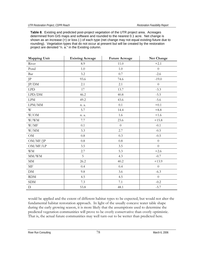**Table 8**. Existing and predicted post-project vegetation of the UTR project area. Acreages determined from GIS maps and software and rounded to the nearest 0.1 acre. Net change is shown as an increase (+) or loss (-) of each type (net change may not equal existing-future due to rounding). Vegetation types that do not occur at present but will be created by the restoration project are denoted "n. a." in the Existing column.

| <b>Mapping Unit</b>     | <b>Existing Acreage</b> | <b>Future Acreage</b> | Net Change       |
|-------------------------|-------------------------|-----------------------|------------------|
| River                   | 8.9                     | 11.0                  | $+2.1$           |
| Pond                    | 1.0                     | 1.0                   | $\boldsymbol{0}$ |
| Bar                     | 3.2                     | 0.7                   | $-2.6$           |
| $\rm{JP}$               | 93.6                    | 74.6                  | $-19.0$          |
| JP/DM                   | 2.1                     | 2.1                   | $\boldsymbol{0}$ |
| LPD                     | 17                      | 13.7                  | $-3.3$           |
| LPD/DM                  | 46.2                    | 40.8                  | $-5.5$           |
| $\operatorname{LPM}$    | 49.2                    | 43.6                  | $-5.6$           |
| $\text{LPM}/\text{MM}$  | n. a.                   | 0.1                   | $+0.1$           |
| $\ensuremath{\text{W}}$ | 5.7                     | 14.4                  | $+8.8$           |
| W/OM                    | n. a.                   | 1.6                   | $+1.6$           |
| W/WM                    | $7.7\,$                 | 23.6                  | $+15.8$          |
| W/MF                    | 0.1                     | $\overline{0}$        | $-0.1$           |
| W/MM                    | 3.3                     | 2.7                   | $-0.5$           |
| OM                      | $0.8\,$                 | 0.3                   | $-0.5$           |
| OM/MF/JP                | $0.8\,$                 | 0.8                   | $\overline{0}$   |
| OM/MF/LP                | 3.5                     | 3.5                   | $\boldsymbol{0}$ |
| <b>WM</b>               | 2.7                     | 5.3                   | $+2.6$           |
| $\rm MM/WM$             | 5                       | 4.3                   | $-0.7$           |
| $\rm MM$                | 26.2                    | 40.2                  | $+13.9$          |
| $\operatorname{MF}$     | 0.4                     | 0.4                   | $\boldsymbol{0}$ |
| ${\rm DM}$              | 9.8                     | 3.6                   | $-6.3$           |
| RDM                     | 4.5                     | 4.5                   | $\overline{0}$   |
| <b>SDM</b>              | $7.3\,$                 | $7.1\,$               | $-0.2$           |
| $\mathbf D$             | 53.8                    | 48.1                  | $-5.7$           |

would be applied and the extent of different habitat types to be expected, but would not alter the fundamental habitat restoration approach. In light of the usually concave water table shape during the early growing season, it is more likely that the assumptions used to determine the predicted vegetation communities will prove to be overly conservative than overly optimistic. That is, the actual future communities may well turn out to be wetter than predicted here.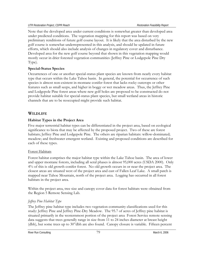Note that the developed area under current conditions is somewhat greater than developed area under predicted conditions. The vegetation mapping for this report was based on very preliminary renditions of future golf course layout. It is likely that the area disturbed by the new golf course is somewhat underrepresented in this analysis, and should be updated in future efforts, which should also include analysis of changes in regulatory cover and disturbance. Developed area for the new golf course beyond that shown in this vegetation mapping would mostly occur in drier forested vegetation communities (Jeffrey Pine or Lodgepole Pine Dry Type).

## **Special-Status Species**

Occurrences of one or another special-status plant species are known from nearly every habitat type that occurs within the Lake Tahoe basin. In general, the potential for occurrence of such species is almost non-existent in montane conifer forest that lacks rocky outcrops or other features such as small seeps, and higher in boggy or wet meadow areas. Thus, the Jeffrey Pine and Lodgepole Pine forest areas where new golf holes are proposed to be constructed do not provide habitat suitable for special-status plant species, but small wetland areas in historic channels that are to be reoccupied might provide such habitat.

## **WILDLIFE**

## **Habitat Types in the Project Area**

Five major terrestrial habitat types can be differentiated in the project area, based on ecological significance to biota that may be affected by the proposed project. Two of these are forest habitats; Jeffrey Pine and Lodgepole Pine. The others are riparian habitats: willow-dominated; meadow; and freshwater emergent wetland. Existing and proposed conditions are described for each of these types.

## Forest Habitats

Forest habitat comprises the major habitat type within the Lake Tahoe basin. The area of lower and upper montane forests, including all seral phases is almost 95,000 acres (USDA 2000). Only 4% of this is old growth conifer forest. No old growth occurs in or near the project area. The closest areas are situated west of the project area and east of Fallen Leaf Lake. A small patch is mapped near Tahoe Mountain, north of the project area. Logging has occurred in all forest habitats in the project area.

Within the project area, tree size and canopy cover data for forest habitats were obtained from the Region 5 Remote Sensing Lab.

## *Jeffrey Pine Habitat Type*

The Jeffrey pine habitat type includes two vegetation community classifications used for this study: Jeffrey Pine and Jeffrey Pine-Dry Meadow. The 95.7 of acres of Jeffrey pine habitat is situated primarily in the westernmost portion of the project area Forest Service remote sensing data suggests that trees generally range in size from 11 to 24 inches diameter at breast height (dbh), but some trees up to 30"dbh are also found. Canopy closure is variable. Fifteen percent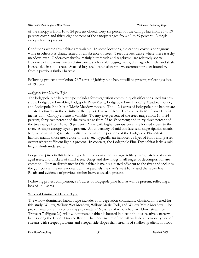of the canopy is from 10 to 24 percent closed; forty-six percent of the canopy has from 25 to 39 percent cover; and thirty-eight percent of the canopy ranges from 40 to 59 percent. A single canopy layer is present.

Conditions within this habitat are variable. In some locations, the canopy cover is contiguous while in others it is characterized by an absence of trees. Trees are less dense where there is a dry meadow layer. Understory shrubs, mainly bitterbrush and sagebrush, are relatively sparse. Evidence of previous human disturbance, such as old logging roads, drainage channels, and slash, is extensive in some areas. Stacked logs are located along the westernmost project boundary from a previous timber harvest.

Following project completion, 76.7 acres of Jeffrey pine habitat will be present, reflecting a loss of 19 acres.

## *Lodgepole Pine Habitat Type*

The lodgepole pine habitat type includes four vegetation community classifications used for this study: Lodgepole Pine-Dry, Lodgepole Pine–Mesic, Lodgepole Pine Dry/Dry Meadow mosaic, and Lodgepole Pine Mesic/Mesic Meadow mosaic. The 112.4 acres of lodgepole pine habitat are situated primarily in the vicinity of the Upper Truckee River. Trees range in size from 11 to 24 inches dbh. Canopy closure is variable. Twenty-five percent of the trees range from 10 to 24 percent; forty-two percent of the trees range from 25 to 39 percent; and thirty-three percent of the trees range from 40 to 59 percent. Areas with higher canopy cover are located closer to the river. A single canopy layer is present. An understory of mid and late seral stage riparian shrubs (e.g., willows, alders) is patchily distributed in some portions of the Lodgepole Pine-Mesic habitat, mainly those areas close to the river. Typically, an herbaceous layer of forbs and grasses occurs where sufficient light is present. In contrast, the Lodgepole Pine-Dry habitat lacks a midheight shrub understory.

Lodgepole pines in this habitat type tend to occur either as large solitary trees, patches of evenaged trees, and thickets of small trees. Snags and down logs in all stages of decomposition are common. Human disturbance in this habitat is mainly situated adjacent to the river and includes the golf course, the recreational trail that parallels the river's west bank, and the sewer line. Roads and evidence of previous timber harvest are also present.

Following project completion, 98.1 acres of lodgepole pine habitat will be present, reflecting a loss of 14.4 acres.

## Willow-Dominated Habitat Type

The willow-dominated habitat type includes four vegetation community classifications used for this study: Willow, Willow-Wet Meadow, Willow-Mesic Forb, and Willow-Mesic Meadow. The project area currently contains approximately 16.8 acres of willow habitat. Downstream of Transect 7 (Figure 24), willow-dominated habitat is located in discontinuous, relatively narrow bands along the Upper Truckee River. The linear nature of the willow habitat is more typical of streams with steeper gradients and steeper side slopes than streams of shallow gradient in broad

River Run Consulting and the state of the state of the SO March 6, 2006 March 6, 2006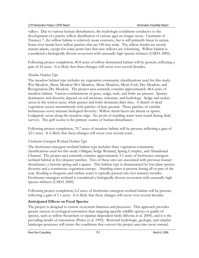valleys. Due to various human disturbances, the hydrologic conditions conducive to the development of a patchy willow distribution of various ages no longer occur. Upstream of Transect 7, the willow habitat is relatively more extensive, but is still primarily linear in nature. Some river bends have willow patches that are 100 feet wide. The willow shrubs are mostly mature plants, except for some point bars that new willows are colonizing. Willow habitat is considered a biologically diverse ecosystem with unusually high species richness (USDA 2000).

Following project completion, 40.8 acres of willow-dominated habitat will be present, reflecting a gain of 24 acres. It is likely that these changes will occur over several decades.

## *Meadow Habitat Type*

The meadow habitat type includes six vegetation community classifications used for this study: Wet Meadow, Mesic Meadow-Wet Meadow, Mesic Meadow, Mesic Forb, Dry Meadow, and Revegetation Dry Meadow. The project area currently contains approximately 48.6 acres of meadow habitat. Various combinations of grass, sedge, rush, and forbs are present. Species dominance and diversity depend on soil moisture, substrate, and hydrology. Sedge and rushes occur in the wettest areas, while grasses and forbs dominate drier sites. A thatch of dead vegetation occurs intermittently with patches of bare ground. These patches of variable herbaceous cover increase biological diversity. Willow shrub layers are absent or sparse. Lodgepole occur along the meadow edge. No pools of standing water were noted during field surveys. The golf course is the primary source of human disturbance.

Following project completion, 70.7 acres of meadow habitat will be present, reflecting a gain of 22.1 acres. It is likely that these changes will occur over several years.

## *Freshwater Emergent Wetland Habitat Type*

The freshwater emergent wetland habitat type includes three vegetation community classifications used for this study: Obligate Sedge Wetland, Spring Complex, and Abandoned Channel. The project area currently contains approximately 5.1 acres of freshwater emergent wetland habitat in five disjunct patches. Two of these sites are associated with previous human disturbance: a historic spring and a quarry. This habitat type is characterized by low plant species diversity and a continuous vegetation canopy. Standing water is present during all or part of the year, flooding is frequent, and surface water is typically present into hot summer months. Freshwater emergent wetland is considered a biologically diverse ecosystem with unusually high species richness (USDA 2000).

Following project completion, 6.2 acres of freshwater emergent wetland habitat will be present, reflecting a gain of 1.1 acres. It is likely that these changes will occur over several decades.

## **Anticipated Effects on Focal Species**

The project is designed to restore ecosystem function and processes. This approach provides greater success in ecological restoration than targeting specific wildlife species or guilds of species, such as willow flycatchers or riparian-dependent birds (Silveira et al. 2004), and it is the prevailing model of restoration (Picket et al. 1992). Restored hydrologic, geologic, and edaphic landscape processes will create the conditions that convert the project area into more natural,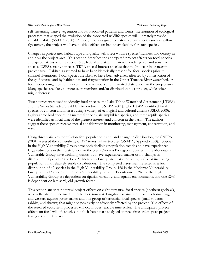self-sustaining, native vegetation and its associated patterns and forms. Restoration of ecological processes that shaped the evolution of the associated wildlife species will ultimately provide suitable habitat (SNFPA 2000). Although not designed to restore certain species such as willow flycatchers, the project will have positive effects on habitat availability for such species.

Changes in project area habitat type and quality will affect wildlife species' richness and density in and near the project area. This section describes the anticipated project effects on focal species and special status wildlife species (i.e., federal and state threatened, endangered, and sensitive species, USFS sensitive species, TRPA special interest species) that might occur in or near the project area. Habitat is assumed to have been historically present for focal species prior to channel alterations. Focal species are likely to have been adversely affected by construction of the golf course, and by habitat loss and fragmentation in the Upper Truckee River watershed. A focal species might currently occur in low numbers and in limited distribution in the project area. Many species are likely to increase in numbers and/or distribution post-project, while others might decrease.

Two sources were used to identify focal species, the Lake Tahoe Watershed Assessment (LTWA) and the Sierra Nevada Forest Plan Amendment (SNFPA 2001). The LTWA identified focal species of concern and interest using a variety of ecological and cultural criteria (USDA 2000). Eighty-three bird species, 53 mammal species, six amphibian species, and three reptile species were identified as focal taxa of the greatest interest and concern in the basin. The authors suggest these species receive special consideration in monitoring, management, conservation, and research.

Using three variables, population size, population trend, and change in distribution, the SNFPA (2001) assessed the vulnerability of 427 terrestrial vertebrates (SNFPA, Appendix R-3). Species in the High Vulnerability Group have both declining population trends and have experienced large reductions in their distribution in the Sierra Nevada Bioregion. Species in the Moderately Vulnerable Group have declining trends, but have experienced smaller or no changes in distribution. Species in the Low Vulnerability Group are characterized by stable or increasing populations and relatively stable distributions. The completed assessment resulted in a final distribution of 42 species in the High Vulnerability Group, 168 in the Moderate Vulnerability Group, and 217 species in the Low Vulnerability Group. Twenty-one (53%) of the High Vulnerability Group are dependent on riparian/meadow and aquatic environments, and one (2%) is dependent on late seral/old-growth forest.

This section analyses potential project effects on eight terrestrial focal species (northern goshawk, willow flycatcher, pine marten, mule deer, muskrat, long-toed salamander, pacific chorus frog, and western aquatic garter snake) and one group of terrestrial focal species (small rodents, rabbits, and shrews) that might be positively or adversely affected by the project. The effects of the restored ecosystem processes will occur over variable time scales. The anticipated project effects on focal wildlife species and their habitat are analyzed at three time scales: post-project, five years, and 50 years.

River Run Consulting and the set of the set of the set of the S2 March 6, 2006 March 6, 2006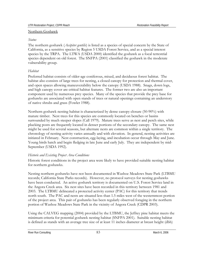#### Northern Goshawk

### *Status*

The northern goshawk (*Accipiter gentilis*) is listed as a species of special concern by the State of California, as a sensitive species by Region 5 USDA Forest Service, and as a special interest species by the TRPA. The LTWA (USDA 2000) identified the goshawk as a focal terrestrial species dependent on old forest. The SNFPA (2001) classified the goshawk in the moderate vulnerability group.

## *Habitat*

Preferred habitat consists of older-age coniferous, mixed, and deciduous forest habitat. The habitat also consists of large trees for nesting, a closed canopy for protection and thermal cover, and open spaces allowing maneuverability below the canopy (USDA 1988). Snags, down logs, and high canopy cover are critical habitat features. The former two are also an important component used by numerous prey species. Many of the species that provide the prey base for goshawks are associated with open stands of trees or natural openings containing an understory of native shrubs and grass (Fowler 1988).

Northern goshawk nesting habitat is characterized by dense canopy closure (50-90%) with mature timber. Nest trees for this species are commonly located on benches or basins surrounded by much steeper slopes (Call 1979). Mature trees serve as nest and perch sites, while plucking posts are frequently located in denser portions of the secondary canopy. The same nest might be used for several seasons, but alternate nests are common within a single territory. The chronology of nesting activity varies annually and with elevation. In general, nesting activities are initiated in February. Nest construction, egg-laying, and incubation occur through May and June. Young birds hatch and begin fledging in late June and early July. They are independent by mid-September (USDA 1992).

## *Historic and Existing Project Area Conditions*

Historic forest conditions in the project area were likely to have provided suitable nesting habitat for northern goshawks.

Nesting northern goshawks have not been documented in Washoe Meadows State Park (LTBMU records; California State Parks records). However, no protocol surveys for nesting goshawks have been conducted. An active goshawk territory is documented on U.S. Forest Service land in the Angora Creek area. Six nest sites have been recorded in this territory between 1981 and 2003. The LTBMU delineated a protected activity center (PAC) for this territory that trends north south. The PAC and nests are situated less than 1.5 miles west of the westernmost portion of the project area. This pair of goshawks has been regularly observed foraging in the northern portion of Washoe Meadows State Park in the vicinity of Angora Creek (CDPR 2003).

Using the CALVEG mapping (2004) provided by the LTBMU, the Jeffrey pine habitat meets the minimum criteria for potential goshawk nesting habitat (SNFPA 2001). Suitable nesting habitat is defined as stands with an average tree size of at least 11 inches diameter at breast height (dbh)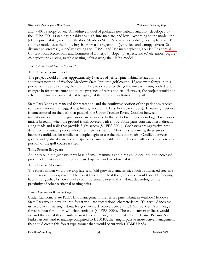and > 40% canopy cover. An additive model of goshawk nest habitat suitability developed by the TRPA (2001) rated basin habitat as high, intermediate, and low. According to the model, the Jeffrey pine habitat, and all of Washoe Meadows State Park, is low suitability nesting habitat. The additive model uses the following six criteria: (1) vegetation (type, size, and canopy cover); (2) distance to streams; (3) land use (using the TRPA Land Use map depicting Tourist, Residential, Conservation, Recreation, and Commercial Zones); (4) slope; (5) aspect; and (6) elevation. Figure 25 depicts the existing suitable nesting habitat using the TRPA model.

### *Project Area Conditions with Project*

#### **Time Frame: post-project**

The project would convert approximately 19 acres of Jeffrey pine habitat situated in the southwest portion of Washoe Meadows State Park into golf course. If goshawks forage in this portion of the project area, they are unlikely to do so once the golf course is in-situ, both due to changes in forest structure and to the presence of recreationists. However, the project would not affect the structural suitability of foraging habitat in other portions of the park.

State Park lands are managed for recreation, and the southwest portion of the park does receive some recreational use (egg, skiers, hikers, mountain bikers, horseback riders). However, most use is concentrated on the path that parallels the Upper Truckee River. Conflict between recreationists and nesting goshawks can occur due to the bird's breeding chronology. Goshawks initiate breeding when the ground is still covered with snow. Some pairs construct nests directly along roads and trails that provide flight access (SNFPA 2001). Goshawks are aggressive nest defenders and attack people who enter their nest stand. After the snow melts, these sites can become candidates for conflict as people begin to use the trails and roads. Conflict between golfers and goshawks are not anticipated because suitable nesting habitat will not exist where any portion of the golf course is sited.

#### **Time Frame: five years**

An increase in the goshawk prey base of small mammals and birds could occur due to increased prey productivity as a result of increased riparian and meadow habitat.

#### **Time Frame: 50 years**

The forest habitat would develop late seral/old growth characteristics such as increased tree size and increased canopy cover. The forest habitat north of the golf course would provide foraging habitat for goshawks. Goshawks could potentially nest in this habitat depending on the proximity of other territorial nesting pairs.

## *Future Conditions Without Project*

Under California State Park's land management, the Jeffrey pine habitat in Washoe Meadows State Park would develop into forest with late successional characteristics. This would increase its suitability as nesting habitat for goshawks. However, current LTBMU policies also manage forest habitat for old-growth characteristics (SNFPA 2004). These concurrent policies would expand the availability of suitable nest habitat throughout the Lake Tahoe basin. Because State Parks has less land to manage compared to LTBMU, they might pursue more active management that could create this forest type sooner than would occur with LTBMU lands.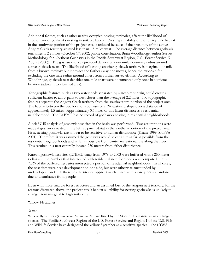Additional factors, such as other nearby occupied nesting territories, affect the likelihood of another pair of goshawks nesting in suitable habitat. Nesting suitability of the Jeffrey pine habitat in the southwest portion of the project area is reduced because of the proximity of the active Angora Creek territory situated less than 1.5 miles west. The average distance between goshawk territories is 2.2 miles (October 17, 2002; phone consultation; Brain Woodbridge, author Survey Methodology for Northern Goshawks in the Pacific Southwest Region, U.S. Forest Service (9 August 2000)). The goshawk survey protocol delineates a one-mile no-survey radius around active goshawk nests. The likelihood of locating another goshawk territory is marginal one mile from a known territory but increases the farther away one moves, hence the rationale for excluding the one mile radius around a nest from further survey efforts. According to Woodbridge, goshawk nest densities one mile apart were documented only once in a unique location (adjacent to a burned area).

Topographic features, such as two watersheds separated by a steep mountain, could create a sufficient barrier to allow pairs to nest closer than the average of 2.2 miles. No topographic features separate the Angora Creek territory from the southwestern portion of the project area. The habitat between the two locations consists of a 3% eastward slope over a distance of approximately 1.5 miles. Approximately 0.5 miles of this linear distance is a residential neighborhood. The LTBMU has no record of goshawks nesting in residential neighborhoods.

A brief GIS analysis of goshawk nest sites in the basin was performed. Two assumptions were made if goshawks nested in the Jeffrey pine habitat in the southern portion of the project area. First, nesting goshawks are known to be sensitive to human disturbance (Keane 1999; SNFPA 2001). Therefore, it was assumed the goshawks would select a site as far as possible from the residential neighborhoods and as far as possible from winter recreational use along the river. This resulted in a nest centrally located 250 meters from either disturbance.

Known goshawk nest sites (LTBMU data) from 1978 to 2003 were buffered with a 250 meter radius and the number that intersected with residential neighborhoods was computed. Only 7.8% of the buffered nest sites intersected a portion of residential neighborhoods. In all cases, the nest sites were near development on one side, but were otherwise surrounded by undeveloped land. Of these nest territories, approximately three were subsequently abandoned due to disturbance from people.

Even with more suitable forest structure and an assumed loss of the Angora nest territory, for the reasons discussed above, the project area's habitat suitability for nesting goshawks is unlikely to change from marginal to high suitability.

#### Willow Flycatcher

#### *Status*

Willow flycatchers (*Empidonax traillii adastus*) are listed by the State of California as an endangered species. The Pacific Southwest Region of the U.S. Forest Service and Region 1 of the U.S. Fish and Wildlife Service have designated the willow flycatcher as a sensitive species. The LTWA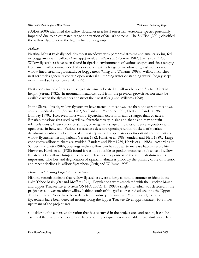(USDA 2000) identified the willow flycatcher as a focal terrestrial vertebrate species potentially imperiled due to an estimated range contraction of 90-100 percent. The SNFPA (2001) classified the willow flycatcher in the high vulnerability group.

## *Habitat*

Nesting habitat typically includes moist meadows with perennial streams and smaller spring-fed or boggy areas with willow (*Salix* spp.) or alder (*Alnus* spp.) (Serena 1982; Harris et al. 1988). Willow flycatchers have been found in riparian environments of various shapes and sizes ranging from small willow-surrounded lakes or ponds with a fringe of meadow or grassland to various willow-lined streams, grasslands, or boggy areas (Craig and Williams 1998). Willow flycatcher nest territories generally contain open water (i.e., running water or standing water), boggy seeps, or saturated soil (Bombay et al. 1999).

Nests constructed of grass and sedges are usually located in willows between 3.3 to 10 feet in height (Serena 1982). In mountain meadows, duff from the previous growth season must be available when the flycatchers construct their nest (Craig and Williams 1998).

In the Sierra Nevada, willow flycatchers have nested in meadows less than one acre to meadows several hundred acres (Serena 1982; Stafford and Valentine 1985; Flett and Sanders 1987; Bombay 1999). However, most willow flycatchers occur in meadows larger than 20 acres. Riparian meadow sites used by willow flycatchers vary in size and shape and may contain relatively dense, linear stands of shrubs, or irregularly shaped mosaics of dense vegetation with open areas in between. Various researchers describe openings within thickets of riparian deciduous shrubs or tall clumps of shrubs separated by open areas as important components of willow flycatcher nesting habitat (Serena 1982, Harris et al. 1988, Sanders and Flett 1989). Large contiguous willow thickets are avoided (Sanders and Flett 1989, Harris et al. 1988). According to Sanders and Flett (1989), openings within willow patches appear to increase habitat suitability. However, Harris et al. (1988) found it was not possible to predict presence or absence of willow flycatchers by willow clump sizes. Nonetheless, some openness in the shrub stratum seems important. The loss and degradation of riparian habitats is probably the primary cause of historic and recent declines in willow flycatchers (Craig and Williams 1998).

## *Historic and Existing Project Area Conditions*

Historic records indicate that willow flycatchers were a fairly common summer resident in the Lake Tahoe basin (Orr and Moffitt 1971). Populations were associated with the Truckee Marsh and Upper Truckee River system (SNFPA 2001). In 1998, a single individual was detected in the project area in wet meadow/willow habitat south of the golf course and adjacent to the Upper Truckee River. None have been detected in subsequent surveys. More recently, willow flycatchers have been detected nesting along the Upper Truckee River approximately four miles upstream of the project area.

Considering the extensive alteration that has occurred in the project area and region, it can be assumed that much more extensive habitat of higher quality was available pre-disturbance. It is

River Run Consulting and the set of the set of the set of the S6 March 6, 2006 March 6, 2006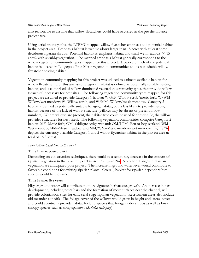also reasonable to assume that willow flycatchers could have occurred in the pre-disturbance project area.

Using aerial photographs, the LTBMU mapped willow flycatcher emphasis and potential habitat in the project area. Emphasis habitat is wet meadows larger than 15 acres with at least some deciduous riparian shrubs. Potential habitat is emphasis habitat and small wet meadows (< 15 acres) with shrubby vegetation. The mapped emphasis habitat generally corresponds to the willow vegetation community types mapped for this project. However, much of the potential habitat is located in Lodgepole Pine-Mesic vegetation communities and is not suitable willow flycatcher nesting habitat.

Vegetation community mapping for this project was utilized to estimate available habitat for willow flycatcher. For this analysis, Category 1 habitat is defined as potentially suitable nesting habitat, and is comprised of willow-dominated vegetation community types that provide willows (structure) necessary for nest sites. The following vegetation community types mapped for this project are assumed to provide Category 1 habitat: W/MF--Willow scrub/mesic forb; W/WM-- Willow/wet meadow; W--Willow scrub; and W/MM--Willow/mesic meadow. Category 2 habitat is defined as potentially suitable foraging habitat, but is less likely to provide nesting habitat because of the lack of willow structure (willows may be absent or present in low numbers). Where willows are present, the habitat type could be used for nesting (ie, the willow provides structures for nest sites). The following vegetation communities comprise Category 2 habitat: MF--Mesic forb; OM--Obligate sedge wetland; OM/LPM--Fen or bog wetland; WM-- Wet meadow; MM--Mesic meadow; and MM/WM--Mesic meadow/wet meadow. Figure 26 depicts the currently available Category 1 and 2 willow flycatcher habitat in the project area (a total of 16.8 acres).

#### *Project Area Conditions with Project*

#### **Time Frame: post-project**

Depending on construction techniques, there could be a temporary decrease in the amount of riparian vegetation in the proximity of Transect 3 (Figure 24). No other changes in riparian vegetation are anticipated post-project. The increase in ground water level would contribute to favorable conditions for existing riparian plants. Overall, habitat for riparian dependent bird species would be the same.

#### **Time Frame: five years**

Higher ground water will contribute to more vigorous herbaceous growth. An increase in bar development, including point bars and the formation of more surfaces near the channel, will provide colonization sites for early seral stage riparian vegetation. Recruitment areas also include old meander cut-offs. The foliage cover of the willows would grow in height and lateral cover and could eventually provide habitat for bird species that forage under shrubs as well as lowcanopy species such as song sparrows (*Melodia melospiza*).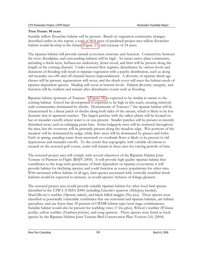#### **Time Frame: 50 years**

Suitable willow flycatcher habitat will be present. Based on vegetation community changes described earlier in this report, a total of 40.8 acres of predicted project area willow flycatcher habitat would develop in the future (Figure 27), and increase of 24 acres.

The riparian habitat will provide natural ecosystem structure and function. Connectivity between the river, floodplain, and surrounding habitats will be high. An intact native plant community, including a shrub layer, herbaceous understory, down wood, and litter will be present along the length of the existing channel. Under restored flow regimes, disturbance by various levels and durations of flooding will result in riparian vegetation with a patchy distribution, such as along old meander cut-offs and off-channel beaver impoundments. A diversity of riparian shrub age classes will be present, regeneration will occur, and the shrub cover will meet the habitat needs of riparian-dependent species. Shading will occur at historic levels. Habitat diversity, integrity, and function will be resilient and remain after disturbance events such as flooding.

Riparian habitat upstream of Transect 7 (Figure 24) is expected to be similar in nature to the existing habitat. Gravel bar development is expected to be high in this reach, creating relatively wide communities dominated by shrubs. Downstream of Transect 7 the riparian habitat will be characterized by a linear patch of shrubs along both sides of the stream, which is likely to be less dynamic that in upstream reaches. The largest patches with the tallest plants will be located on bar or meander cutoffs where water is or was present. Smaller patches will be present in recently disturbed areas, such as enlarging point bars. Some lodgepole trees will be scattered throughout the area, but the overstory will be primarily present along the meadow edge. Wet portions of the meadow will be dominated by sedge, while drier areas will be dominated by grasses and forbs. Early in spring, standing water from snowmelt or overbank flows is likely to be present in old depressions and meander cutoffs. To the extent that topography with variable elevations is created on the restored golf course, water will remain in these sites for varying periods of time.

The restored project area will comply with several objectives of the Riparian Habitat Joint Venture of Partners in Flight (RHJV 2004). It will provide high quality riparian habitat that contributes to the long-term persistence of birds dependent on riparian ecosystems; it will provide habitat for declining species; and could function as source populations for other sites. With increased willow habitat of all ages, bird species associated with vertically stratified shrub habitats would be expected to increase, as would species' richness of foliage gleaners.

The restored project area would provide suitable riparian habitat for other focal bird species identified in the LTWA (USDA 2000) including Lincoln's sparrow (*Melospiza lincolnii*), MacGillivray's warbler (*Oporonis tolmiei*), and black-billed magpie (*Pica pica*). These species were classified as potentially vulnerable vertebrates that use terrestrial and riparian habitats, are habitat specialists, and use fewer than 30 percent of CWHR habitat type/seral stage combinations. Suitable habitat would also be present for warbling vireo (*Vireo gilvus*), Wilson's warbler (*Wilsonia pusilla*), yellow warbler (*Dendroica petechia*), and song sparrow. These species were listed as focal species by the Riparian Habitat Joint Venture Bird Conservation Plan (Version 2.0) (2004).

River Run Consulting **88** March 6, 2006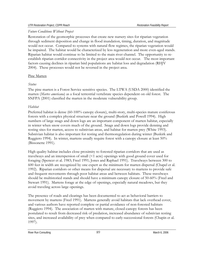#### *Future Conditions Without Project*

Restoration of the geomorphic processes that create new nursery sites for riparian vegetation through sediment deposition and change in flood inundation, timing, duration, and magnitude would not occur. Compared to systems with natural flow regimes, the riparian vegetation would be impaired. The habitat would be characterized by less regeneration and more even-aged stands. Riparian habitat would continue to be limited to the main river channel. The opportunity to reestablish riparian corridor connectivity in the project area would not occur. The most important factors causing declines in riparian bird populations are habitat loss and degradation (RHJV 2004). These processes would not be reversed in the project area.

#### Pine Marten

### *Status*

The pine marten is a Forest Service sensitive species. The LTWA (USDA 2000) identified the marten (*Martes americana*) as a focal terrestrial vertebrate species dependent on old forest. The SNFPA (2001) classified the marten in the moderate vulnerability group.

### *Habitat*

Preferred habitat is dense (60-100% canopy closure), multi-story, multi-species mature coniferous forests with a complex physical structure near the ground (Buskirk and Powell 1994). High numbers of large snags and down logs are an important component of marten habitat, especially in winter when snow covers much of the ground. Snags and down logs provide denning and resting sites for marten, access to subnivian areas, and habitat for marten prey (White 1993). Subnivian habitat is also important for resting and thermoregulation during winter (Buskirk and Ruggiero 1994). In winter, martens usually require forest with a canopy closure at least 50% (Bissonette 1991).

High quality habitat includes close proximity to forested riparian corridors that are used as travelways and an interspersion of small (<1 acre) openings with good ground cover used for foraging (Spencer et al. 1983; Freel 1991; Jones and Raphael 1991). Travelways between 300 to 600 feet in width are recognized by one expert as the minimum for marten dispersal (Chapel et al. 1992). Riparian corridors or other means for dispersal are necessary to martens to provide safe and frequent movements through poor habitat areas and between habitats. These travelways should be multistoried stands and should have a minimum canopy closure of 50-60% (Freel and Stewart 1991). Martens forage at the edge of openings, especially natural meadows, but they avoid traveling across large openings.

The presence of roads and clearings has been documented to act as behavioral barriers to movement by martens (Freel 1991). Martens generally avoid habitats that lack overhead cover, and various authors have reported complete or partial avoidance of non-forested habitats (Ruggiero 1994). The association of marten with mature, closed-canopy forests has been postulated to result from decreased risk of predation, increased abundance of subnivian resting sites, and increased availability of prey when compared to early-successional forests (Chapin et al. 1997).

River Run Consulting and the set of the set of the set of the SO March 6, 2006 March 6, 2006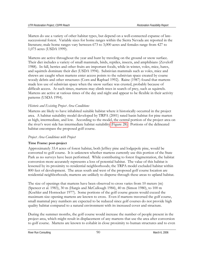Marten do use a variety of other habitat types, but depend on a well-connected expanse of latesuccessional forest. Variable sizes for home ranges within the Sierra Nevada are reported in the literature; male home ranges vary between 673 to 3,000 acres and females range from 427 to 1,075 acres (USDA 1999).

Martens are active throughout the year and hunt by traveling on the ground or snow surface. Their diet includes a variety of small mammals, birds, reptiles, insects, and amphibians (Zeveloff 1988). In fall, berries and other fruits are important foods, while in winter, voles, mice, hares, and squirrels dominate their diet (USDA 1994). Subnivian mammals such as voles, mice and shrews are caught when martens enter access points to the subnivian space created by coarse woody debris and other structures (Corn and Raphael 1992). Raine (1987) found that martens made less use of subnivian space when the snow surface was crusted, probably because of difficult access. At such times, martens may climb trees in search of prey, such as squirrels. Martens are active at various times of the day and night and appear to be flexible in their activity patterns (USDA 1994).

### *Historic and Existing Project Area Conditions*

Martens are likely to have inhabited suitable habitat where it historically occurred in the project area. A habitat suitability model developed by TRPA (2001) rated basin habitat for pine marten as high, intermediate, and low. According to the model, the central portion of the project area on the river's west side has intermediate habitat suitability (Figure 28). Portions of the delineated habitat encompass the proposed golf course.

#### *Project Area Conditions with Project*

#### **Time Frame: post-project**

Approximately 33.4 acres of forest habitat, both Jeffrey pine and lodgepole pine, would be converted to golf course. It is unknown whether martens currently use this portion of the State Park as no surveys have been performed. While contributing to forest fragmentation, the habitat conversion more accurately represents a loss of potential habitat. The value of this habitat is lessened by its proximity to residential neighborhoods; the TRPA model excluded habitat within 800 feet of development. The areas south and west of the proposed golf course location are residential neighborhoods; martens are unlikely to disperse through these areas to upland habitat.

The size of openings that martens have been observed to cross varies from 10 meters (m) (Spencer et al. 1983), 30 m (Hargis and McCullough 1984), 40 m (Simon 1980), to 100 m (Koehler and Hornocker 1977). Some portions of the golf course greens would exceed the maximum size opening martens are known to cross. Even if martens traversed the golf course, small mammal prey numbers are expected to be reduced since golf courses do not provide high quality habitat compared to a natural environment with its increased cover and structure.

During the summer months, the golf course would increase the number of people present in the project area, which might result in displacement of any martens that use the area after conversion to golf course. Martens are known to cohabit in close proximity to human structures and to even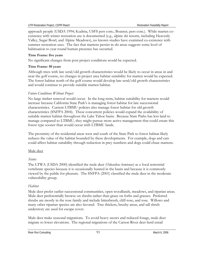approach people (USDA 1994; Kudrna, USFS pers com.; Boatner, pers com.). While marten coexistence with winter recreation use is documented (e.g., alpine ski resorts, including Heavenly Valley, Sugar Bowl, and Alpine Meadows), no known studies have examined co-existence with summer recreation uses. The fact that martens persist in ski areas suggests some level of habituation to year round human presence has occurred.

### **Time Frame: five years**

No significant changes from post project conditions would be expected.

### **Time Frame: 50 years**

Although trees with late seral/old growth characteristics would be likely to occur in areas in and near the golf course, no changes in project area habitat suitability for marten would be expected. The forest habitat north of the golf course would develop late seral/old growth characteristics and would continue to provide suitable marten habitat.

## *Future Conditions Without Project*

No large timber removal would occur. In the long-term, habitat suitability for martens would increase because California State Park's is managing forest habitat for late successional characteristics. Current LTBMU policies also manage forest habitat for old-growth characteristics (SNFPA 2004). These concurrent policies would expand the availability of suitable marten habitat throughout the Lake Tahoe basin. Because State Parks has less land to manage compared to LTBMU, they might pursue more active management that could create this forest type sooner than would occur with LTBMU lands.

The proximity of the residential areas west and south of the State Park to forest habitat likely reduces the value of the habitat bounded by these developments. For example, dogs and cats could affect habitat suitability through reduction in prey numbers and dogs could chase martens.

## Mule deer

## *Status*

The LTWA (USDA 2000) identified the mule deer (*Odocoileus hemionus*) as a focal terrestrial vertebrate species because it is occasionally hunted in the basin and because it is commonly viewed by the public for pleasure. The SNFPA (2001) classified the mule deer in the moderate vulnerability group.

## *Habitat*

Mule deer prefer earlier successional communities, open woodlands, meadows, and riparian areas. Mule deer preferentially browse on shrubs rather than graze on forbs and grasses. Preferred shrubs are mostly in the rose family and include bitterbrush, cliff-rose, and rose. Willows and many other riparian species are also favored. Tree thickets, brushy areas, and tall shrub understory are used for escape cover.

Mule deer make seasonal migrations. To avoid heavy snows and reduced forage, mule deer migrate to lower elevations. The regional migrations of the Carson River deer herd entail

River Run Consulting and the set of the set of the set of the Second 1 March 6, 2006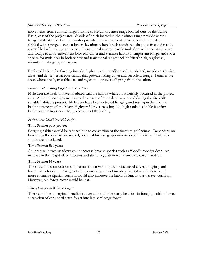movements from summer range into lower elevation winter range located outside the Tahoe Basin, east of the project area. Stands of brush located in their winter range provide winter forage while stands of mixed conifer provide thermal and protective cover for mule deer. Critical winter range occurs at lower elevations where brush stands remain snow free and readily accessible for browsing and cover. Transitional ranges provide mule deer with necessary cover and forage to allow movement between winter and summer habitats. Important forage and cover species for mule deer in both winter and transitional ranges include bitterbrush, sagebrush, mountain mahogany, and aspen.

Preferred habitat for fawning includes high elevation, undisturbed, shrub land, meadows, riparian areas, and dense herbaceous stands that provide hiding cover and succulent forage. Females use areas where brush, tree-thickets, and vegetation protect offspring from predation.

### *Historic and Existing Project Area Conditions*

Mule deer are likely to have inhabited suitable habitat where it historically occurred in the project area. Although no signs such as tracks or scat of mule deer were noted during the site visits, suitable habitat is present. Mule deer have been detected foraging and resting in the riparian habitat upstream of the Myers Highway 50 river crossing. No high ranked suitable fawning habitat occurs in or near the project area (TRPA 2001).

#### *Project Area Conditions with Project*

### **Time Frame: post-project**

Foraging habitat would be reduced due to conversion of the forest to golf course. Depending on how the golf course is landscaped, potential browsing opportunities could increase if palatable shrubs are introduced.

#### **Time Frame: five years**

An increase in wet meadows could increase browse species such as Wood's rose for deer. An increase in the height of herbaceous and shrub vegetation would increase cover for deer.

#### **Time Frame: 50 years**

The structural composition of riparian habitat would provide increased cover, foraging, and loafing sites for deer. Foraging habitat consisting of wet meadow habitat would increase. A more extensive riparian corridor would also improve the habitat's function as a travel corridor. However, old forest cover would be lost.

## *Future Conditions Without Project*

There could be a marginal benefit in cover although there may be a loss in foraging habitat due to succession of early seral stage forest into late seral stage forest.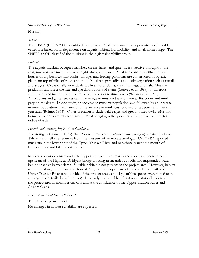#### *Status*

The LTWA (USDA 2000) identified the muskrat (*Ondatra zibethicus*) as a potentially vulnerable vertebrate based on its dependence on aquatic habitat, low mobility, and small home range. The SNFPA (2001) classified the muskrat in the high vulnerability group.

### *Habitat*

The aquatic muskrat occupies marshes, creeks, lakes, and quiet rivers. Active throughout the year, muskrats are mostly active at night, dusk, and dawn. Muskrats construct either conical houses or dig burrows into banks. Lodges and feeding platforms are constructed of aquatic plants on top of piles of roots and mud. Muskrats primarily eat aquatic vegetation such as cattails and sedges. Occasionally individuals eat freshwater clams, crayfish, frogs, and fish. Muskrat predation can affect the size and age distributions of clams (Convey et al. 1989). Numerous vertebrates and invertebrates use muskrat houses as nesting places (Willner et al. 1980). Amphibians and garter snakes can take refuge in muskrat bank burrows. Raccoons and mink prey on muskrats. In one study, an increase in muskrat population was followed by an increase in mink population a year later; and the increase in mink was followed by a decrease in muskrats a year later (Bulmer 1974). Other predators include bald eagles and great horned owls. Muskrat home range sizes are relatively small. Most foraging activity occurs within a five to 10 meter radius of a den.

## *Historic and Existing Project Area Conditions*

According to Grinnell (1933), the "Nevada" muskrat (*Ondatra zibethica mergens*) is native to Lake Tahoe. Grinnell cites sources from the museum of vertebrate zoology. Orr (1949) reported muskrats in the lower part of the Upper Truckee River and occasionally near the mouth of Burton Creek and Glenbrook Creek.

Muskrats occur downstream in the Upper Truckee River marsh and they have been detected upstream of the Highway 50 Myers bridge crossing in meander cut-offs and impounded water behind inactive beaver dams. Suitable habitat is not present in the project area. However, habitat is present along the restored portion of Angora Creek upstream of the confluence with the Upper Truckee River (and outside of the project area), and signs of this species were noted (e.g., cut vegetation, trails, bank burrows). It is likely that suitable habitat was historically present in the project area in meander cut-offs and at the confluence of the Upper Truckee River and Angora Creek.

## *Project Area Conditions with Project*

## **Time Frame: post-project**

No changes in habitat suitability are expected.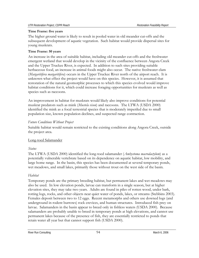#### **Time Frame: five years**

The higher ground water is likely to result in pooled water in old meander cut-offs and the subsequent development of aquatic vegetation. Such habitat would provide dispersal sites for young muskrats.

### **Time Frame: 50 years**

An increase in the area of suitable habitat, including old meander cut-offs and the freshwater emergent wetland that would develop in the vicinity of the confluence between Angora Creek and the Upper Truckee River, is expected. In addition to such sites providing suitable herbaceous food, an increase in animal foods might also occur. The native freshwater clam (*Margaritifera margaritifera*) occurs in the Upper Truckee River north of the airport reach. It is unknown what effect the project would have on this species. However, it is assumed that restoration of the natural geomorphic processes to which this species evolved would improve habitat conditions for it, which could increase foraging opportunities for muskrats as well as species such as raccoons.

An improvement in habitat for muskrats would likely also improve conditions for potential muskrat predators such as mink (*Mustela vison*) and raccoons. The LTWA (USDA 2000) identified the mink as a focal terrestrial species that is moderately imperiled due to small population size, known population declines, and suspected range contraction.

## *Future Conditions Without Project*

Suitable habitat would remain restricted to the existing conditions along Angora Creek, outside the project area.

## Long-toed Salamander

## *Status*

The LTWA (USDA 2000) identified the long-toed salamander (*Ambystoma macrodactylum*) as a potentially vulnerable vertebrate based on its dependence on aquatic habitat, low mobility, and large home range. In the basin, this species has been documented at several temporary ponds, wet meadows, and small lakes, primarily those without trout on the west side of the basin.

## *Habitat*

Temporary ponds are the primary breeding habitat, but permanent lakes and wet meadows may also be used. In low elevation ponds, larvae can transform in a single season, but at higher elevation sites, they may take two years. Adults are found in piles of rotten wood, under bark, rotting logs, rocks, and other objects near quiet water of ponds, lakes, or streams (Stebbins 2003). Females deposit between two to 12 eggs. Recent metamorphs and others use downed logs (and underground in rodent burrows) rock crevices, and human structures. Introduced fish prey on larvae. Salamanders in the basin appear to breed only in fishless waters (USDA 2000). Because salamanders are probably unable to breed in temporary ponds at high elevations, and cannot use permanent lakes because of the presence of fish, they are essentially restricted to ponds that retain water all year but that cannot support fish (USDA 2000).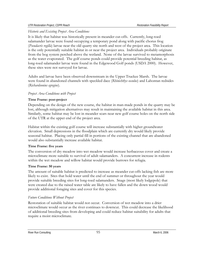*Historic and Existing Project Area Conditions* 

It is likely that habitat was historically present in meander cut-offs. Currently, long-toed salamander larvae were found occupying a temporary pond along with pacific chorus frog (*Pseudacris regilla*) larvae near the old quarry site north and west of the project area. This location is the only potentially suitable habitat in or near the project area. Individuals probably originate from the bog system perched above the wetland. None of the larvae survived to metamorphosis as the water evaporated. The golf course ponds could provide potential breeding habitat, as long-toed salamander larvae were found in the Edgewood Golf ponds (USDA 2000). However, these sites were not surveyed for larvae.

Adults and larvae have been observed downstream in the Upper Truckee Marsh. The larvae were found in abandoned channels with speckled dace (*Rhinichthys osculus*) and Lahontan redsides (*Richardsonius egregius*).

## *Project Area Conditions with Project*

### **Time Frame: post-project**

Depending on the design of the new course, the habitat in man-made ponds in the quarry may be lost, although mitigation alternatives may result in maintaining the available habitat in this area. Similarly, some habitat may be lost in meander scars near new golf course holes on the north side of the UTR at the upper end of the project area.

Habitat within the existing golf course will increase substantially with higher groundwater elevation. Small depressions in the floodplain which are currently dry would likely provide seasonal habitat. Placing only partial fill in portions of the existing channel that are abandoned would also substantially increase available habitat.

#### **Time Frame: five years**

The conversion of dry meadow into wet meadow would increase herbaceous cover and create a microclimate more suitable to survival of adult salamanders. A concurrent increase in rodents within the wet meadow and willow habitat would provide burrows for refugia.

#### **Time Frame: 50 years**

The amount of suitable habitat is predicted to increase as meander cut-offs lacking fish are more likely to exist. Sites that hold water until the end of summer or throughout the year would provide suitable breeding sites for long-toed salamanders. Snags (most likely lodgepole) that were created due to the raised water table are likely to have fallen and the down wood would provide additional foraging sites and cover for this species.

## *Future Conditions Without Project*

Restoration of suitable habitat would not occur. Conversion of wet meadow into a drier microclimate would occur as the river continues to downcut. This could decrease the likelihood of additional breeding sites from developing and could reduce habitat suitability for adults that require a moist microclimate.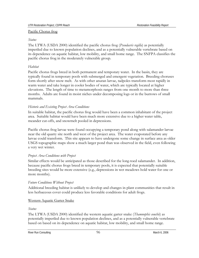#### Pacific Chorus frog

#### *Status*

The LTWA (USDA 2000) identified the pacific chorus frog (*Pseudacris regilla*) as potentially imperiled due to known population declines, and as a potentially vulnerable vertebrate based on its dependence on aquatic habitat, low mobility, and small home range. The SNFPA classifies the pacific chorus frog in the moderately vulnerable group.

### *Habitat*

Pacific chorus frogs breed in both permanent and temporary water. In the basin, they are typically found in temporary pools with submerged and emergent vegetation. Breeding choruses form shortly after snow melt. As with other anuran larvae, tadpoles transform most rapidly in warm water and take longer in cooler bodies of water, which are typically located at higher elevations. The length of time to metamorphosis ranges from one month to more than three months. Adults are found in moist niches under decomposing logs or in the burrows of small mammals.

## *Historic and Existing Project Area Conditions*

In suitable habitat, the pacific chorus frog would have been a common inhabitant of the project area. Suitable habitat would have been much more extensive due to a higher water table, meander cut-offs, and snowmelt pooled in depressions.

Pacific chorus frog larvae were found occupying a temporary pond along with salamander larvae near the old quarry site north and west of the project area. The water evaporated before any larvae could transform. This site appears to have undergone some change in surface area as older USGS topographic maps show a much larger pond than was observed in the field, even following a very wet winter.

## *Project Area Conditions with Project*

Similar effects would be anticipated as those described for the long-toed salamander. In addition, because pacific chorus frogs breed in temporary pools, it is expected that potentially suitable breeding sites would be more extensive (e.g., depressions in wet meadows hold water for one or more months).

#### *Future Conditions Without Project*

Additional breeding habitat is unlikely to develop and changes in plant communities that result in less herbaceous cover could produce less favorable conditions for adult frogs.

## Western Aquatic Garter Snake

#### *Status*

The LTWA (USDA 2000) identified the western aquatic garter snake (*Thamnophis couchii*) as potentially imperiled due to known population declines, and as a potentially vulnerable vertebrate based on based on its dependence on aquatic habitat, low mobility, and small home range.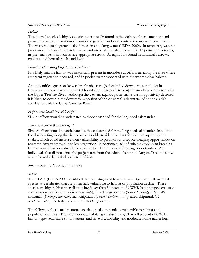## *Habitat*

This diurnal species is highly aquatic and is usually found in the vicinity of permanent or semipermanent water. It basks in streamside vegetation and swims into the water when disturbed. The western aquatic garter snake forages in and along water (USDA 2000). In temporary water it preys on anuran and salamander larvae and on newly transformed adults. In permanent streams, its prey includes fish such as size-appropriate trout. At night, it is found in mammal burrows, crevices, and beneath rocks and logs.

## *Historic and Existing Project Area Conditions*

It is likely suitable habitat was historically present in meander cut-offs, areas along the river where emergent vegetation occurred, and in pooled water associated with the wet meadow habitat.

An unidentified garter snake was briefly observed (before it fled down a muskrat hole) in freshwater emergent wetland habitat found along Angora Creek, upstream of its confluence with the Upper Truckee River. Although the western aquatic garter snake was not positively detected, it is likely to occur in the downstream portion of the Angora Creek watershed to the creek's confluence with the Upper Truckee River.

## *Project Area Conditions with Project*

Similar effects would be anticipated as those described for the long-toed salamander.

## *Future Conditions Without Project*

Similar effects would be anticipated as those described for the long-toed salamander. In addition, the downcutting along the river's banks would provide less cover for western aquatic garter snakes, which could increase their vulnerability to predators and reduce foraging opportunities on terrestrial invertebrates due to less vegetation. A continued lack of suitable amphibian breeding habitat would further reduce habitat suitability due to reduced foraging opportunities. Any individuals that disperse into the project area from the suitable habitat in Angora Creek meadow would be unlikely to find preferred habitat.

## Small Rodents, Rabbits, and Shrews

## *Status*

The LTWA (USDA 2000) identified the following focal terrestrial and riparian small mammal species as vertebrates that are potentially vulnerable to habitat or population decline. These species are high habitat specialists, using fewer than 30 percent of CWHR habitat type/seral stage combinations: dusky shrew (*Sorex monticola*), Trowbridge's shrew (Sorex *trowbridgii*), Nuttal's cottontail (*Sylvilagus nuttallii*), least chipmunk (*Tamias minimus*), long-eared chipmunk (*T. quadrimaculatus*) and lodgepole chipmunk (*T. speciosus*).

The following focal small mammal species are also potentially vulnerable to habitat and population declines. They are moderate habitat specialists, using 30 to 60 percent of CWHR habitat type/seral stage combinations, and have low mobility and moderate home range: long-

River Run Consulting and the state of the state of the ST and ST and ST and ST and ST and ST and ST and ST and ST and ST and ST and ST and ST and ST and ST and ST and ST and ST and ST and ST and ST and ST and ST and ST and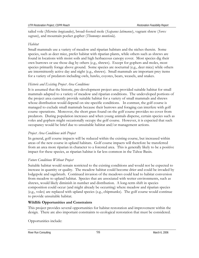tailed vole (*Microtus longicaudus*), broad-footed mole (*Scapanus latimanus*), vagrant shrew (*Sorex vagrans*), and mountain pocket gopher (*Thomomys monticola*).

## *Habitat*

Small mammals use a variety of meadow and riparian habitats and the niches therein. Some species, such as deer mice, prefer habitat with riparian plants, while others such as shrews are found in locations with moist soils and high herbaceous canopy cover. Most species dig their own burrows or use those dug by others (e.g., shrews). Except for gophers and moles, most species primarily forage above ground. Some species are nocturnal (e.g., deer mice) while others are intermittently active day and night (e.g., shrews). Small mammals are important prey items for a variety of predators including owls, hawks, coyotes, bears, weasels, and snakes.

## *Historic and Existing Project Area Conditions*

It is assumed that the historic, pre-development project area provided suitable habitat for small mammals adapted to a variety of meadow and riparian conditions. The undeveloped portions of the project area currently provide suitable habitat for a variety of small mammals and shrews whose distribution would depend on site-specific conditions. In contrast, the golf course is managed to exclude small mammals because their burrows and foraging can interfere with golf course operations. Moreover, the short grass found on the golf course provides no cover from predators. During population increases and when young animals disperse, certain species such as voles and gophers might occasionally occupy the golf course. However, it is expected that such occupancy would be brief due to unsuitable habitat and/or management actions.

## *Project Area Conditions with Project*

In general, golf course impacts will be reduced within the existing course, but increased within areas of the new course in upland habitats. Golf course impacts will therefore be transferred from an area more riparian in character to a forested area. This is generally likely to be a positive impact for these species, as riparian habitat is far less common in the Tahoe Basin.

## *Future Conditions Without Project*

Suitable habitat would remain restricted to the existing conditions and would not be expected to increase in quantity or quality. The meadow habitat could become drier and could be invaded by lodgepole and sagebrush. Continued invasion of the meadows could lead to habitat conversion from meadow to upland habitat. Species that are associated with wetter environments, such as shrews, would likely diminish in number and distribution. A long-term shift in species composition could occur (and might already be occurring) where meadow and riparian species (e.g., voles) are replaced with upland species (e.g., chipmunks). The golf course would continue to provide unsuitable habitat.

## **Wildlife Opportunities and Constraints**

This project provides several opportunities for habitat restoration and improvement within the design. There are also important constraints to ecological restoration that must be considered.

Opportunities include: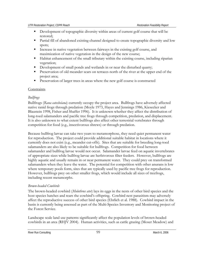- Development of topographic diversity within areas of current golf course that will be restored;
- **Partial fill of abandoned existing channel designed to create topographic diversity and low** spots;
- Increase in native vegetation between fairways in the existing golf course, and maximization of native vegetation in the design of the new course;
- Habitat enhancement of the small tributary within the existing course, including riparian vegetation;
- Development of small ponds and wetlands in or near the disturbed quarry;
- **Preservation of old meander scars on terraces north of the river at the upper end of the** project area;
- Preservation of larger trees in areas where the new golf course is constructed

### **Constraints**

### *Bullfrogs*

Bullfrogs (*Rana catesbeiana*) currently occupy the project area. Bullfrogs have adversely affected native ranid frogs through predation (Moyle 1973, Hayes and Jennings 1986, Kiesecker and Blaustein 1998, Fisher and Shaffer 1996). It is unknown whether they affect the distribution of long-toed salamanders and pacific tree frogs through competition, predation, and displacement. It is also unknown to what extent bullfrogs also affect other terrestrial vertebrates through competition for food (e.g., insectivorous shrews) or through predation.

Because bullfrog larvae can take two years to metamorphose, they need quiet permanent water for reproduction. The project could provide additional suitable habitat in locations where it currently does not exist (e.g., meander cut-offs). Sites that are suitable for breeding long-toed salamanders are also likely to be suitable for bullfrogs. Competition for food between salamander and bullfrog larvae would not occur. Salamander larvae feed on aquatic invertebrates of appropriate sizes while bullfrog larvae are herbivorous filter feeders. However, bullfrogs are highly aquatic and usually remain in or near permanent water. They could prey on transformed salamanders when they leave the water. The potential for competition with other anurans is low where temporary pools form, sites that are typically used by pacific tree frogs for reproduction. However, bullfrogs prey on other smaller frogs, which would include all sizes of treefrogs, including recent metamorphs.

#### *Brown-headed Cowbirds*

The brown-headed cowbird (*Molothrus ater*) lays its eggs in the nests of other bird species and the host species hatches and rears the cowbird's offspring. Cowbird nest parasitism may adversely affect the reproductive success of other bird species (Ehrlich et al. 1988). Cowbird impact in the basin is currently being assessed as part of the Multi-Species Inventory and Monitoring project of the Forest Service.

Landscape scale land use patterns significantly affect the population levels of brown-headed cowbirds in an area (RHJV 2004). Human activities, such as cattle grazing (Moser Meadow) and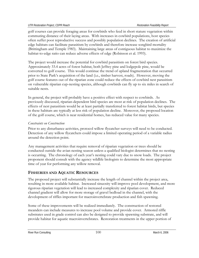golf courses can provide foraging areas for cowbirds who feed in short stature vegetation within commuting distance of their laying areas. With increases in cowbird populations, host species often suffer poor reproductive success and possibly population declines. The creation of artificial edge habitats can facilitate parasitism by cowbirds and therefore increase songbird mortality (Brittingham and Temple 1983). Maintaining large areas of contiguous habitat to maximize the habitat-to-edge ratio can reduce adverse effects of edge (Robinson et al. 1993).

The project would increase the potential for cowbird parasitism on forest bird species. Approximately 33.4 acres of forest habitat, both Jeffrey pine and lodgepole pine, would be converted to golf course. This would continue the trend of upland fragmentation that occurred prior to State Park's acquisition of the land (i.e., timber harvest, roads). However, moving the golf course features out of the riparian zone could reduce the effects of cowbird nest parasitism on vulnerable riparian cup-nesting species, although cowbirds can fly up to six miles in search of suitable nests.

In general, the project will probably have a positive effect with respect to cowbirds. As previously discussed, riparian-dependent bird species are most at risk of population declines. The effects of nest parasitism would be at least partially transferred to forest habitat birds, but species in these habitats are typically at less risk of population decline. Moreover, the proposed location of the golf course, which is near residential homes, has reduced value for many species.

## *Constraints on Construction*

Prior to any disturbance activities, protocol willow flycatcher surveys will need to be conducted. Detection of any willow flycatchers could impose a limited operating period of a variable radius around the detection point.

Any management activities that require removal of riparian vegetation or trees should be conducted outside the avian nesting season unless a qualified biologist determines that no nesting is occurring. The chronology of each year's nesting could vary due to snow loads. The project proponent should consult with the agency wildlife biologists to determine the most appropriate time of year for performing any willow removal.

## **FISHERIES AND AQUATIC RESOURCES**

The proposed project will substantially increase the length of channel within the project area, resulting in more available habitat. Increased sinuosity will improve pool development, and more rigorous riparian vegetation will lead to increased complexity and riparian cover. Reduced channel gradient will allow for more storage of gravel bedload in the channel, with the development of riffles important for macroinvertebrate production and fish spawning.

Some of these improvements will be realized immediately. The construction of restored meanders can include measures to increase pool volume and provide cover. Armored riffle substrates used in grade control can also be designed to provide spawning substrate, and will provide habitat for aquatic macroinvertebrates. Restoration treatments in the upper portion of

River Run Consulting **100** March 6, 2006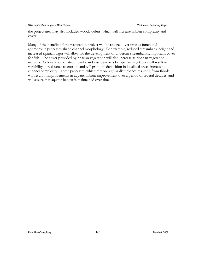the project area may also included woody debris, which will increase habitat complexity and cover.

Many of the benefits of the restoration project will be realized over time as functional geomorphic processes shape channel morphology. For example, reduced streambank height and increased riparian vigor will allow for the development of undercut streambanks, important cover for fish. The cover provided by riparian vegetation will also increase as riparian vegetation matures. Colonization of streambanks and instream bars by riparian vegetation will result in variability in resistance to erosion and will promote deposition in localized areas, increasing channel complexity. These processes, which rely on regular disturbance resulting from floods, will result in improvements in aquatic habitat improvement over a period of several decades, and will assure that aquatic habitat is maintained over time.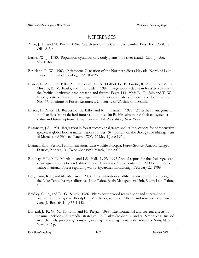# **REFERENCES**

- Allen, J. E., and M. Burns. 1996. Cataclysms on the Columbia. Timber Press Inc., Portland, OR. 213 p.
- Barnes, W. J. 1983. Population dynamics of woody plants on a river island. Can. J. Bot. 63:647-655.
- Birkeland, P. W., 1963, Pleistocene Glaciation of the Northern Sierra Nevada, North of Lake Tahoe. Journal of Geology, 72:810-825.
- Bisson, P. A., R. E. Bilby, M. D. Bryant, C. A. Dolloff, G. B. Grette, R. A. House, M. L. Murphy, K. V. Koski, and J. R. Sedell. 1987. Large woody debris in forested streams in the Pacific Northwest: past, present, and future. Pages 143-190 *in* E. O. Salo and T. W. Cundy, editors. Streamside management: forestry and fishery interactions. Contribution No. 57. Institute of Forest Resources, University of Washington, Seattle.
- Bisson, P. A., G. H. Reeves, R. E. Bilby, and R. J. Naiman. 1997. Watershed management and Pacific salmon: desired future conditions. In: Pacific salmon and their ecosystems: status and future options. Chapman and Hall Publishing, New York.
- Bissonette, J.A. 1991. Regression in forest successional stages and its implications for core sensitive species: A global look at marten habitat futures. Symposium on the Biology and Management of Martens and Fishers. Laramie WY., 29 May-1 June 1991.
- Boatner, Kris. Personal communication. Unit wildlife biologist, Forest Service, Amador Ranger District, Pioneer, Ca. December 1999, March, June 2000.
- Bombay, H.L., M.L. Morrison, and L.S. Hall. 1999. 1998 Annual report for the challenge costshare agreement between California State University, Sacramento and USD Forest Service, Tahoe National Forest regarding willow flycatcher monitoring. February 22, 1999.
- Borgmann, K.L., and M. Morrison. 2004. Pre-restoration wildlife inventory and monitoring in the Lake Tahoe basin, California. Lake Tahoe Basin Management Unit, South Lake Tahoe, CA..
- Bradley, C. E., and D. G. Smith. 1986. Plains cottonwood recruitment and survival on a prairie meandering river floodplain, Milk River, southern Alberta and northern Montain. Can. J. Bot. 64:1, 1,433-1,442.
- Bravard, J. P., G. M. Kondolf, and H. Piegay. 1999. Environmental and societal effects of channel incision and remedial strategies. In: Darby, Stephen E. and A. Simon, eds. Incised river channels: processes, forms, engineering and management. John Wiley and Sons, New York. 442 p.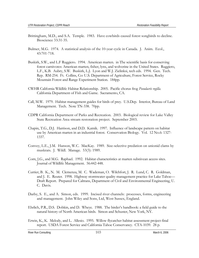- Brittingham, M.D., and S.A. Temple. 1983. Have cowbirds caused forest songbirds to decline. Bioscience 33:31-35.
- Bulmer, M.G. 1974. A statistical analysis of the 10-year cycle in Canada. J. Anim. Ecol., 43:701-718.
- Buskirk, S.W., and L.F Ruggiero. 1994. American marten. in The scientific basis for conserving forest carnivores: American marten, fisher, lynx, and wolverine in the United States. Ruggiero, L.F., K.B. Aubry, S.W. Buskirk, L.J. Lyon and W.J. Zielinksi, tech eds. 1994. Gen. Tech. Rep. RM-254. Ft. Collins, Co: U.S. Department of Agriculture, Forest Service, Rocky Mountain Forest and Range Experiment Station. 184pp.
- CWHR California Wildlife Habitat Relationship. 2005. Pacific chorus frog *Pseudacris regilla*. California Department of Fish and Game. Sacramento, CA.
- Call, M.W. 1979. Habitat management guides for birds of prey. U.S.Dep. Interior, Bureau of Land Management. Tech. Note TN-338. 70pp.
- CDPR California Department of Parks and Recreation. 2003. Biological review for Lake Valley State Recreation Area stream restoration project. September 2003.
- Chapin, T.G., D.J. Harrison, and D.D. Katnik. 1997. Influence of landscape pattern on habitat use by American marten in an industrial forest. Conservation Biology. Vol. 12 No.6: 1327- 1337.
- Convey, L.E., J.M. Hanson, W.C. MacKay. 1989. Size-selective predation on unionid clams by muskrats. J. Wildl. Manage. 53(3): 1989.
- Corn, J.G., and M.G. Raphael. 1992. Habitat characteristics at marten subnivean access sites. Journal of Wildlife Management. 56:442-448.
- Currier, B. K., N. M. Clemenza, M. C. Wademan, O. Wilchfort, J. R. Lund, C. R. Goldman, and J. E. Reuter. 1998. Highway stormwater quality management practice for Lake Tahoe— Draft Report. Prepared for Caltrans, Department of Civil and Environmental Engineering, U. C. Davis.
- Darby, S. E., and A. Simon, eds. 1999. Incised river channels: processes, forms, engineering and management. John Wiley and Sons, Ltd, West Sussex, England.
- Ehrlich, P.R., D.S. Dobkin, and D. Wheye. 1988. The birder's handbook: a field guide to the natural history of North American birds. Simon and Schuster, New York, NY.
- Erwin, K., K. Melody, and L. Allesio. 1995. Willow flycatcher habitat assessment project-final report. USDA Forest Service and California Tahoe Conservancy. CTA-1039. 28 p.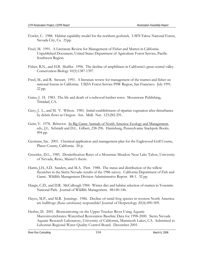- Fowler, C. 1988. Habitat capability model for the northern goshawk. USFS Tahoe National Forest, Nevada City, Ca. 21pp.
- Freel, M. 1991. A Literature Review for Management of Fisher and Marten in California. Unpublished Document, United States Department of Agriculture Forest Service, Pacific Southwest Region.
- Fisher, R.N., and H.B. Shaffer. 1996. The decline of amphibians in California's great central valley. Conservation Biology 10(5):1387-1397.
- Freel, M., and R. Stewart. 1991. A literature review for management of the marten and fisher on national forests in California. USDA Forest Service PSW Region, San Francisco. July 1991. 22 pp.
- Gates, J. H. 1983. The life and death of a redwood lumber town. Moonstone Publishing, Trinidad, CA.
- Gecy, J. L., and M. V. Wilson. 1983. Initial establishment of riparian vegetation after disturbance by debris flows in Oregon. Am. Midl. Nat. 123:282-291.
- Geist, V. 1978. Behavior. In Big Game Animals of North America: Ecology and Management, eds., J.L. Schmidt and D.L. Gilbert, 238-296. Harrisburg, Pennsylvania: Stackpole Books. 494 pp.
- Geotrans, Inc. 2001. Chemical application and management plan for the Eaglewood Golf Course, Placer County, California. 20 p.
- Greenlee, D.L., 1985. Denitrification Rates of a Mountain Meadow Near Lake Tahoe, University of Nevada, Reno, Master's thesis.
- Harris, J.H., S.D. Sanders, and M.A. Flett. 1988. The status and distribution of the willow flycatcher in the Sierra Nevada: results of the 1986 survey. California Department of Fish and Game. Wildlife Management Division Administrative Report. 88-1. 32 pp.
- Hargis, C.D., and D.R. McCullough 1984. Winter diet and habitat selection of marten in Yosemite National Park. Journal of Wildlife Management. 48:140-146.
- Hayes, M.P., and M.R. Jennings. 1986. Decline of ranid frog species in western North America: are bullfrogs (*Rana catesbeiana*) responsible? Journal of Herpetology 20(4):490-509.
- Herbst, D. 2001. Biomonitoring on the Upper Truckee River Using Aquatic Macroinvertebrates: Watershed Restoration Baseline Data for 1998-2000. Sierra Nevada Aquatic Research Laboratory, University of California, Mammoth Lakes, CA. Submitted to Lahontan Regional Water Quality Control Board. December 2001.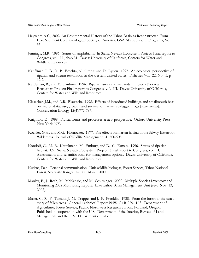- Heyvaert, A.C., 2002, An Environmental History of the Tahoe Basin as Reconstructed From Lake Sediment Core, Geological Society of America, GSA Abstracts with Programs, Vol 35.
- Jennings, M.R. 1996. Status of amphibians. In Sierra Nevada Ecosystem Project: Final report to Congress, vol. II., chap 31. Davis: University of California, Centers for Water and Wildland Resources.
- Kauffman, J. B., R. B. Beschta, N. Otting, and D. Lytjen. 1997. An ecological perspective of riparian and stream restoration in the western United States. Fisheries Vol. 22, No. 5, p 12-24.
- Kattleman, R., and M. Embury. 1996. Riparian areas and wetlands. In Sierra Nevada Ecosystem Project: Final report to Congress, vol. III. Davis: University of California, Centers for Water and Wildland Resources.
- Kiesecker, J.M., and A.R. Blaustein. 1998. Effects of introduced bullfrogs and smallmouth bass on microhabitat use, growth, and survival of native red-legged frogs (*Rana aurora*). Conservation Biology 12(4):776-787.
- Knighton, D. 1998. Fluvial forms and processes: a new perspective. Oxford University Press, New York, NY.
- Koehler, G.H., and M.G. Hornocker. 1977. Fire effects on marten habitat in the Selway-Bitterroot Wilderness. Journal of Wildlife Management. 41:500-505.
- Kondolf, G. M., R. Kattelmann, M. Embury, and D. C. Erman. 1996. Status of riparian habitat. IN: Sierra Nevada Ecosystem Project: Final report to Congress, vol. II, Assessments and scientific basis for management options. Davis: University of California, Centers for Water and Wildland Resources.
- Kudrna, Dan. Personal communication. Unit wildlife biologist, Forest Service, Tahoe National Forest, Sierraville Ranger District. March 2000.
- Manley, P., J. Roth, M. McKenzie, and M. Schlesinger. 2002. Multiple-Species Inventory and Monitoring 2002 Monitoring Report. Lake Tahoe Basin Management Unit (rev. Nov, 13, 2002).
- Maser, C., R. F. Tarrant, J. M. Trappe, and J. F. Franklin. 1988. From the forest to the sea: a story of fallen trees. General Technical Report PNW-GTR-229. U.S. Department of Agriculture, Forest Service, Pacific Northwest Research Station, Portland, Oregon. Published in cooperation with the U.S. Department of the Interior, Bureau of Land Management and the U.S. Department of Labor.

River Run Consulting **105** March 6, 2006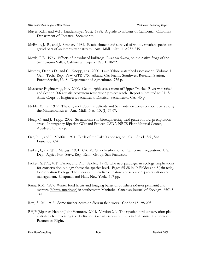- Mayer, K.E., and W.F. Laudenslayer (eds). 1988. A guide to habitats of California. California Department of Forestry. Sacramento.
- McBride, J. R., and J. Strahan. 1984. Establishment and survival of woody riparian species on gravel bars of an intermittent stream. Am. Midl. Nat. 112:235-245.
- Moyle, P.B. 1973. Effects of introduced bullfrogs, *Rana catesbeiana*, on the native frogs of the San Joaquin Valley, California. Copeia 1973(1):18-22.
- Murphy, Dennis D., and C. Knopp, eds. 2000. Lake Tahoe watershed assessment: Volume 1. Gen. Tech. Rep. PSW-GTR-175. Albany, CA: Pacific Southwest Research Station, Forest Service, U. S. Department of Agriculture. 736 p.
- Mussetter Engineering, Inc. 2000. Geomorphic assessment of Upper Truckee River watershed and Section 206 aquatic ecosystem restoration project reach. Report submitted to: U. S. Army Corps of Engineers, Sacramento District. Sacramento, CA. 43 p.
- Noble, M. G. 1979. The origin of Populus deltoids and Salix interior zones on point bars along the Minnesota River. Am. Midl. Nat. 102(1):59-67.
- Hoag, C., and J. Fripp. 2002. Streambank soil bioengineering field guide for low precipitation areas. Interagency Riparian/Wetland Project, USDA-NRCS Plant Material Center, Abedeen, ID. 65 p.
- Orr, R.T., and J. Moffitt. 1971. Birds of the Lake Tahoe region. Cal. Acad. Sci., San Francisco, CA.
- Parker, I., and W.J. Matyas. 1981. CALVEG: a classification of Californian vegetation. U.S. Dep. Agric., For. Serv., Reg. Ecol. Group, San Francisco.
- Pickett, S.T.A., V.T. Parker, and P.L. Feidler. 1992. The new paradigm in ecology: implications for conservation biology above the species level. Pages 65-88 in: P.Fielder and S.Jain (eds). Conservation Biology: The theory and practice of nature conservation, preservation and management. Chapman and Hall., New York. 507 pp.
- Raine, R.M. 1987. Winter food habits and foraging behavior of fishers (Martes pennanti) and martens (Martes americana) in southeastern Manitoba. Canadian Journal of Zoology. 65:745- 747.
- Rey, S. M. 1913. Some further notes on Sierran field work. Condor 15:198-203.
- RHJV(Riparian Habitat Joint Venture). 2004. Version 2.0. The riparian bird conservation plan: a strategy for reversing the decline of riparian associated birds in California. California Partners in Flight.

River Run Consulting **106** March 6, 2006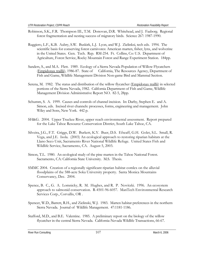- Robinson, S.K., F.R. Thompson III., T.M. Donovan, D.R. Whitehead, and J. Faaborg. Regional forest fragmentation and nesting success of migratory birds. Science 267: 1987-1990.
- Ruggiero, L.F., K.B. Aubry, S.W. Buskirk, L.J. Lyon, and W.J. Zielinksi, tech eds. 1994. The scientific basis for conserving forest carnivores: American marten, fisher, lynx, and wolverine in the United States. Gen. Tech. Rep. RM-254. Ft. Collins, Co: U.S. Department of Agriculture, Forest Service, Rocky Mountain Forest and Range Experiment Station. 184pp.
- Sanders, S., and M.A. Flett. 1989. Ecology of a Sierra Nevada Population of Willow Flycatchers (Empidonax traillii), 1986-87. State of California, The Resources Agency, Department of Fish and Game, Wildlife Management Division Non-game Bird and Mammal Section.
- Serena, M. 1982. The status and distribution of the willow flycatcher (*Empidonax traillii*) in selected portions of the Sierra Nevada, 1982. California Department of Fish and Game, Wildlife Management Division Administrative Report NO. 82-5, 28pp.
- Schumm, S. A. 1999. Causes and controls of channel incision. In: Darby, Stephen E. and A. Simon, eds. Incised river channels: processes, forms, engineering and management. John Wiley and Sons, New York. 442 p.
- SH&G. 2004. Upper Truckee River, upper reach environmental assessment. Report prepared for the Lake Tahoe Resource Conservation District, South Lake Tahoe, CA.
- Silveira, J.G., F.T. Griggs, D.W. Burkett, K.Y. Buer, D.S. Efseaff, G.H. Golet, S.L. Small, R. Vega, and J.E. Isola. (2003) An ecological approach to restoring riparian habitats at the Llano Seco Unit, Sacramento River National Wildlife Refuge. United States Fish and Wildlife Service, Sacramento, CA. August 5, 2003.
- Simon, T.L. 1980. An ecological study of the pine marten in the Tahoe National Forest. Sacramento, CA: California State University. M.S. Thesis.
- SMMC 2004. Creation of a regionally significant riparian habitat comlex on the alluvial floodplains of the 588-acre Soka University property. Santa Monica Mountains Conservancy, Dec. 2004.
- Spence, B. C., G. A. Lomnicky, R. M. Hughes, and R. P. Novitzki. 1996. An ecosystem approach to salmonid conservation. R-4501-96-6057. ManTech Environmental Research Services Corp., Corvallis, OR .
- Spencer, W.D., Barrett, R.H., and Zielinski, W.J. 1983. Marten habitat preferences in the northern Sierra Nevada. Journal of Wildlife Management. 47:1181-1186.
- Stafford, M.D., and B.E. Valentine. 1985. A preliminary report on the biology of the willow flycatcher in the central Sierra Nevada. California-Nevada Wildlife Transactions, 66-67.

River Run Consulting **107** March 6, 2006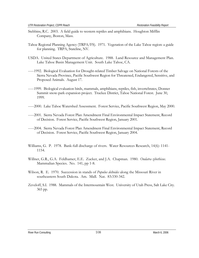- Stebbins, R.C. 2003. A field guide to western reptiles and amphibians. Houghton Mifflin Company, Boston, Mass.
- Tahoe Regional Planning Agency (TRPA/FS). 1971. Vegetation of the Lake Tahoe region: a guide for planning. TRPA, Stateline, NV.
- USDA. United States Department of Agriculture. 1988. Land Resource and Management Plan. Lake Tahoe Basin Management Unit. South Lake Tahoe, CA.
- -----1992. Biological Evaluation for Drought-related Timber Salvage on National Forests of the Sierra Nevada Province, Pacific Southwest Region for Threatened, Endangered, Sensitive, and Proposed Animals. August 17.
- -----1999. Biological evaluation birds, mammals, amphibians, reptiles, fish, invertebrates, Donner Summit snow-park expansion project. Truckee District, Tahoe National Forest. June 30, 1999.
- -----2000. Lake Tahoe Watershed Assessment. Forest Service, Pacific Southwest Region, May 2000.
- -----2001. Sierra Nevada Forest Plan Amendment Final Environmental Impact Statement, Record of Decision. Forest Service, Pacific Southwest Region, January 2001.
- -----2004. Sierra Nevada Forest Plan Amendment Final Environmental Impact Statement, Record of Decision. Forest Service, Pacific Southwest Region, January 2004.
- Williams, G. P. 1978. Bank-full discharge of rivers. Water Resources Research, 14(6): 1141- 1154.
- Willner, G.R., G.A. Feldhamer, E.E. Zucker, and J.A. Chapman. 1980. *Ondatra zibethicus*. Mammalian Species. No. 141, pp 1-8.
- Wilson, R. E. 1970. Succession in stands of *Populus deltoides* along the Missouri River in southeastern South Dakota. Am. Midl. Nat. 83:330-342.
- Zeveloff, S.I. 1988. Mammals of the Intermountain West. University of Utah Press, Salt Lake City. 365 pp.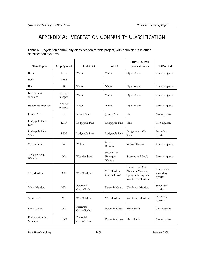## APPENDIX A: VEGETATION COMMUNITY CLASSIFICATION

|                         | Table 6. Vegetation community classification for this project, with equivalents in other |  |
|-------------------------|------------------------------------------------------------------------------------------|--|
| classification systems. |                                                                                          |  |

| This Report                | Map Symbol        | <b>CALVEG</b>            | <b>WHR</b>                        | <b>TRPA/FS, 1971</b><br>(best estimate)                                      | <b>TRPA Code</b>                     |
|----------------------------|-------------------|--------------------------|-----------------------------------|------------------------------------------------------------------------------|--------------------------------------|
| River                      | River             | Water                    | Water                             | Open Water                                                                   | Primary riparian                     |
| Pond                       | Pond              |                          |                                   |                                                                              |                                      |
| Bar                        | B                 | Water                    | Water                             | Open Water                                                                   | Primary riparian                     |
| Intermittent<br>tributary  | not yet<br>mapped | Water                    | Water                             | Open Water                                                                   | Primary riparian                     |
| Ephemeral tributary        | not yet<br>mapped | Water                    | Water                             | Open Water                                                                   | Primary riparian                     |
| Jeffrey Pine               | JP                | Jeffrey Pine             | Jeffrey Pine                      | Pine                                                                         | Non-riparian                         |
| Lodgepole Pine –<br>Dry    | <b>LPD</b>        | Lodgepole Pine           | Lodgepole Pine                    | Pine                                                                         | Non-riparian                         |
| Lodgepole Pine -<br>Mesic  | <b>LPM</b>        | Lodgepole Pine           | Lodgepole Pine                    | Lodgepole - Wet<br>Type                                                      | Secondary<br>riparian                |
| Willow Scrub               | W                 | Willow                   | Montane<br>Riparian               | Willow Thicket                                                               | Primary riparian                     |
| Obligate Sedge<br>Wetland  | OМ                | Wet Meadows              | Freshwater<br>Emergent<br>Wetland | Swamps and Pools                                                             | Primary riparian                     |
| Wet Meadow                 | <b>WM</b>         | Wet Meadows              | Wet Meadow<br>(maybe FEW)         | Elements of Wet<br>Marsh or Meadow,<br>Sphagnum Bog, and<br>Wet Mesic Meadow | Primary and<br>secondary<br>riparian |
| Mesic Meadow               | MM                | Perennial<br>Grass/Forbs | Perennial Grass                   | Wet Mesic Meadow                                                             | Secondary<br>riparian                |
| Mesic Forb                 | МF                | Wet Meadows              | Wet Meadow                        | Wet Mesic Meadow                                                             | Secondary<br>riparian                |
| Dry Meadow                 | DM                | Perennial<br>Grass/Forbs | Perennial Grass                   | Mesic Herb                                                                   | Non-riparian                         |
| Revegetation Dry<br>Meadow | <b>RDM</b>        | Perennial<br>Grass/Forbs | Perennial Grass                   | Mesic Herb                                                                   | Non-riparian                         |

River Run Consulting 109 March 6, 2006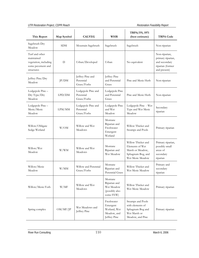| This Report                                                                              | Map Symbol | <b>CALVEG</b>                                  | <b>WHR</b>                                                            | <b>TRPA/FS, 1971</b><br>(best estimate)                                                            | <b>TRPA Code</b>                                                                        |
|------------------------------------------------------------------------------------------|------------|------------------------------------------------|-----------------------------------------------------------------------|----------------------------------------------------------------------------------------------------|-----------------------------------------------------------------------------------------|
| Sagebrush Dry<br>Meadow                                                                  | <b>SDM</b> | Mountain Sagebrush                             | Sagebrush                                                             | Sagebrush                                                                                          | Non-riparian                                                                            |
| Turf and other<br>maintained<br>vegetation, including<br>some pavement and<br>structures | D          | Urban/Developed                                | Urban                                                                 | No equivalent                                                                                      | Non-riparian,<br>primary riparian,<br>and secondary<br>riparian (former<br>and present) |
| Jeffrey Pine/Dry<br>Meadow                                                               | JP/DM      | Jeffrey Pine and<br>Perennial<br>Grass/Forbs   | Jeffrey Pine<br>and Perennial<br>Grass                                | Pine and Mesic Herb                                                                                | Non-riparian                                                                            |
| Lodgepole Pine-<br>Dry Type/Dry<br>Meadow                                                | LPD/DM     | Lodgepole Pine and<br>Perennial<br>Grass/Forbs | Lodgepole Pine<br>and Perennial<br>Grass                              | Pine and Mesic Herb                                                                                | Non-riparian                                                                            |
| Lodgepole Pine -<br>Mesic/Mesic<br>Meadow                                                | LPM/MM     | Lodgepole Pine and<br>Perennial<br>Grass/Forbs | Lodgepole Pine<br>and Wet<br>Meadow                                   | Lodgepole Pine - Wet<br>Type and Wet Mesic<br>Meadow                                               | Secondary<br>riparian                                                                   |
| Willow/Obligate<br>Sedge Wetland                                                         | W/OM       | Willow and Wet<br>Meadows                      | Montane<br>Riparian and<br>Freshwater<br>Emergent<br>Wetland          | Willow Thicket and<br>Swamps and Pools                                                             | Primary riparian                                                                        |
| Willow/Wet<br>Meadow                                                                     | W/WM       | Willow and Wet<br>Meadows                      | Montane<br>Riparian and<br>Wet Meadow                                 | Willow Thicket and<br>Elements of Wet<br>Marsh or Meadow,<br>Sphagnum Bog, and<br>Wet Mesic Meadow | Primary riparian,<br>possibly small<br>areas of<br>secondary<br>riparian                |
| Willow/Mesic<br>Meadow                                                                   | W/MM       | Willow and Perennial<br>Grass/Forbs            | Montane<br>Riparian and<br>Perennial Grass                            | Willow Thicket and<br>Wet Mesic Meadow                                                             | Primary and<br>secondary<br>riparian                                                    |
| Willow/Mesic Forb                                                                        | W/MF       | Willow and Wet<br>Meadows                      | Montane<br>Riparian and<br>Wet Meadow<br>(possibly also<br>some FEW)  | Willow Thicket and<br>Wet Mesic Meadow                                                             | Primary riparian                                                                        |
| Spring complex                                                                           | OM/MF/IP   | Wet Meadows and<br>Jeffrey Pine                | Freshwater<br>Emergent<br>Wetland, Wet<br>Meadow, and<br>Jeffrey Pine | Swamps and Pools<br>with elements of<br>Sphagnum Bog and<br>Wet Marsh or<br>Meadow, and Pine       | Primary riparian                                                                        |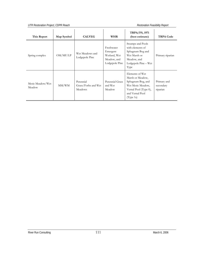## *UTR Restoration Project, CDPR Reach Restoration Feasibility Report*

| This Report                | Map Symbol | <b>CALVEG</b>                               | <b>WHR</b>                                                              | <b>TRPA/FS, 1971</b><br>(best estimate)                                                                                                | <b>TRPA Code</b>                     |
|----------------------------|------------|---------------------------------------------|-------------------------------------------------------------------------|----------------------------------------------------------------------------------------------------------------------------------------|--------------------------------------|
| Spring complex             | OM/MF/LP   | Wet Meadows and<br>Lodgepole Pine           | Freshwater<br>Emergent<br>Wetland, Wet<br>Meadow, and<br>Lodgepole Pine | Swamps and Pools<br>with elements of<br>Sphagnum Bog and<br>Wet Marsh or<br>Meadow, and<br>Lodgepole Pine – Wet<br>Type                | Primary riparian                     |
| Mesic Meadow/Wet<br>Meadow | MM/WM      | Perennial<br>Grass/Forbs and Wet<br>Meadows | Perennial Grass<br>and Wet<br>Meadow                                    | Elements of Wet<br>Marsh or Meadow,<br>Sphagnum Bog, and<br>Wet Mesic Meadow,<br>Vernal Pool (Type 0),<br>and Vernal Pool<br>(Type 1a) | Primary and<br>secondary<br>riparian |